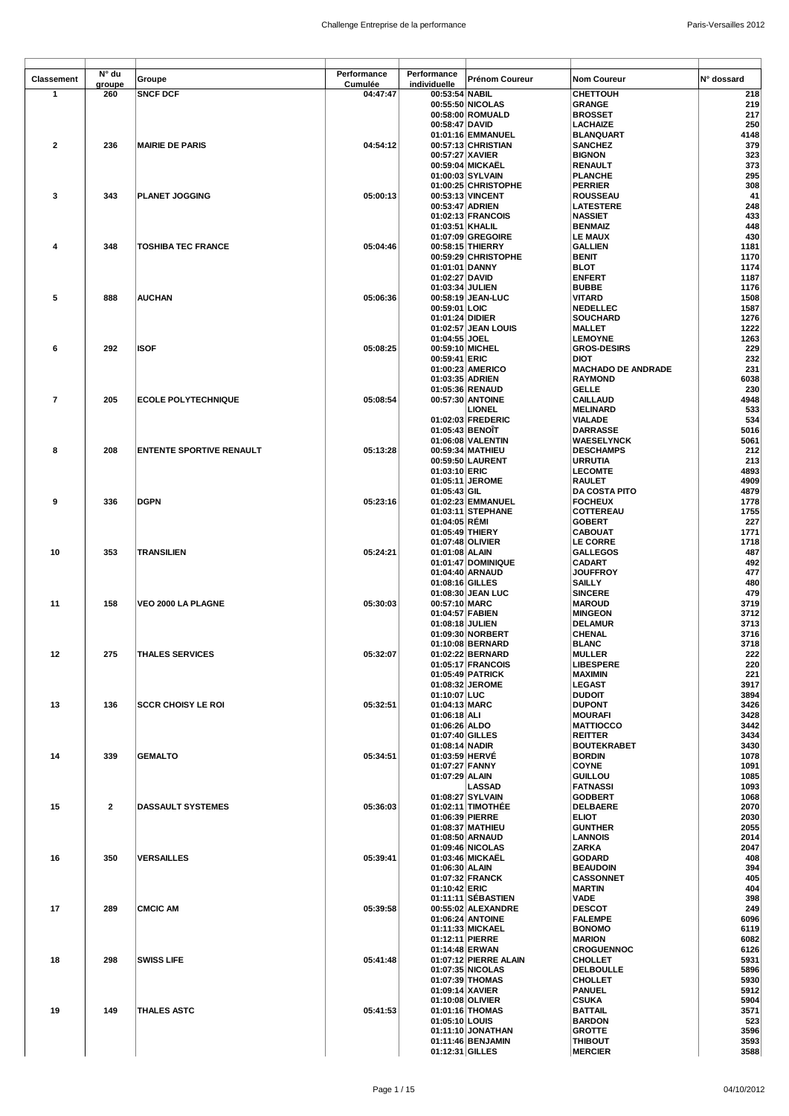| <b>Classement</b> | N° du          | Groupe                          | Performance | Performance                      | Prénom Coureur                      | <b>Nom Coureur</b>                     | N° dossard   |
|-------------------|----------------|---------------------------------|-------------|----------------------------------|-------------------------------------|----------------------------------------|--------------|
|                   | groupe         |                                 | Cumulée     | individuelle                     |                                     |                                        |              |
| $\mathbf{1}$      | 260            | <b>SNCF DCF</b>                 | 04:47:47    | 00:53:54 NABIL                   |                                     | CHETTOUH                               | 218          |
|                   |                |                                 |             |                                  | 00:55:50 NICOLAS                    | <b>GRANGE</b>                          | 219          |
|                   |                |                                 |             |                                  | 00:58:00 ROMUALD                    | <b>BROSSET</b>                         | 217          |
|                   |                |                                 |             | 00:58:47 DAVID                   |                                     | <b>LACHAIZE</b>                        | 250          |
|                   |                |                                 |             |                                  | 01:01:16 EMMANUEL                   | <b>BLANQUART</b><br><b>SANCHEZ</b>     | 4148         |
| $\mathbf{2}$      | 236            | <b>MAIRIE DE PARIS</b>          | 04:54:12    |                                  | 00:57:13 CHRISTIAN                  | <b>BIGNON</b>                          | 379<br>323   |
|                   |                |                                 |             | 00:57:27 XAVIER                  | 00:59:04 MICKAEL                    | RENAULT                                | 373          |
|                   |                |                                 |             |                                  | 01:00:03 SYLVAIN                    | <b>PLANCHE</b>                         | 295          |
|                   |                |                                 |             |                                  | 01:00:25 CHRISTOPHE                 | <b>PERRIER</b>                         | 308          |
| 3                 | 343            | <b>PLANET JOGGING</b>           | 05:00:13    |                                  | 00:53:13 VINCENT                    | <b>ROUSSEAU</b>                        | 41           |
|                   |                |                                 |             | 00:53:47 ADRIEN                  |                                     | <b>LATESTERE</b>                       | 248          |
|                   |                |                                 |             |                                  | 01:02:13 FRANCOIS                   | <b>NASSIET</b>                         | 433          |
|                   |                |                                 |             | 01:03:51   KHALIL                |                                     | <b>BENMAIZ</b>                         | 448          |
|                   |                |                                 |             |                                  | 01:07:09 GREGOIRE                   | LE MAUX                                | 430          |
| 4                 | 348            | <b>TOSHIBA TEC FRANCE</b>       | 05:04:46    |                                  | 00:58:15 THIERRY                    | <b>GALLIEN</b>                         | 1181         |
|                   |                |                                 |             |                                  | 00:59:29 CHRISTOPHE                 | <b>BENIT</b>                           | 1170         |
|                   |                |                                 |             | 01:01:01 DANNY                   |                                     | <b>BLOT</b>                            | 1174         |
|                   |                |                                 |             | 01:02:27 DAVID                   |                                     | <b>ENFERT</b>                          | 1187         |
|                   |                |                                 |             | 01:03:34 JULIEN                  |                                     | <b>BUBBE</b>                           | 1176         |
| 5                 | 888            | <b>AUCHAN</b>                   | 05:06:36    |                                  | 00:58:19 JEAN-LUC                   | <b>VITARD</b>                          | 1508         |
|                   |                |                                 |             | 00:59:01 LOIC                    |                                     | <b>NEDELLEC</b>                        | 1587         |
|                   |                |                                 |             | 01:01:24 DIDIER                  |                                     | <b>SOUCHARD</b>                        | 1276         |
|                   |                |                                 |             |                                  | 01:02:57 JEAN LOUIS                 | <b>MALLET</b>                          | 1222         |
|                   | 292            | <b>ISOF</b>                     |             | 01:04:55 JOEL                    | 00:59:10 MICHEL                     | <b>LEMOYNE</b>                         | 1263<br>229  |
| 6                 |                |                                 | 05:08:25    | 00:59:41 ERIC                    |                                     | <b>GROS-DESIRS</b><br><b>DIOT</b>      | 232          |
|                   |                |                                 |             |                                  | 01:00:23 AMERICO                    | <b>MACHADO DE ANDRADE</b>              | 231          |
|                   |                |                                 |             | 01:03:35 ADRIEN                  |                                     | <b>RAYMOND</b>                         | 6038         |
|                   |                |                                 |             |                                  | 01:05:36 RENAUD                     | <b>GELLE</b>                           | 230          |
| 7                 | 205            | <b>ECOLE POLYTECHNIQUE</b>      | 05:08:54    |                                  | 00:57:30 ANTOINE                    | <b>CAILLAUD</b>                        | 4948         |
|                   |                |                                 |             |                                  | LIONEL                              | <b>MELINARD</b>                        | 533          |
|                   |                |                                 |             |                                  | 01:02:03 FREDERIC                   | <b>VIALADE</b>                         | 534          |
|                   |                |                                 |             | 01:05:43 BENOIT                  |                                     | <b>DARRASSE</b>                        | 5016         |
|                   |                |                                 |             |                                  | 01:06:08 VALENTIN                   | <b>WAESELYNCK</b>                      | 5061         |
| 8                 | 208            | <b>ENTENTE SPORTIVE RENAULT</b> | 05:13:28    |                                  | 00:59:34 MATHIEU                    | <b>DESCHAMPS</b>                       | 212          |
|                   |                |                                 |             |                                  | 00:59:50 LAURENT                    | <b>URRUTIA</b>                         | 213          |
|                   |                |                                 |             | 01:03:10 ERIC                    |                                     | <b>LECOMTE</b>                         | 4893         |
|                   |                |                                 |             |                                  | 01:05:11 JEROME                     | <b>RAULET</b>                          | 4909         |
| 9                 | 336            | <b>DGPN</b>                     | 05:23:16    | $01:05:43$ GIL                   | 01:02:23 EMMANUEL                   | <b>DA COSTA PITO</b><br><b>FOCHEUX</b> | 4879<br>1778 |
|                   |                |                                 |             |                                  | 01:03:11 STEPHANE                   | COTTEREAU                              | 1755         |
|                   |                |                                 |             | 01:04:05 REMI                    |                                     | <b>GOBERT</b>                          | 227          |
|                   |                |                                 |             | 01:05:49 THIERY                  |                                     | <b>CABOUAT</b>                         | 1771         |
|                   |                |                                 |             |                                  | 01:07:48 OLIVIER                    | <b>LE CORRE</b>                        | 1718         |
| 10                | 353            | TRANSILIEN                      | 05:24:21    | 01:01:08 ALAIN                   |                                     | <b>GALLEGOS</b>                        | 487          |
|                   |                |                                 |             |                                  | 01:01:47 DOMINIQUE                  | <b>CADART</b>                          | 492          |
|                   |                |                                 |             |                                  | 01:04:40 ARNAUD                     | <b>JOUFFROY</b>                        | 477          |
|                   |                |                                 |             | 01:08:16 GILLES                  |                                     | <b>SAILLY</b>                          | 480          |
|                   |                |                                 | 05:30:03    |                                  | 01:08:30 JEAN LUC                   | <b>SINCERE</b>                         | 479<br>3719  |
| 11                | 158            | VEO 2000 LA PLAGNE              |             | 00:57:10 MARC<br>01:04:57 FABIEN |                                     | <b>MAROUD</b><br><b>MINGEON</b>        | 3712         |
|                   |                |                                 |             | 01:08:18 JULIEN                  |                                     | <b>DELAMUR</b>                         | 3713         |
|                   |                |                                 |             |                                  | 01:09:30 NORBERT                    | CHENAL                                 | 3716         |
|                   |                |                                 |             |                                  | 01:10:08 BERNARD                    | <b>BLANC</b>                           | 3718         |
| 12                | 275            | <b>THALES SERVICES</b>          | 05:32:07    |                                  | 01:02:22 BERNARD                    | <b>MULLER</b>                          | 222          |
|                   |                |                                 |             |                                  | 01:05:17 FRANCOIS                   | <b>LIBESPERE</b>                       | 220          |
|                   |                |                                 |             |                                  | 01:05:49 PATRICK                    | <b>MAXIMIN</b>                         | 221          |
|                   |                |                                 |             |                                  | 01:08:32 JEROME                     | <b>LEGAST</b>                          | 3917         |
|                   |                |                                 |             | 01:10:07 LUC                     |                                     | <b>DUDOIT</b>                          | 3894         |
| 13                | 136            | <b>SCCR CHOISY LE ROI</b>       | 05:32:51    | 01:04:13 MARC                    |                                     | <b>DUPONT</b>                          | 3426         |
|                   |                |                                 |             | 01:06:18 ALI                     |                                     | <b>MOURAFI</b>                         | 3428         |
|                   |                |                                 |             | 01:06:26 ALDO<br>01:07:40 GILLES |                                     | <b>MATTIOCCO</b>                       | 3442<br>3434 |
|                   |                |                                 |             | 01:08:14 NADIR                   |                                     | <b>REITTER</b>                         |              |
| 14                | 339            | <b>GEMALTO</b>                  | 05:34:51    | 01:03:59 HERVE                   |                                     | <b>BOUTEKRABET</b><br><b>BORDIN</b>    | 3430<br>1078 |
|                   |                |                                 |             | 01:07:27 FANNY                   |                                     | <b>COYNE</b>                           | 1091         |
|                   |                |                                 |             | 01:07:29 ALAIN                   |                                     | <b>GUILLOU</b>                         | 1085         |
|                   |                |                                 |             |                                  | <b>LASSAD</b>                       | <b>FATNASSI</b>                        | 1093         |
|                   |                |                                 |             |                                  | 01:08:27 SYLVAIN                    | <b>GODBERT</b>                         | 1068         |
| 15                | $\overline{2}$ | <b>DASSAULT SYSTEMES</b>        | 05:36:03    |                                  | 01:02:11 TIMOTHÉE                   | <b>DELBAERE</b>                        | 2070         |
|                   |                |                                 |             | 01:06:39 PIERRE                  |                                     | <b>ELIOT</b>                           | 2030         |
|                   |                |                                 |             |                                  | 01:08:37 MATHIEU                    | <b>GUNTHER</b>                         | 2055         |
|                   |                |                                 |             |                                  | 01:08:50 ARNAUD<br>01:09:46 NICOLAS | <b>LANNOIS</b><br>ZARKA                | 2014<br>2047 |
| 16                | 350            | <b>VERSAILLES</b>               | 05:39:41    |                                  | 01:03:46 MICKAEL                    | <b>GODARD</b>                          | 408          |
|                   |                |                                 |             | 01:06:30 ALAIN                   |                                     | <b>BEAUDOIN</b>                        | 394          |
|                   |                |                                 |             |                                  | 01:07:32 FRANCK                     | <b>CASSONNET</b>                       | 405          |
|                   |                |                                 |             | 01:10:42 ERIC                    |                                     | <b>MARTIN</b>                          | 404          |
|                   |                |                                 |             |                                  | 01:11:11 SEBASTIEN                  | <b>VADE</b>                            | 398          |
| 17                | 289            | <b>CMCIC AM</b>                 | 05:39:58    |                                  | 00:55:02 ALEXANDRE                  | <b>DESCOT</b>                          | 249          |
|                   |                |                                 |             |                                  | 01:06:24 ANTOINE                    | <b>FALEMPE</b>                         | 6096         |
|                   |                |                                 |             |                                  | 01:11:33 MICKAEL                    | <b>BONOMO</b>                          | 6119         |
|                   |                |                                 |             | 01:12:11 PIERRE                  |                                     | <b>MARION</b>                          | 6082         |
| 18                | 298            | <b>SWISS LIFE</b>               | 05:41:48    | 01:14:48 ERWAN                   | 01:07:12 PIERRE ALAIN               | <b>CROGUENNOC</b><br><b>CHOLLET</b>    | 6126<br>5931 |
|                   |                |                                 |             |                                  | 01:07:35 NICOLAS                    | <b>DELBOULLE</b>                       | 5896         |
|                   |                |                                 |             |                                  | 01:07:39 THOMAS                     | <b>CHOLLET</b>                         | 5930         |
|                   |                |                                 |             | 01:09:14 XAVIER                  |                                     | <b>PANUEL</b>                          | 5912         |
|                   |                |                                 |             |                                  | 01:10:08 OLIVIER                    | CSUKA                                  | 5904         |
| 19                | 149            | THALES ASTC                     | 05:41:53    |                                  | 01:01:16 THOMAS                     | <b>BATTAIL</b>                         | 3571         |
|                   |                |                                 |             | 01:05:10 LOUIS                   |                                     | <b>BARDON</b>                          | 523          |
|                   |                |                                 |             |                                  | 01:11:10 JONATHAN                   | <b>GROTTE</b>                          | 3596         |
|                   |                |                                 |             |                                  | 01:11:46 BENJAMIN                   | <b>THIBOUT</b>                         | 3593         |
|                   |                |                                 |             | 01:12:31 GILLES                  |                                     | <b>MERCIER</b>                         | 3588         |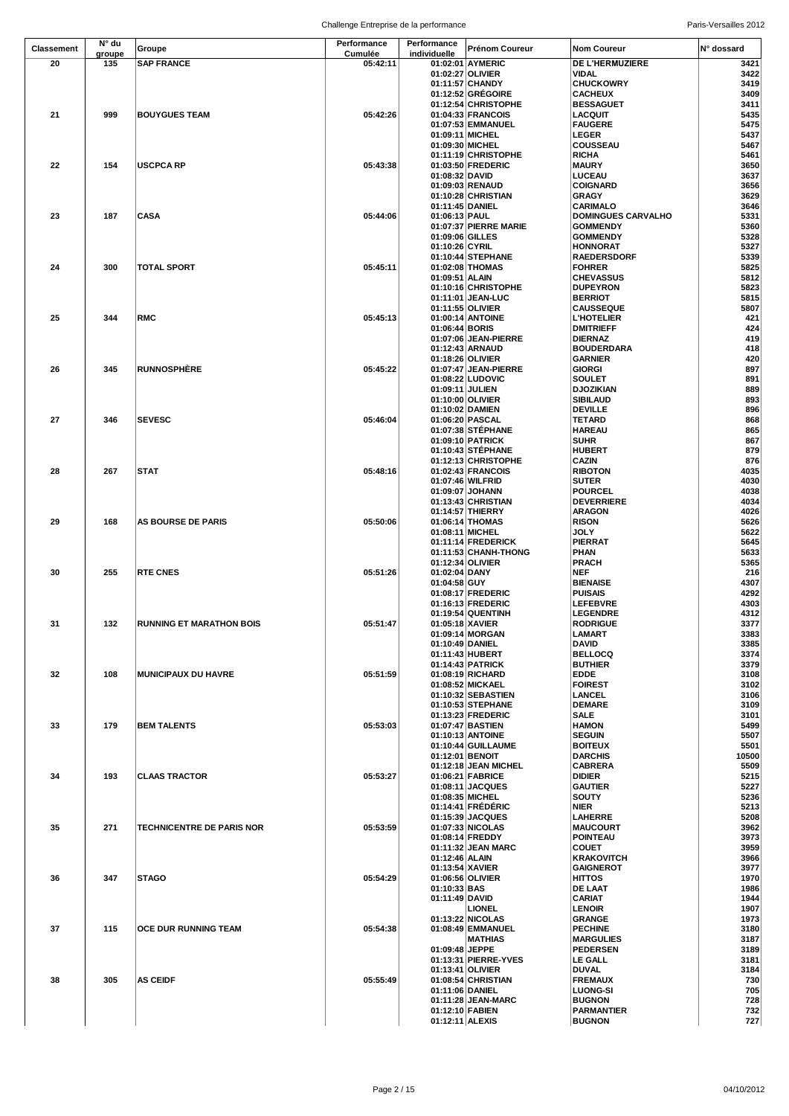| <b>Classement</b> | N° du  | Groupe                           | Performance | Performance     | Prénom Coureur                           | <b>Nom Coureur</b>                  | N° dossard   |
|-------------------|--------|----------------------------------|-------------|-----------------|------------------------------------------|-------------------------------------|--------------|
|                   | groupe |                                  | Cumulée     | individuelle    |                                          |                                     |              |
| 20                | 135    | <b>SAP FRANCE</b>                | 05:42:11    |                 | 01:02:01 AYMERIC<br>01:02:27 OLIVIER     | DE L'HERMUZIERE                     | 3421         |
|                   |        |                                  |             |                 | 01:11:57 CHANDY                          | VIDAL<br><b>CHUCKOWRY</b>           | 3422<br>3419 |
|                   |        |                                  |             |                 | 01:12:52 GRÉGOIRE                        | <b>CACHEUX</b>                      | 3409         |
|                   |        |                                  |             |                 | 01:12:54 CHRISTOPHE                      | <b>BESSAGUET</b>                    | 3411         |
| 21                | 999    | <b>BOUYGUES TEAM</b>             | 05:42:26    |                 | 01:04:33 FRANCOIS                        | <b>LACQUIT</b>                      | 5435         |
|                   |        |                                  |             |                 | 01:07:53 EMMANUEL                        | <b>FAUGERE</b>                      | 5475         |
|                   |        |                                  |             | 01:09:11 MICHEL |                                          | <b>LEGER</b>                        | 5437         |
|                   |        |                                  |             | 01:09:30 MICHEL |                                          | COUSSEAU                            | 5467         |
|                   |        |                                  |             |                 | 01:11:19 CHRISTOPHE                      | <b>RICHA</b>                        | 5461         |
| 22                | 154    | <b>USCPCA RP</b>                 | 05:43:38    |                 | 01:03:50 FREDERIC                        | <b>MAURY</b>                        | 3650         |
|                   |        |                                  |             | 01:08:32 DAVID  | 01:09:03 RENAUD                          | <b>LUCEAU</b><br><b>COIGNARD</b>    | 3637<br>3656 |
|                   |        |                                  |             |                 | 01:10:28 CHRISTIAN                       | <b>GRAGY</b>                        | 3629         |
|                   |        |                                  |             | 01:11:45 DANIEL |                                          | <b>CARIMALO</b>                     | 3646         |
| 23                | 187    | CASA                             | 05:44:06    | 01:06:13 PAUL   |                                          | <b>DOMINGUES CARVALHO</b>           | 5331         |
|                   |        |                                  |             |                 | 01:07:37 PIERRE MARIE                    | <b>GOMMENDY</b>                     | 5360         |
|                   |        |                                  |             | 01:09:06 GILLES |                                          | <b>GOMMENDY</b>                     | 5328         |
|                   |        |                                  |             | 01:10:26 CYRIL  |                                          | <b>HONNORAT</b>                     | 5327         |
|                   |        |                                  |             |                 | 01:10:44 STEPHANE                        | <b>RAEDERSDORF</b>                  | 5339         |
| 24                | 300    | TOTAL SPORT                      | 05:45:11    |                 | 01:02:08 THOMAS                          | <b>FOHRER</b>                       | 5825         |
|                   |        |                                  |             | 01:09:51 ALAIN  |                                          | <b>CHEVASSUS</b>                    | 5812<br>5823 |
|                   |        |                                  |             |                 | 01:10:16 CHRISTOPHE<br>01:11:01 JEAN-LUC | <b>DUPEYRON</b><br><b>BERRIOT</b>   | 5815         |
|                   |        |                                  |             |                 | 01:11:55 OLIVIER                         | <b>CAUSSEQUE</b>                    | 5807         |
| 25                | 344    | <b>RMC</b>                       | 05:45:13    |                 | 01:00:14 ANTOINE                         | <b>L'HOTELIER</b>                   | 421          |
|                   |        |                                  |             | 01:06:44 BORIS  |                                          | <b>DMITRIEFF</b>                    | 424          |
|                   |        |                                  |             |                 | 01:07:06 JEAN-PIERRE                     | <b>DIERNAZ</b>                      | 419          |
|                   |        |                                  |             |                 | 01:12:43 ARNAUD                          | <b>BOUDERDARA</b>                   | 418          |
|                   |        |                                  |             |                 | 01:18:26 OLIVIER                         | <b>GARNIER</b>                      | 420          |
| 26                | 345    | <b>RUNNOSPHÈRE</b>               | 05:45:22    |                 | 01:07:47 JEAN-PIERRE                     | <b>GIORGI</b>                       | 897          |
|                   |        |                                  |             |                 | 01:08:22 LUDOVIC                         | <b>SOULET</b>                       | 891          |
|                   |        |                                  |             | 01:09:11 JULIEN | 01:10:00 OLIVIER                         | <b>DJOZIKIAN</b><br><b>SIBILAUD</b> | 889<br>893   |
|                   |        |                                  |             |                 | 01:10:02 DAMIEN                          | <b>DEVILLE</b>                      | 896          |
| 27                | 346    | <b>SEVESC</b>                    | 05:46:04    |                 | 01:06:20 PASCAL                          | TETARD                              | 868          |
|                   |        |                                  |             |                 | 01:07:38 STEPHANE                        | <b>HAREAU</b>                       | 865          |
|                   |        |                                  |             |                 | 01:09:10 PATRICK                         | <b>SUHR</b>                         | 867          |
|                   |        |                                  |             |                 | 01:10:43 STEPHANE                        | <b>HUBERT</b>                       | 879          |
|                   |        |                                  |             |                 | 01:12:13 CHRISTOPHE                      | <b>CAZIN</b>                        | 876          |
| 28                | 267    | STAT                             | 05:48:16    |                 | 01:02:43 FRANCOIS                        | <b>RIBOTON</b>                      | 4035         |
|                   |        |                                  |             |                 | 01:07:46 WILFRID                         | <b>SUTER</b>                        | 4030         |
|                   |        |                                  |             |                 | 01:09:07 JOHANN<br>01:13:43 CHRISTIAN    | <b>POURCEL</b>                      | 4038         |
|                   |        |                                  |             |                 | 01:14:57 THIERRY                         | <b>DEVERRIERE</b><br><b>ARAGON</b>  | 4034<br>4026 |
| 29                | 168    | <b>AS BOURSE DE PARIS</b>        | 05:50:06    |                 | 01:06:14 THOMAS                          | <b>RISON</b>                        | 5626         |
|                   |        |                                  |             |                 | 01:08:11 MICHEL                          | JOLY                                | 5622         |
|                   |        |                                  |             |                 | 01:11:14 FREDERICK                       | <b>PIERRAT</b>                      | 5645         |
|                   |        |                                  |             |                 | 01:11:53 CHANH-THONG                     | PHAN                                | 5633         |
|                   |        |                                  |             |                 | 01:12:34 OLIVIER                         | <b>PRACH</b>                        | 5365         |
| 30                | 255    | <b>RTE CNES</b>                  | 05:51:26    | 01:02:04 DANY   |                                          | NEF                                 | 216          |
|                   |        |                                  |             | 01:04:58 GUY    |                                          | <b>BIENAISE</b>                     | 4307         |
|                   |        |                                  |             |                 | 01:08:17 FREDERIC                        | <b>PUISAIS</b>                      | 4292         |
|                   |        |                                  |             |                 | 01:16:13 FREDERIC<br>01:19:54 QUENTINH   | <b>LEFEBVRE</b><br><b>LEGENDRE</b>  | 4303<br>4312 |
| 31                | 132    | <b>RUNNING ET MARATHON BOIS</b>  | 05:51:47    |                 | 01:05:18 XAVIER                          | <b>RODRIGUE</b>                     | 3377         |
|                   |        |                                  |             |                 | 01:09:14 MORGAN                          | LAMART                              | 3383         |
|                   |        |                                  |             | 01:10:49 DANIEL |                                          | <b>DAVID</b>                        | 3385         |
|                   |        |                                  |             |                 | 01:11:43 HUBERT                          | <b>BELLOCQ</b>                      | 3374         |
|                   |        |                                  |             |                 | 01:14:43 PATRICK                         | <b>BUTHIER</b>                      | 3379         |
| 32                | 108    | <b>MUNICIPAUX DU HAVRE</b>       | 05:51:59    |                 | 01:08:19 RICHARD                         | <b>EDDE</b>                         | 3108         |
|                   |        |                                  |             |                 | 01:08:52 MICKAEL                         | <b>FOIREST</b>                      | 3102         |
|                   |        |                                  |             |                 | 01:10:32 SEBASTIEN                       | <b>LANCEL</b><br><b>DEMARE</b>      | 3106<br>3109 |
|                   |        |                                  |             |                 | 01:10:53 STEPHANE<br>01:13:23 FREDERIC   | <b>SALE</b>                         | 3101         |
| 33                | 179    | <b>BEM TALENTS</b>               | 05:53:03    |                 | 01:07:47 BASTIEN                         | <b>HAMON</b>                        | 5499         |
|                   |        |                                  |             |                 | 01:10:13 ANTOINE                         | <b>SEGUIN</b>                       | 5507         |
|                   |        |                                  |             |                 | 01:10:44 GUILLAUME                       | <b>BOITEUX</b>                      | 5501         |
|                   |        |                                  |             |                 | 01:12:01 BENOIT                          | <b>DARCHIS</b>                      | 10500        |
|                   |        |                                  |             |                 | 01:12:18 JEAN MICHEL                     | <b>CABRERA</b>                      | 5509         |
| 34                | 193    | <b>CLAAS TRACTOR</b>             | 05:53:27    |                 | 01:06:21 FABRICE                         | <b>DIDIER</b>                       | 5215         |
|                   |        |                                  |             |                 | 01:08:11 JACQUES<br>01:08:35 MICHEL      | <b>GAUTIER</b><br><b>SOUTY</b>      | 5227<br>5236 |
|                   |        |                                  |             |                 | 01:14:41 FRÉDÉRIC                        | NIER                                | 5213         |
|                   |        |                                  |             |                 | 01:15:39 JACQUES                         | LAHERRE                             | 5208         |
| 35                | 271    | <b>TECHNICENTRE DE PARIS NOR</b> | 05:53:59    |                 | 01:07:33 NICOLAS                         | <b>MAUCOURT</b>                     | 3962         |
|                   |        |                                  |             |                 | 01:08:14 FREDDY                          | <b>POINTEAU</b>                     | 3973         |
|                   |        |                                  |             |                 | 01:11:32 JEAN MARC                       | <b>COUET</b>                        | 3959         |
|                   |        |                                  |             | 01:12:46 ALAIN  |                                          | <b>KRAKOVITCH</b>                   | 3966         |
|                   |        |                                  |             | 01:13:54 XAVIER |                                          | <b>GAIGNEROT</b>                    | 3977         |
| 36                | 347    | <b>STAGO</b>                     | 05:54:29    | 01:10:33 BAS    | 01:06:56 OLIVIER                         | <b>HITTOS</b><br>DE LAAT            | 1970<br>1986 |
|                   |        |                                  |             | 01:11:49 DAVID  |                                          | <b>CARIAT</b>                       | 1944         |
|                   |        |                                  |             |                 | <b>LIONEL</b>                            | <b>LENOIR</b>                       | 1907         |
|                   |        |                                  |             |                 | 01:13:22 NICOLAS                         | <b>GRANGE</b>                       | 1973         |
| 37                | 115    | OCE DUR RUNNING TEAM             | 05:54:38    |                 | 01:08:49 EMMANUEL                        | <b>PECHINE</b>                      | 3180         |
|                   |        |                                  |             |                 | <b>MATHIAS</b>                           | <b>MARGULIES</b>                    | 3187         |
|                   |        |                                  |             | 01:09:48 JEPPE  |                                          | <b>PEDERSEN</b>                     | 3189         |
|                   |        |                                  |             |                 | 01:13:31 PIERRE-YVES                     | <b>LE GALL</b>                      | 3181         |
| 38                | 305    | <b>AS CEIDF</b>                  | 05:55:49    |                 | 01:13:41 OLIVIER<br>01:08:54 CHRISTIAN   | <b>DUVAL</b><br><b>FREMAUX</b>      | 3184<br>730  |
|                   |        |                                  |             | 01:11:06 DANIEL |                                          | <b>LUONG-SI</b>                     | 705          |
|                   |        |                                  |             |                 | 01:11:28 JEAN-MARC                       | <b>BUGNON</b>                       | 728          |
|                   |        |                                  |             | 01:12:10 FABIEN |                                          | <b>PARMANTIER</b>                   | 732          |
|                   |        |                                  |             | 01:12:11 ALEXIS |                                          | <b>BUGNON</b>                       | 727          |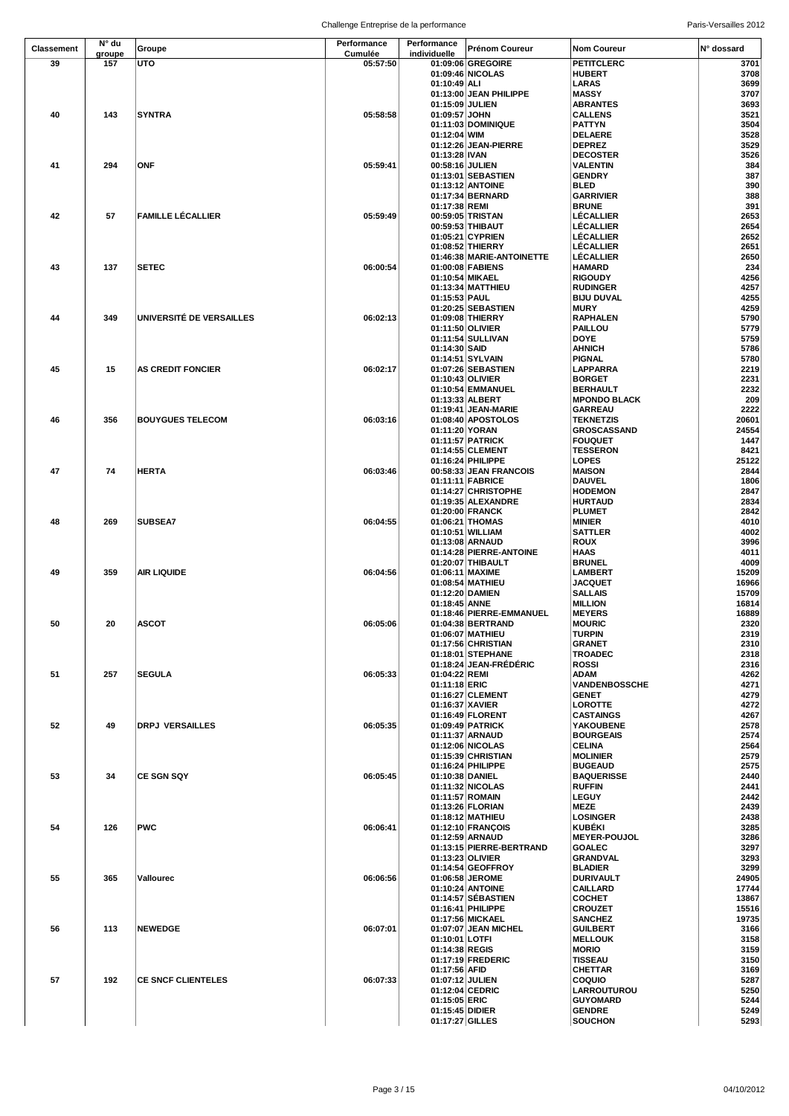Challenge Entreprise de la performance entre a result de la paris-Versailles 2012

| <b>Classement</b> | N° du  | Groupe                    | Performance | Performance     | Prénom Coureur            | <b>Nom Coureur</b>  | N° dossard |
|-------------------|--------|---------------------------|-------------|-----------------|---------------------------|---------------------|------------|
|                   | groupe |                           | Cumulée     | individuelle    |                           |                     |            |
| 39                | 157    | UTO                       | 05:57:50    |                 | 01:09:06 GREGOIRE         | <b>PETITCLERC</b>   | 3701       |
|                   |        |                           |             |                 | 01:09:46 NICOLAS          | <b>HUBERT</b>       | 3708       |
|                   |        |                           |             | 01:10:49 ALI    |                           | LARAS               | 3699       |
|                   |        |                           |             |                 | 01:13:00 JEAN PHILIPPE    | <b>MASSY</b>        | 3707       |
|                   |        |                           |             | 01:15:09 JULIEN |                           | <b>ABRANTES</b>     | 3693       |
| 40                | 143    | SYNTRA                    | 05:58:58    | 01:09:57 JOHN   |                           | <b>CALLENS</b>      | 3521       |
|                   |        |                           |             |                 | 01:11:03 DOMINIQUE        | <b>PATTYN</b>       | 3504       |
|                   |        |                           |             | 01:12:04 WIM    |                           | <b>DELAERE</b>      | 3528       |
|                   |        |                           |             |                 | 01:12:26 JEAN-PIERRE      | <b>DEPREZ</b>       | 3529       |
|                   |        |                           |             | 01:13:28 IVAN   |                           | <b>DECOSTER</b>     | 3526       |
| 41                | 294    | ONF                       | 05:59:41    | 00:58:16 JULIEN |                           | VALENTIN            | 384        |
|                   |        |                           |             |                 | 01:13:01 SEBASTIEN        | <b>GENDRY</b>       | 387        |
|                   |        |                           |             |                 | 01:13:12 ANTOINE          | BLED                | 390        |
|                   |        |                           |             |                 | 01:17:34 BERNARD          | <b>GARRIVIER</b>    | 388        |
|                   |        |                           |             | 01:17:38 REMI   |                           | <b>BRUNE</b>        | 391        |
| 42                | 57     | <b>FAMILLE LÉCALLIER</b>  | 05:59:49    |                 | 00:59:05 TRISTAN          | LÉCALLIER           | 2653       |
|                   |        |                           |             |                 | 00:59:53 THIBAUT          | LÉCALLIER           | 2654       |
|                   |        |                           |             |                 | 01:05:21 CYPRIEN          | LÉCALLIER           | 2652       |
|                   |        |                           |             |                 | 01:08:52 THIERRY          | LÉCALLIER           | 2651       |
|                   |        |                           |             |                 | 01:46:38 MARIE-ANTOINETTE | <b>LÉCALLIER</b>    | 2650       |
| 43                | 137    | <b>SETEC</b>              | 06:00:54    |                 | 01:00:08 FABIENS          | <b>HAMARD</b>       | 234        |
|                   |        |                           |             | 01:10:54 MIKAEL |                           | <b>RIGOUDY</b>      | 4256       |
|                   |        |                           |             |                 | 01:13:34 MATTHIEU         | <b>RUDINGER</b>     | 4257       |
|                   |        |                           |             | 01:15:53 PAUL   |                           | <b>BIJU DUVAL</b>   | 4255       |
|                   |        |                           |             |                 | 01:20:25 SEBASTIEN        | <b>MURY</b>         | 4259       |
| 44                | 349    | UNIVERSITÉ DE VERSAILLES  | 06:02:13    |                 | 01:09:08 THIERRY          | <b>RAPHALEN</b>     | 5790       |
|                   |        |                           |             |                 | 01:11:50 OLIVIER          | <b>PAILLOU</b>      | 5779       |
|                   |        |                           |             |                 | 01:11:54 SULLIVAN         | DOYE                | 5759       |
|                   |        |                           |             | 01:14:30 SAID   |                           | <b>AHNICH</b>       | 5786       |
|                   |        |                           |             |                 | 01:14:51 SYLVAIN          | <b>PIGNAL</b>       | 5780       |
| 45                | 15     | <b>AS CREDIT FONCIER</b>  | 06:02:17    |                 | 01:07:26 SEBASTIEN        | <b>LAPPARRA</b>     | 2219       |
|                   |        |                           |             |                 | 01:10:43 OLIVIER          | <b>BORGET</b>       | 2231       |
|                   |        |                           |             |                 |                           |                     | 2232       |
|                   |        |                           |             |                 | 01:10:54 EMMANUEL         | <b>BERHAULT</b>     | 209        |
|                   |        |                           |             |                 | 01:13:33 ALBERT           | <b>MPONDO BLACK</b> | 2222       |
|                   |        |                           |             |                 | 01:19:41 JEAN-MARIE       | <b>GARREAU</b>      |            |
| 46                | 356    | <b>BOUYGUES TELECOM</b>   | 06:03:16    |                 | 01:08:40 APOSTOLOS        | <b>TEKNETZIS</b>    | 20601      |
|                   |        |                           |             | 01:11:20 YORAN  |                           | <b>GROSCASSAND</b>  | 24554      |
|                   |        |                           |             |                 | 01:11:57 PATRICK          | <b>FOUQUET</b>      | 1447       |
|                   |        |                           |             |                 | 01:14:55 CLEMENT          | <b>TESSERON</b>     | 8421       |
|                   |        |                           |             |                 | 01:16:24 PHILIPPE         | LOPES               | 25122      |
| 47                | 74     | <b>HERTA</b>              | 06:03:46    |                 | 00:58:33 JEAN FRANCOIS    | <b>MAISON</b>       | 2844       |
|                   |        |                           |             |                 | 01:11:11 FABRICE          | <b>DAUVEL</b>       | 1806       |
|                   |        |                           |             |                 | 01:14:27 CHRISTOPHE       | <b>HODEMON</b>      | 2847       |
|                   |        |                           |             |                 | 01:19:35 ALEXANDRE        | <b>HURTAUD</b>      | 2834       |
|                   |        |                           |             |                 | 01:20:00 FRANCK           | <b>PLUMET</b>       | 2842       |
| 48                | 269    | <b>SUBSEA7</b>            | 06:04:55    |                 | 01:06:21 THOMAS           | <b>MINIER</b>       | 4010       |
|                   |        |                           |             |                 | 01:10:51 WILLIAM          | <b>SATTLER</b>      | 4002       |
|                   |        |                           |             |                 | 01:13:08 ARNAUD           | <b>ROUX</b>         | 3996       |
|                   |        |                           |             |                 | 01:14:28 PIERRE-ANTOINE   | HAAS                | 4011       |
|                   |        |                           |             |                 | 01:20:07 THIBAULT         | <b>BRUNEL</b>       | 4009       |
| 49                | 359    | AIR LIQUIDE               | 06:04:56    |                 | 01:06:11   MAXIME         | <b>LAMBERT</b>      | 15209      |
|                   |        |                           |             |                 | 01:08:54 MATHIEU          | <b>JACQUET</b>      | 16966      |
|                   |        |                           |             | 01:12:20 DAMIEN |                           | <b>SALLAIS</b>      | 15709      |
|                   |        |                           |             | 01:18:45 ANNE   |                           | <b>MILLION</b>      | 16814      |
|                   |        |                           |             |                 | 01:18:46 PIERRE-EMMANUEL  | <b>MEYERS</b>       | 16889      |
| 50                | 20     | <b>ASCOT</b>              | 06:05:06    |                 | 01:04:38 BERTRAND         | <b>MOURIC</b>       | 2320       |
|                   |        |                           |             |                 | 01:06:07 MATHIEU          | <b>TURPIN</b>       | 2319       |
|                   |        |                           |             |                 | 01:17:56 CHRISTIAN        | <b>GRANET</b>       | 2310       |
|                   |        |                           |             |                 | 01:18:01 STEPHANE         | <b>TROADEC</b>      | 2318       |
|                   |        |                           |             |                 | 01:18:24 JEAN-FRÉDÉRIC    | <b>ROSSI</b>        | 2316       |
| 51                | 257    | <b>SEGULA</b>             | 06:05:33    | 01:04:22 REMI   |                           | ADAM                | 4262       |
|                   |        |                           |             | 01:11:18 ERIC   |                           | VANDENBOSSCHE       | 4271       |
|                   |        |                           |             |                 | 01:16:27 CLEMENT          | <b>GENET</b>        | 4279       |
|                   |        |                           |             | 01:16:37 XAVIER |                           | <b>LOROTTE</b>      | 4272       |
|                   |        |                           |             |                 | 01:16:49 FLORENT          | <b>CASTAINGS</b>    | 4267       |
| 52                | 49     | DRPJ VERSAILLES           | 06:05:35    |                 | 01:09:49 PATRICK          | YAKOUBENE           | 2578       |
|                   |        |                           |             |                 | 01:11:37 ARNAUD           | <b>BOURGEAIS</b>    | 2574       |
|                   |        |                           |             |                 | 01:12:06 NICOLAS          | <b>CELINA</b>       | 2564       |
|                   |        |                           |             |                 | 01:15:39 CHRISTIAN        | <b>MOLINIER</b>     | 2579       |
|                   |        |                           |             |                 | 01:16:24 PHILIPPE         | <b>BUGEAUD</b>      | 2575       |
| 53                | 34     | <b>CE SGN SQY</b>         | 06:05:45    | 01:10:38 DANIEL |                           | <b>BAQUERISSE</b>   | 2440       |
|                   |        |                           |             |                 | 01:11:32 NICOLAS          | <b>RUFFIN</b>       | 2441       |
|                   |        |                           |             |                 | 01:11:57 ROMAIN           | <b>LEGUY</b>        | 2442       |
|                   |        |                           |             |                 | 01:13:26 FLORIAN          | MEZE                | 2439       |
|                   |        |                           |             |                 | 01:18:12 MATHIEU          | LOSINGER            | 2438       |
| 54                | 126    | <b>PWC</b>                | 06:06:41    |                 | 01:12:10 FRANÇOIS         | <b>KUBÈKI</b>       | 3285       |
|                   |        |                           |             |                 | 01:12:59 ARNAUD           | <b>MEYER-POUJOL</b> | 3286       |
|                   |        |                           |             |                 | 01:13:15 PIERRE-BERTRAND  | <b>GOALEC</b>       | 3297       |
|                   |        |                           |             |                 | 01:13:23 OLIVIER          | <b>GRANDVAL</b>     | 3293       |
|                   |        |                           |             |                 | 01:14:54 GEOFFROY         | <b>BLADIER</b>      | 3299       |
| 55                | 365    | Vallourec                 | 06:06:56    |                 | 01:06:58 JEROME           | <b>DURIVAULT</b>    | 24905      |
|                   |        |                           |             |                 | 01:10:24 ANTOINE          | <b>CAILLARD</b>     | 17744      |
|                   |        |                           |             |                 | 01:14:57 SÉBASTIEN        | <b>COCHET</b>       | 13867      |
|                   |        |                           |             |                 | 01:16:41 PHILIPPE         | <b>CROUZET</b>      | 15516      |
|                   |        |                           |             |                 | 01:17:56 MICKAEL          |                     | 19735      |
|                   | 113    | <b>NEWEDGE</b>            | 06:07:01    |                 |                           | <b>SANCHEZ</b>      | 3166       |
| 56                |        |                           |             |                 | 01:07:07 JEAN MICHEL      | <b>GUILBERT</b>     |            |
|                   |        |                           |             | 01:10:01 LOTFI  |                           | <b>MELLOUK</b>      | 3158       |
|                   |        |                           |             | 01:14:38 REGIS  |                           | <b>MORIO</b>        | 3159       |
|                   |        |                           |             |                 | 01:17:19 FREDERIC         | <b>TISSEAU</b>      | 3150       |
|                   |        |                           |             | 01:17:56 AFID   |                           | <b>CHETTAR</b>      | 3169       |
| 57                | 192    | <b>CE SNCF CLIENTELES</b> | 06:07:33    | 01:07:12 JULIEN |                           | <b>COQUIO</b>       | 5287       |
|                   |        |                           |             | 01:12:04 CEDRIC |                           | LARROUTUROU         | 5250       |
|                   |        |                           |             | 01:15:05 ERIC   |                           | <b>GUYOMARD</b>     | 5244       |
|                   |        |                           |             | 01:15:45 DIDIER |                           | <b>GENDRE</b>       | 5249       |
|                   |        |                           |             | 01:17:27 GILLES |                           | <b>SOUCHON</b>      | 5293       |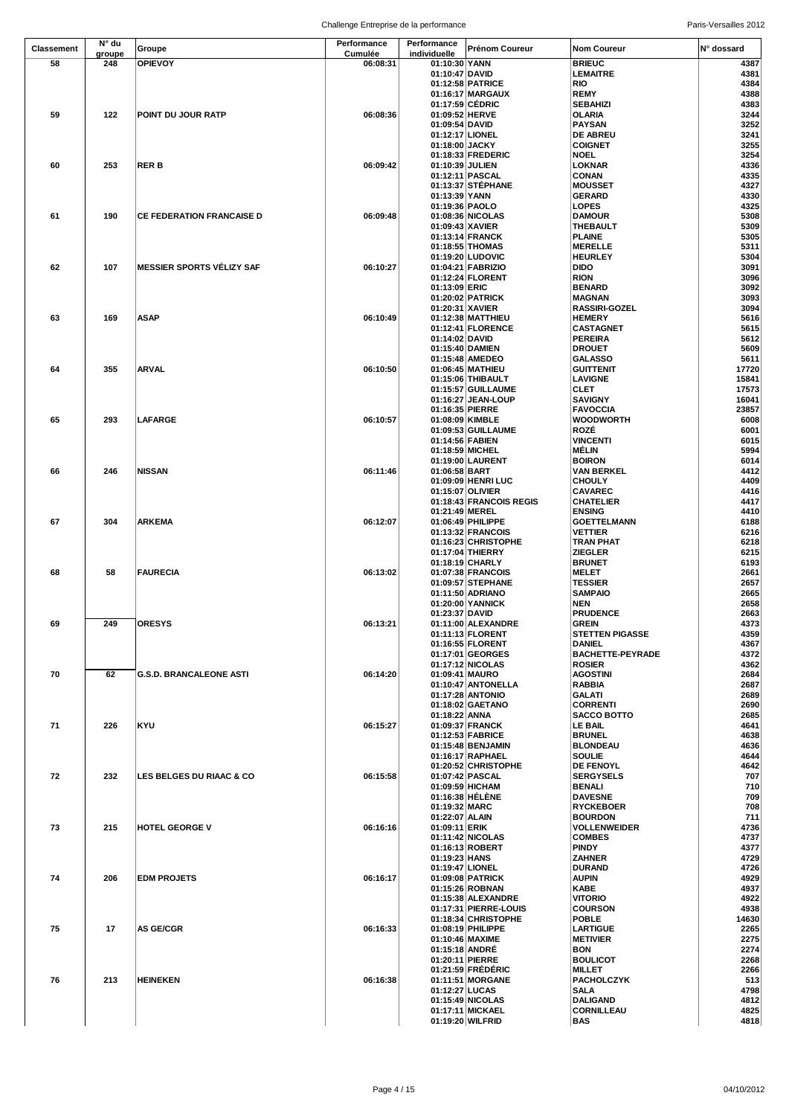|            | N° du  |                                     | Performance | Performance                       |                                        |                                      |              |
|------------|--------|-------------------------------------|-------------|-----------------------------------|----------------------------------------|--------------------------------------|--------------|
| Classement | groupe | Groupe                              | Cumulée     | individuelle                      | Prénom Coureur                         | <b>Nom Coureur</b>                   | N° dossard   |
| 58         | 248    | <b>OPIEVOY</b>                      | 06:08:31    | 01:10:30 YANN                     |                                        | <b>BRIEUC</b>                        | 4387         |
|            |        |                                     |             | 01:10:47 DAVID                    |                                        | <b>LEMAITRE</b>                      | 4381         |
|            |        |                                     |             |                                   | 01:12:58 PATRICE                       | <b>RIO</b>                           | 4384         |
|            |        |                                     |             |                                   | 01:16:17 MARGAUX                       | <b>REMY</b>                          | 4388         |
|            |        |                                     |             |                                   | 01:17:59 CEDRIC                        | <b>SEBAHIZI</b>                      | 4383         |
| 59         | 122    | POINT DU JOUR RATP                  | 06:08:36    | 01:09:52 HERVE                    |                                        | OLARIA                               | 3244<br>3252 |
|            |        |                                     |             | 01:09:54 DAVID<br>01:12:17 LIONEL |                                        | <b>PAYSAN</b><br><b>DE ABREU</b>     | 3241         |
|            |        |                                     |             | 01:18:00 JACKY                    |                                        | <b>COIGNET</b>                       | 3255         |
|            |        |                                     |             |                                   | 01:18:33 FREDERIC                      | <b>NOEL</b>                          | 3254         |
| 60         | 253    | RER B                               | 06:09:42    | 01:10:39 JULIEN                   |                                        | LOKNAR                               | 4336         |
|            |        |                                     |             |                                   | 01:12:11 PASCAL                        | <b>CONAN</b>                         | 4335         |
|            |        |                                     |             |                                   | 01:13:37 STÉPHANE                      | <b>MOUSSET</b>                       | 4327         |
|            |        |                                     |             | 01:13:39 YANN                     |                                        | <b>GERARD</b>                        | 4330         |
|            |        |                                     |             | 01:19:36 PAOLO                    |                                        | LOPES                                | 4325         |
| 61         | 190    | <b>CE FEDERATION FRANCAISE D</b>    | 06:09:48    |                                   | 01:08:36 NICOLAS                       | <b>DAMOUR</b>                        | 5308         |
|            |        |                                     |             | 01:09:43 XAVIER                   |                                        | THEBAULT                             | 5309         |
|            |        |                                     |             |                                   | 01:13:14 FRANCK<br>01:18:55 THOMAS     | <b>PLAINE</b><br><b>MERELLE</b>      | 5305<br>5311 |
|            |        |                                     |             |                                   | 01:19:20 LUDOVIC                       | <b>HEURLEY</b>                       | 5304         |
| 62         | 107    | <b>MESSIER SPORTS VÉLIZY SAF</b>    | 06:10:27    |                                   | 01:04:21 FABRIZIO                      | <b>DIDO</b>                          | 3091         |
|            |        |                                     |             |                                   | 01:12:24 FLORENT                       | <b>RION</b>                          | 3096         |
|            |        |                                     |             | 01:13:09 ERIC                     |                                        | <b>BENARD</b>                        | 3092         |
|            |        |                                     |             |                                   | 01:20:02 PATRICK                       | <b>MAGNAN</b>                        | 3093         |
|            |        |                                     |             | 01:20:31 XAVIER                   |                                        | <b>RASSIRI-GOZEL</b>                 | 3094         |
| 63         | 169    | <b>ASAP</b>                         | 06:10:49    |                                   | 01:12:38 MATTHIEU                      | <b>HEMERY</b>                        | 5616         |
|            |        |                                     |             |                                   | 01:12:41 FLORENCE                      | <b>CASTAGNET</b>                     | 5615         |
|            |        |                                     |             | 01:14:02 DAVID                    |                                        | <b>PEREIRA</b>                       | 5612<br>5609 |
|            |        |                                     |             |                                   | 01:15:40 DAMIEN<br>01:15:48 AMEDEO     | <b>DROUET</b><br><b>GALASSO</b>      | 5611         |
| 64         | 355    | ARVAL                               | 06:10:50    |                                   | 01:06:45 MATHIEU                       | <b>GUITTENIT</b>                     | 17720        |
|            |        |                                     |             |                                   | 01:15:06 THIBAULT                      | <b>LAVIGNE</b>                       | 15841        |
|            |        |                                     |             |                                   | 01:15:57 GUILLAUME                     | CLET                                 | 17573        |
|            |        |                                     |             |                                   | 01:16:27 JEAN-LOUP                     | <b>SAVIGNY</b>                       | 16041        |
|            |        |                                     |             | 01:16:35 PIERRE                   |                                        | <b>FAVOCCIA</b>                      | 23857        |
| 65         | 293    | <b>LAFARGE</b>                      | 06:10:57    |                                   | 01:08:09 KIMBLE                        | <b>WOODWORTH</b>                     | 6008         |
|            |        |                                     |             |                                   | 01:09:53 GUILLAUME                     | ROZE                                 | 6001         |
|            |        |                                     |             | 01:14:56 FABIEN                   |                                        | <b>VINCENTI</b>                      | 6015         |
|            |        |                                     |             |                                   | 01:18:59 MICHEL                        | MÉLIN<br><b>BOIRON</b>               | 5994<br>6014 |
| 66         | 246    | <b>NISSAN</b>                       | 06:11:46    | 01:06:58 BART                     | 01:19:00 LAURENT                       | <b>VAN BERKEL</b>                    | 4412         |
|            |        |                                     |             |                                   | 01:09:09 HENRI LUC                     | <b>CHOULY</b>                        | 4409         |
|            |        |                                     |             |                                   | 01:15:07 OLIVIER                       | <b>CAVAREC</b>                       | 4416         |
|            |        |                                     |             |                                   | 01:18:43 FRANCOIS REGIS                | <b>CHATELIER</b>                     | 4417         |
|            |        |                                     |             | 01:21:49 MEREL                    |                                        | <b>ENSING</b>                        | 4410         |
| 67         | 304    | <b>ARKEMA</b>                       | 06:12:07    |                                   | 01:06:49 PHILIPPE                      | <b>GOETTELMANN</b>                   | 6188         |
|            |        |                                     |             |                                   | 01:13:32 FRANCOIS                      | <b>VETTIER</b>                       | 6216         |
|            |        |                                     |             |                                   | 01:16:23 CHRISTOPHE                    | TRAN PHAT                            | 6218         |
|            |        |                                     |             |                                   | 01:17:04 THIERRY                       | <b>ZIEGLER</b>                       | 6215         |
| 68         | 58     | <b>FAURECIA</b>                     | 06:13:02    |                                   | 01:18:19 CHARLY                        | <b>BRUNET</b><br><b>MELET</b>        | 6193<br>2661 |
|            |        |                                     |             |                                   | 01:07:38 FRANCOIS<br>01:09:57 STEPHANE | <b>TESSIER</b>                       | 2657         |
|            |        |                                     |             |                                   | 01:11:50 ADRIANO                       | <b>SAMPAIO</b>                       | 2665         |
|            |        |                                     |             |                                   | 01:20:00 YANNICK                       | NEN                                  | 2658         |
|            |        |                                     |             | 01:23:37 DAVID                    |                                        | <b>PRUDENCE</b>                      | 2663         |
| 69         | 249    | <b>ORESYS</b>                       | 06:13:21    |                                   | 01:11:00 ALEXANDRE                     | <b>GREIN</b>                         | 4373         |
|            |        |                                     |             |                                   | 01:11:13 FLORENT                       | <b>STETTEN PIGASSE</b>               | 4359         |
|            |        |                                     |             |                                   | 01:16:55 FLORENT                       | DANIEL                               | 4367         |
|            |        |                                     |             |                                   | 01:17:01 GEORGES                       | <b>BACHETTE-PEYRADE</b>              | 4372         |
| 70         | 62     |                                     | 06:14:20    |                                   | 01:17:12 NICOLAS<br>01:09:41 MAURO     | <b>ROSIER</b><br><b>AGOSTINI</b>     | 4362<br>2684 |
|            |        | <b>G.S.D. BRANCALEONE ASTI</b>      |             |                                   | 01:10:47 ANTONELLA                     | <b>RABBIA</b>                        | 2687         |
|            |        |                                     |             |                                   | 01:17:28 ANTONIO                       | <b>GALATI</b>                        | 2689         |
|            |        |                                     |             |                                   | 01:18:02 GAETANO                       | <b>CORRENTI</b>                      | 2690         |
|            |        |                                     |             | 01:18:22 ANNA                     |                                        | SACCO BOTTO                          | 2685         |
| 71         | 226    | KYU                                 | 06:15:27    |                                   | 01:09:37 FRANCK                        | LE BAIL                              | 4641         |
|            |        |                                     |             |                                   | 01:12:53 FABRICE                       | <b>BRUNEL</b>                        | 4638         |
|            |        |                                     |             |                                   | 01:15:48 BENJAMIN                      | <b>BLONDEAU</b>                      | 4636         |
|            |        |                                     |             |                                   | 01:16:17 RAPHAEL                       | <b>SOULIE</b>                        | 4644         |
| 72         | 232    | <b>LES BELGES DU RIAAC &amp; CO</b> | 06:15:58    |                                   | 01:20:52 CHRISTOPHE<br>01:07:42 PASCAL | <b>DE FENOYL</b><br><b>SERGYSELS</b> | 4642<br>707  |
|            |        |                                     |             |                                   | 01:09:59 HICHAM                        | BENALI                               | 710          |
|            |        |                                     |             |                                   | 01:16:38 HÉLÈNE                        | <b>DAVESNE</b>                       | 709          |
|            |        |                                     |             | 01:19:32 MARC                     |                                        | <b>RYCKEBOER</b>                     | 708          |
|            |        |                                     |             | 01:22:07 ALAIN                    |                                        | <b>BOURDON</b>                       | 711          |
| 73         | 215    | <b>HOTEL GEORGE V</b>               | 06:16:16    | 01:09:11 ERIK                     |                                        | <b>VOLLENWEIDER</b>                  | 4736         |
|            |        |                                     |             |                                   | 01:11:42 NICOLAS                       | <b>COMBES</b>                        | 4737         |
|            |        |                                     |             |                                   | 01:16:13 ROBERT                        | <b>PINDY</b>                         | 4377         |
|            |        |                                     |             | 01:19:23 HANS                     |                                        | <b>ZAHNER</b>                        | 4729         |
| 74         | 206    | <b>EDM PROJETS</b>                  | 06:16:17    | 01:19:47 LIONEL                   | 01:09:08 PATRICK                       | <b>DURAND</b><br><b>AUPIN</b>        | 4726<br>4929 |
|            |        |                                     |             |                                   | 01:15:26 ROBNAN                        | KABE                                 | 4937         |
|            |        |                                     |             |                                   | 01:15:38 ALEXANDRE                     | <b>VITORIO</b>                       | 4922         |
|            |        |                                     |             |                                   | 01:17:31 PIERRE-LOUIS                  | <b>COURSON</b>                       | 4938         |
|            |        |                                     |             |                                   | 01:18:34 CHRISTOPHE                    | <b>POBLE</b>                         | 14630        |
| 75         | 17     | <b>AS GE/CGR</b>                    | 06:16:33    |                                   | 01:08:19 PHILIPPE                      | <b>LARTIGUE</b>                      | 2265         |
|            |        |                                     |             |                                   | 01:10:46 MAXIME                        | <b>METIVIER</b>                      | 2275         |
|            |        |                                     |             | 01:15:18 ANDRE                    |                                        | <b>BON</b>                           | 2274         |
|            |        |                                     |             |                                   | 01:20:11 PIERRE                        | <b>BOULICOT</b>                      | 2268         |
| 76         | 213    | <b>HEINEKEN</b>                     | 06:16:38    |                                   | 01:21:59 FREDERIC<br>01:11:51 MORGANE  | <b>MILLET</b><br><b>PACHOLCZYK</b>   | 2266<br>513  |
|            |        |                                     |             | 01:12:27 LUCAS                    |                                        | <b>SALA</b>                          | 4798         |
|            |        |                                     |             |                                   | 01:15:49 NICOLAS                       | <b>DALIGAND</b>                      | 4812         |
|            |        |                                     |             |                                   | 01:17:11 MICKAEL                       | <b>CORNILLEAU</b>                    | 4825         |
|            |        |                                     |             |                                   | 01:19:20 WILFRID                       | <b>BAS</b>                           | 4818         |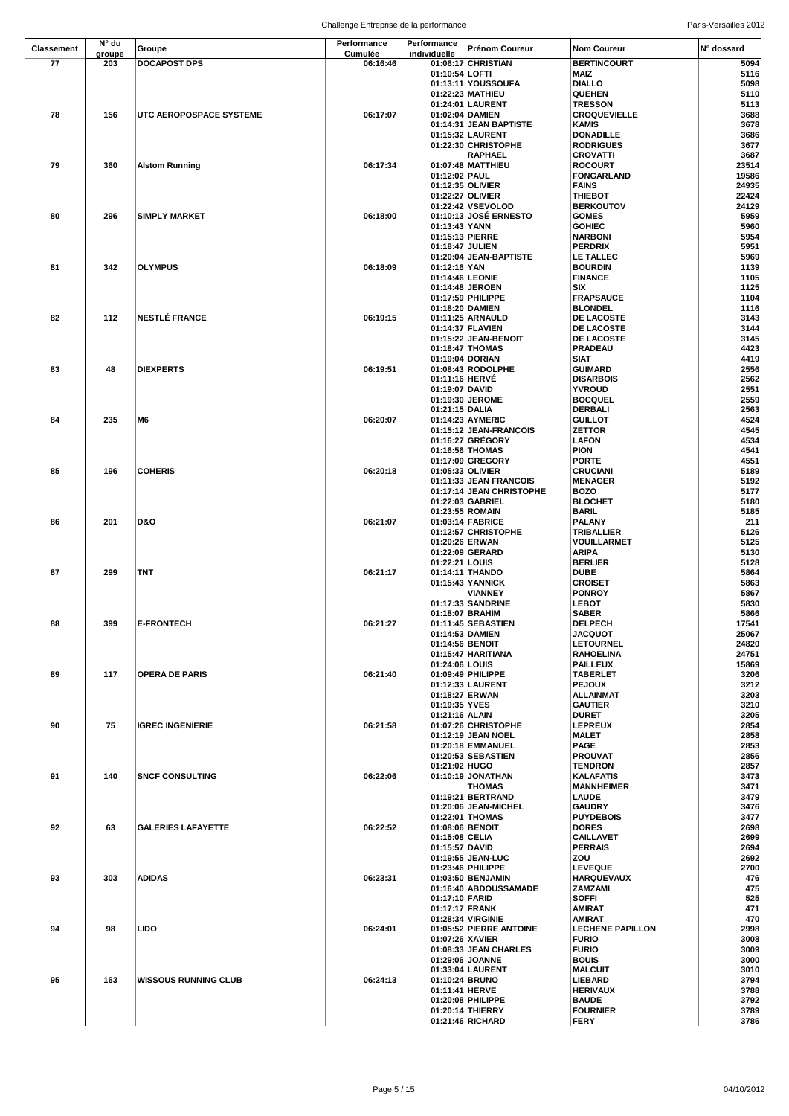| N° du<br>Performance<br>Performance<br>Classement<br>Groupe<br>Cumulée<br>individuelle<br>groupe<br>77<br>203<br><b>DOCAPOST DPS</b><br>06:16:46 | Prénom Coureur<br>N° dossard<br><b>Nom Coureur</b>                                                      |
|--------------------------------------------------------------------------------------------------------------------------------------------------|---------------------------------------------------------------------------------------------------------|
|                                                                                                                                                  |                                                                                                         |
|                                                                                                                                                  | 01:06:17 CHRISTIAN<br><b>BERTINCOURT</b><br>5094                                                        |
|                                                                                                                                                  | 5116<br>01:10:54 LOFTI<br>MAIZ                                                                          |
|                                                                                                                                                  | 5098<br>01:13:11 YOUSSOUFA<br><b>DIALLO</b>                                                             |
|                                                                                                                                                  | 01:22:23 MATHIEU<br>QUEHEN<br>5110<br><b>TRESSON</b>                                                    |
| 78<br>156<br>UTC AEROPOSPACE SYSTEME<br>06:17:07                                                                                                 | 01:24:01 LAURENT<br>5113<br>01:02:04 DAMIEN<br>3688<br><b>CROQUEVIELLE</b>                              |
|                                                                                                                                                  | 3678<br>01:14:31 JEAN BAPTISTE<br>KAMIS                                                                 |
|                                                                                                                                                  | <b>DONADILLE</b><br>3686<br>01:15:32 LAURENT                                                            |
|                                                                                                                                                  | 01:22:30 CHRISTOPHE<br><b>RODRIGUES</b><br>3677                                                         |
|                                                                                                                                                  | 3687<br><b>RAPHAEL</b><br>CROVATTI                                                                      |
| 79<br>360<br>06:17:34<br><b>Alstom Running</b>                                                                                                   | 01:07:48 MATTHIEU<br>23514<br><b>ROCOURT</b>                                                            |
|                                                                                                                                                  | 19586<br>01:12:02 PAUL<br>FONGARLAND                                                                    |
|                                                                                                                                                  | 01:12:35 OLIVIER<br><b>FAINS</b><br>24935<br>22424                                                      |
|                                                                                                                                                  | 01:22:27 OLIVIER<br>THIEBOT<br>01:22:42 VSEVOLOD<br><b>BERKOUTOV</b><br>24129                           |
| 296<br>80<br><b>SIMPLY MARKET</b><br>06:18:00                                                                                                    | 01:10:13 JOSÉ ERNESTO<br>5959<br><b>GOMES</b>                                                           |
|                                                                                                                                                  | 01:13:43 YANN<br>5960<br><b>GOHIEC</b>                                                                  |
|                                                                                                                                                  | 01:15:13 PIERRE<br>5954<br><b>NARBONI</b>                                                               |
|                                                                                                                                                  | 5951<br>01:18:47 JULIEN<br>PERDRIX                                                                      |
|                                                                                                                                                  | 01:20:04 JEAN-BAPTISTE<br><b>LE TALLEC</b><br>5969                                                      |
| 81<br>342<br><b>OLYMPUS</b><br>06:18:09                                                                                                          | 01:12:16 YAN<br><b>BOURDIN</b><br>1139<br>01:14:46 LEONIE<br><b>FINANCE</b><br>1105                     |
|                                                                                                                                                  | 01:14:48 JEROEN<br>SIX<br>1125                                                                          |
|                                                                                                                                                  | 01:17:59 PHILIPPE<br>1104<br><b>FRAPSAUCE</b>                                                           |
|                                                                                                                                                  | 01:18:20 DAMIEN<br><b>BLONDEL</b><br>1116                                                               |
| 82<br>112<br><b>NESTLÉ FRANCE</b><br>06:19:15                                                                                                    | 3143<br>01:11:25 ARNAULD<br><b>DE LACOSTE</b>                                                           |
|                                                                                                                                                  | 01:14:37 FLAVIEN<br>3144<br><b>DE LACOSTE</b>                                                           |
|                                                                                                                                                  | 3145<br>01:15:22 JEAN-BENOIT<br><b>DE LACOSTE</b>                                                       |
|                                                                                                                                                  | 01:18:47 THOMAS<br><b>PRADEAU</b><br>4423<br><b>SIAT</b><br>4419<br>01:19:04 DORIAN                     |
| 83<br>48<br><b>DIEXPERTS</b><br>06:19:51                                                                                                         | 01:08:43 RODOLPHE<br>2556<br><b>GUIMARD</b>                                                             |
|                                                                                                                                                  | 01:11:16 HERVE<br>2562<br><b>DISARBOIS</b>                                                              |
|                                                                                                                                                  | 01:19:07 DAVID<br><b>YVROUD</b><br>2551                                                                 |
|                                                                                                                                                  | 01:19:30 JEROME<br>2559<br><b>BOCQUEL</b>                                                               |
|                                                                                                                                                  | 2563<br>01:21:15 DALIA<br>DERBALI                                                                       |
| 235<br>06:20:07<br>84<br>M6                                                                                                                      | 01:14:23 AYMERIC<br>4524<br><b>GUILLOT</b>                                                              |
|                                                                                                                                                  | 4545<br>01:15:12 JEAN-FRANÇOIS<br>ZETTOR<br>01:16:27 GREGORY<br>4534<br>LAFON                           |
|                                                                                                                                                  | 01:16:56 THOMAS<br><b>PION</b><br>4541                                                                  |
|                                                                                                                                                  | 01:17:09 GREGORY<br><b>PORTE</b><br>4551                                                                |
| <b>COHERIS</b><br>85<br>196<br>06:20:18                                                                                                          | 5189<br>01:05:33 OLIVIER<br>CRUCIANI                                                                    |
|                                                                                                                                                  | 01:11:33 JEAN FRANCOIS<br>5192<br><b>MENAGER</b>                                                        |
|                                                                                                                                                  | 01:17:14 JEAN CHRISTOPHE<br><b>BOZO</b><br>5177                                                         |
|                                                                                                                                                  | 01:22:03 GABRIEL<br><b>BLOCHET</b><br>5180<br><b>BARIL</b><br>5185<br>01:23:55 ROMAIN                   |
| <b>D&amp;O</b><br>86<br>201<br>06:21:07                                                                                                          | 01:03:14 FABRICE<br><b>PALANY</b><br>211                                                                |
|                                                                                                                                                  | 01:12:57 CHRISTOPHE<br>TRIBALLIER<br>5126                                                               |
|                                                                                                                                                  | 01:20:26 ERWAN<br>5125<br>VOUILLARMET                                                                   |
|                                                                                                                                                  | 5130<br>01:22:09 GERARD<br>ARIPA                                                                        |
|                                                                                                                                                  | 01:22:21 LOUIS<br><b>BERLIER</b><br>5128                                                                |
| 299<br>TNT<br>06:21:17<br>87                                                                                                                     | 5864<br>01:14:11 THANDO<br><b>DUBE</b><br>01:15:43 YANNICK<br><b>CROISET</b><br>5863                    |
|                                                                                                                                                  | <b>VIANNEY</b><br>5867<br><b>PONROY</b>                                                                 |
|                                                                                                                                                  | 01:17:33 SANDRINE<br>5830<br><b>LEBOT</b>                                                               |
|                                                                                                                                                  | 5866<br>01:18:07 BRAHIM<br><b>SABER</b>                                                                 |
| 88<br><b>E-FRONTECH</b><br>06:21:27<br>399                                                                                                       | 01:11:45 SEBASTIEN<br><b>DELPECH</b><br>17541                                                           |
|                                                                                                                                                  | 01:14:53 DAMIEN<br><b>JACQUOT</b><br>25067<br>01:14:56 BENOIT<br>24820<br><b>LETOURNEL</b>              |
|                                                                                                                                                  | 01:15:47 HARITIANA<br>24751<br><b>RAHOELINA</b>                                                         |
|                                                                                                                                                  | 01:24:06 LOUIS<br>15869<br><b>PAILLEUX</b>                                                              |
| 89<br>117<br>06:21:40<br><b>OPERA DE PARIS</b>                                                                                                   | 01:09:49 PHILIPPE<br>3206<br><b>TABERLET</b>                                                            |
|                                                                                                                                                  | 01:12:33 LAURENT<br><b>PEJOUX</b><br>3212                                                               |
|                                                                                                                                                  | 01:18:27 ERWAN<br>3203<br><b>ALLAINMAT</b>                                                              |
|                                                                                                                                                  | 01:19:35 YVES<br><b>GAUTIER</b><br>3210<br>01:21:16 ALAIN<br>3205<br><b>DURET</b>                       |
| 90<br>75<br>06:21:58<br><b>IGREC INGENIERIE</b>                                                                                                  | 01:07:26 CHRISTOPHE<br><b>LEPREUX</b><br>2854                                                           |
|                                                                                                                                                  | 01:12:19 JEAN NOEL<br><b>MALET</b><br>2858                                                              |
|                                                                                                                                                  | 01:20:18 EMMANUEL<br><b>PAGE</b><br>2853                                                                |
|                                                                                                                                                  | 2856<br>01:20:53 SEBASTIEN<br><b>PROUVAT</b>                                                            |
|                                                                                                                                                  | 01:21:02 HUGO<br>2857<br><b>TENDRON</b>                                                                 |
| 140<br>91<br><b>SNCF CONSULTING</b><br>06:22:06                                                                                                  | 01:10:19 JONATHAN<br><b>KALAFATIS</b><br>3473                                                           |
|                                                                                                                                                  | <b>THOMAS</b><br><b>MANNHEIMER</b><br>3471<br>01:19:21 BERTRAND<br>3479<br>LAUDE                        |
|                                                                                                                                                  | 01:20:06 JEAN-MICHEL<br>3476<br><b>GAUDRY</b>                                                           |
|                                                                                                                                                  | 01:22:01 THOMAS<br><b>PUYDEBOIS</b><br>3477                                                             |
| 92<br>63<br>06:22:52<br><b>GALERIES LAFAYETTE</b>                                                                                                | 01:08:06 BENOIT<br>2698<br><b>DORES</b>                                                                 |
|                                                                                                                                                  | 01:15:08 CELIA<br>2699<br><b>CAILLAVET</b>                                                              |
|                                                                                                                                                  | 01:15:57 DAVID<br>2694<br><b>PERRAIS</b><br>01:19:55 JEAN-LUC<br>ZOU<br>2692                            |
|                                                                                                                                                  | 2700<br>01:23:46 PHILIPPE<br><b>LEVEQUE</b>                                                             |
| 93<br>303<br><b>ADIDAS</b><br>06:23:31                                                                                                           | 01:03:50 BENJAMIN<br>476<br><b>HARQUEVAUX</b>                                                           |
|                                                                                                                                                  | 01:16:40 ABDOUSSAMADE<br>475<br>ZAMZAMI                                                                 |
|                                                                                                                                                  | 01:17:10 FARID<br>525<br>SOFFI                                                                          |
|                                                                                                                                                  | 01:17:17 FRANK<br><b>AMIRAT</b><br>471                                                                  |
| 94<br>98<br><b>LIDO</b><br>06:24:01                                                                                                              | 470<br>01:28:34 VIRGINIE<br><b>AMIRAT</b><br>01:05:52 PIERRE ANTOINE<br>2998<br><b>LECHENE PAPILLON</b> |
|                                                                                                                                                  | <b>FURIO</b><br>01:07:26 XAVIER<br>3008                                                                 |
|                                                                                                                                                  | 01:08:33 JEAN CHARLES<br><b>FURIO</b><br>3009                                                           |
|                                                                                                                                                  | 01:29:06 JOANNE<br><b>BOUIS</b><br>3000                                                                 |
|                                                                                                                                                  | 01:33:04 LAURENT<br>3010<br><b>MALCUIT</b>                                                              |
| 95<br>163<br>06:24:13<br><b>WISSOUS RUNNING CLUB</b>                                                                                             | 01:10:24 BRUNO<br>3794<br>LIEBARD                                                                       |
|                                                                                                                                                  | 01:11:41 HERVE<br>3788<br><b>HERIVAUX</b><br>01:20:08 PHILIPPE<br><b>BAUDE</b><br>3792                  |
|                                                                                                                                                  | 01:20:14 THIERRY<br>3789<br><b>FOURNIER</b>                                                             |
|                                                                                                                                                  | 01:21:46 RICHARD<br><b>FERY</b><br>3786                                                                 |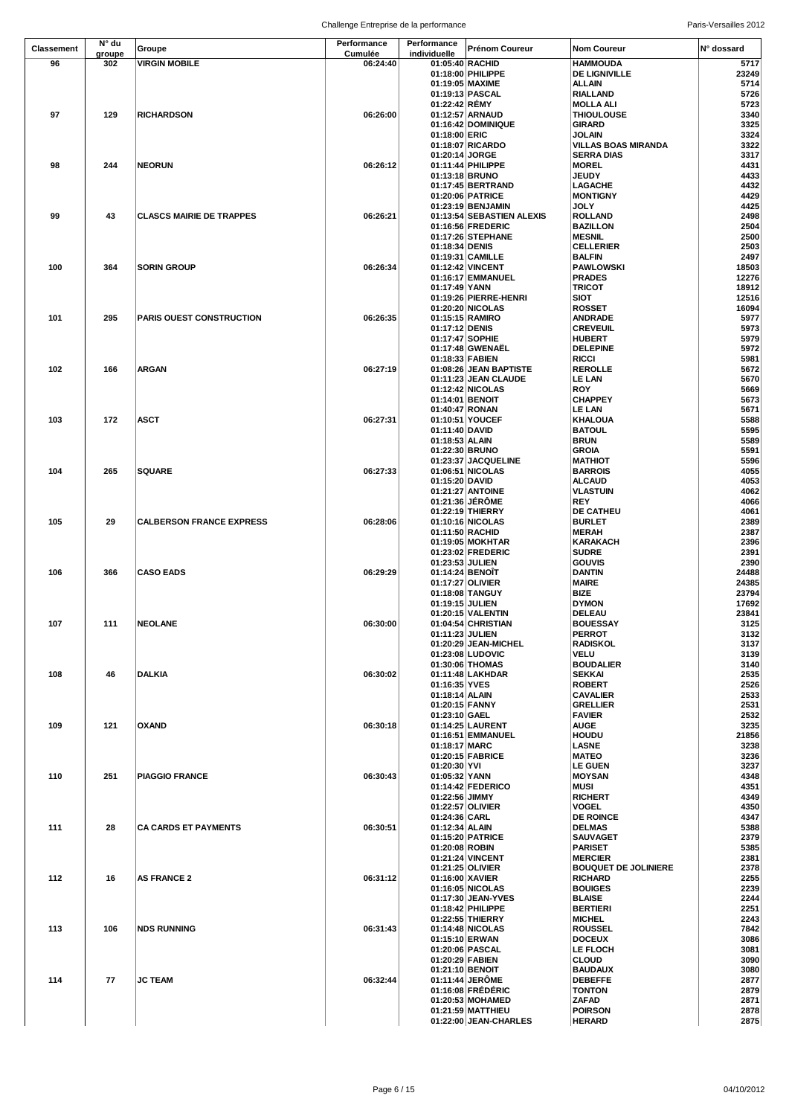|            |               |                                 | Chancing Chinephoe ac la performance |                                     |                                          |                                               | <b>I and vuldamed ZOT</b> |
|------------|---------------|---------------------------------|--------------------------------------|-------------------------------------|------------------------------------------|-----------------------------------------------|---------------------------|
| Classement | N° du         | Groupe                          | Performance                          | Performance                         | <b>Prénom Coureur</b>                    | <b>Nom Coureur</b>                            | N° dossard                |
| 96         | groupe<br>302 | <b>VIRGIN MOBILE</b>            | Cumulée<br>06:24:40                  | individuelle<br>01:05:40 RACHID     |                                          | <b>HAMMOUDA</b>                               | 5717                      |
|            |               |                                 |                                      |                                     | 01:18:00 PHILIPPE                        | <b>DE LIGNIVILLE</b>                          | 23249                     |
|            |               |                                 |                                      | 01:19:05 MAXIME                     |                                          | <b>ALLAIN</b>                                 | 5714                      |
|            |               |                                 |                                      | 01:19:13 PASCAL                     |                                          | RIALLAND                                      | 5726                      |
|            |               |                                 |                                      | 01:22:42 RÉMY                       |                                          | <b>MOLLA ALI</b>                              | 5723                      |
| 97         | 129           | <b>RICHARDSON</b>               | 06:26:00                             |                                     | 01:12:57 ARNAUD<br>01:16:42 DOMINIQUE    | <b>THIOULOUSE</b><br>GIRARD                   | 3340<br>3325              |
|            |               |                                 |                                      | 01:18:00 ERIC                       |                                          | JOLAIN                                        | 3324                      |
|            |               |                                 |                                      |                                     | 01:18:07 RICARDO                         | VILLAS BOAS MIRANDA                           | 3322                      |
|            |               |                                 |                                      | 01:20:14 JORGE                      |                                          | <b>SERRA DIAS</b>                             | 3317                      |
| 98         | 244           | <b>NEORUN</b>                   | 06:26:12                             |                                     | 01:11:44 PHILIPPE                        | <b>MOREL</b>                                  | 4431                      |
|            |               |                                 |                                      | 01:13:18 BRUNO                      |                                          | <b>JEUDY</b>                                  | 4433                      |
|            |               |                                 |                                      |                                     | 01:17:45 BERTRAND                        | <b>LAGACHE</b>                                | 4432                      |
|            |               |                                 |                                      |                                     | 01:20:06 PATRICE<br>01:23:19 BENJAMIN    | <b>MONTIGNY</b><br>JOLY                       | 4429<br>4425              |
| 99         | 43            | <b>CLASCS MAIRIE DE TRAPPES</b> | 06:26:21                             |                                     | 01:13:54 SEBASTIEN ALEXIS                | <b>ROLLAND</b>                                | 2498                      |
|            |               |                                 |                                      |                                     | 01:16:56 FREDERIC                        | <b>BAZILLON</b>                               | 2504                      |
|            |               |                                 |                                      |                                     | 01:17:26 STEPHANE                        | <b>MESNIL</b>                                 | 2500                      |
|            |               |                                 |                                      | 01:18:34 DENIS                      |                                          | <b>CELLERIER</b>                              | 2503                      |
|            |               |                                 |                                      |                                     | 01:19:31 CAMILLE                         | <b>BALFIN</b>                                 | 2497                      |
| 100        | 364           | <b>SORIN GROUP</b>              | 06:26:34                             |                                     | 01:12:42 VINCENT<br>01:16:17 EMMANUEL    | <b>PAWLOWSKI</b><br><b>PRADES</b>             | 18503<br>12276            |
|            |               |                                 |                                      | 01:17:49 YANN                       |                                          | <b>TRICOT</b>                                 | 18912                     |
|            |               |                                 |                                      |                                     | 01:19:26 PIERRE-HENRI                    | SIOT                                          | 12516                     |
|            |               |                                 |                                      |                                     | 01:20:20 NICOLAS                         | <b>ROSSET</b>                                 | 16094                     |
| 101        | 295           | <b>PARIS OUEST CONSTRUCTION</b> | 06:26:35                             |                                     | 01:15:15 RAMIRO                          | <b>ANDRADE</b>                                | 5977                      |
|            |               |                                 |                                      | 01:17:12 DENIS                      |                                          | <b>CREVEUIL</b>                               | 5973                      |
|            |               |                                 |                                      | 01:17:47 SOPHIE                     |                                          | <b>HUBERT</b><br><b>DELEPINE</b>              | 5979<br>5972              |
|            |               |                                 |                                      | 01:18:33 FABIEN                     | 01:17:48 GWENAEL                         | RICCI                                         | 5981                      |
| 102        | 166           | <b>ARGAN</b>                    | 06:27:19                             |                                     | 01:08:26 JEAN BAPTISTE                   | <b>REROLLE</b>                                | 5672                      |
|            |               |                                 |                                      |                                     | 01:11:23 JEAN CLAUDE                     | <b>LE LAN</b>                                 | 5670                      |
|            |               |                                 |                                      |                                     | 01:12:42 NICOLAS                         | <b>ROY</b>                                    | 5669                      |
|            |               |                                 |                                      | 01:14:01 BENOIT                     |                                          | <b>CHAPPEY</b>                                | 5673                      |
|            |               |                                 |                                      | 01:40:47 RONAN                      |                                          | <b>LE LAN</b>                                 | 5671                      |
| 103        | 172           | <b>ASCT</b>                     | 06:27:31                             | 01:11:40 DAVID                      | 01:10:51 YOUCEF                          | <b>KHALOUA</b><br><b>BATOUL</b>               | 5588<br>5595              |
|            |               |                                 |                                      | 01:18:53 ALAIN                      |                                          | <b>BRUN</b>                                   | 5589                      |
|            |               |                                 |                                      | 01:22:30 BRUNO                      |                                          | <b>GROIA</b>                                  | 5591                      |
|            |               |                                 |                                      |                                     | 01:23:37 JACQUELINE                      | <b>MATHIOT</b>                                | 5596                      |
| 104        | 265           | <b>SQUARE</b>                   | 06:27:33                             |                                     | 01:06:51 NICOLAS                         | <b>BARROIS</b>                                | 4055                      |
|            |               |                                 |                                      | 01:15:20 DAVID                      |                                          | <b>ALCAUD</b>                                 | 4053                      |
|            |               |                                 |                                      |                                     | 01:21:27 ANTOINE                         | <b>VLASTUIN</b>                               | 4062                      |
|            |               |                                 |                                      |                                     | 01:21:36 JERÖME<br>01:22:19 THIERRY      | <b>REY</b><br><b>DE CATHEU</b>                | 4066<br>4061              |
| 105        | 29            | <b>CALBERSON FRANCE EXPRESS</b> | 06:28:06                             |                                     | 01:10:16 NICOLAS                         | <b>BURLET</b>                                 | 2389                      |
|            |               |                                 |                                      | 01:11:50 RACHID                     |                                          | <b>MERAH</b>                                  | 2387                      |
|            |               |                                 |                                      |                                     | 01:19:05 MOKHTAR                         | KARAKACH                                      | 2396                      |
|            |               |                                 |                                      |                                     | 01:23:02 FREDERIC                        | <b>SUDRE</b>                                  | 2391                      |
|            |               | <b>CASO EADS</b>                | 06:29:29                             | 01:23:53 JULIEN                     |                                          | <b>GOUVIS</b><br><b>DANTIN</b>                | 2390<br>24488             |
| 106        | 366           |                                 |                                      | 01:14:24 BENOIT<br>01:17:27 OLIVIER |                                          | <b>MAIRE</b>                                  | 24385                     |
|            |               |                                 |                                      |                                     | 01:18:08 TANGUY                          | BIZE                                          | 23794                     |
|            |               |                                 |                                      | 01:19:15 JULIEN                     |                                          | <b>DYMON</b>                                  | 17692                     |
|            |               |                                 |                                      |                                     | 01:20:15 VALENTIN                        | <b>DELEAU</b>                                 | 23841                     |
| 107        | 111           | <b>NEOLANE</b>                  | 06:30:00                             |                                     | 01:04:54 CHRISTIAN                       | <b>BOUESSAY</b>                               | 3125                      |
|            |               |                                 |                                      | 01:11:23 JULIEN                     |                                          | <b>PERROT</b>                                 | 3132                      |
|            |               |                                 |                                      |                                     | 01:20:29 JEAN-MICHEL<br>01:23:08 LUDOVIC | <b>RADISKOL</b><br>VELU                       | 3137<br>3139              |
|            |               |                                 |                                      |                                     | 01:30:06 THOMAS                          | <b>BOUDALIER</b>                              | 3140                      |
| 108        | 46            | <b>DALKIA</b>                   | 06:30:02                             |                                     | 01:11:48 LAKHDAR                         | <b>SEKKAI</b>                                 | 2535                      |
|            |               |                                 |                                      | 01:16:35 YVES                       |                                          | <b>ROBERT</b>                                 | 2526                      |
|            |               |                                 |                                      | 01:18:14 ALAIN                      |                                          | <b>CAVALIER</b>                               | 2533                      |
|            |               |                                 |                                      | 01:20:15 FANNY                      |                                          | <b>GRELLIER</b>                               | 2531                      |
| 109        | 121           | <b>OXAND</b>                    | 06:30:18                             | 01:23:10 GAEL                       | 01:14:25 LAURENT                         | <b>FAVIER</b><br>AUGE                         | 2532<br>3235              |
|            |               |                                 |                                      |                                     | 01:16:51 EMMANUEL                        | HOUDU                                         | 21856                     |
|            |               |                                 |                                      | 01:18:17 MARC                       |                                          | LASNE                                         | 3238                      |
|            |               |                                 |                                      |                                     | 01:20:15 FABRICE                         | <b>MATEO</b>                                  | 3236                      |
|            |               |                                 |                                      | 01:20:30 YVI                        |                                          | <b>LE GUEN</b>                                | 3237                      |
| 110        | 251           | <b>PIAGGIO FRANCE</b>           | 06:30:43                             | 01:05:32 YANN                       |                                          | <b>MOYSAN</b>                                 | 4348                      |
|            |               |                                 |                                      | 01:22:56 JIMMY                      | 01:14:42 FEDERICO                        | MUSI<br><b>RICHERT</b>                        | 4351<br>4349              |
|            |               |                                 |                                      | 01:22:57 OLIVIER                    |                                          | <b>VOGEL</b>                                  | 4350                      |
|            |               |                                 |                                      | 01:24:36 CARL                       |                                          | DE ROINCE                                     | 4347                      |
| 111        | 28            | <b>CA CARDS ET PAYMENTS</b>     | 06:30:51                             | 01:12:34 ALAIN                      |                                          | <b>DELMAS</b>                                 | 5388                      |
|            |               |                                 |                                      |                                     | 01:15:20 PATRICE                         | <b>SAUVAGET</b>                               | 2379                      |
|            |               |                                 |                                      | 01:20:08 ROBIN                      |                                          | <b>PARISET</b>                                | 5385                      |
|            |               |                                 |                                      |                                     | 01:21:24 VINCENT                         | <b>MERCIER</b>                                | 2381<br>2378              |
| 112        | 16            | <b>AS FRANCE 2</b>              | 06:31:12                             | 01:21:25 OLIVIER<br>01:16:00 XAVIER |                                          | <b>BOUQUET DE JOLINIERE</b><br><b>RICHARD</b> | 2255                      |
|            |               |                                 |                                      |                                     | 01:16:05 NICOLAS                         | <b>BOUIGES</b>                                | 2239                      |
|            |               |                                 |                                      |                                     | 01:17:30 JEAN-YVES                       | <b>BLAISE</b>                                 | 2244                      |
|            |               |                                 |                                      |                                     | 01:18:42 PHILIPPE                        | <b>BERTIERI</b>                               | 2251                      |
|            |               |                                 |                                      |                                     | 01:22:55 THIERRY                         | <b>MICHEL</b>                                 | 2243                      |
| 113        | 106           | <b>NDS RUNNING</b>              | 06:31:43                             |                                     | 01:14:48 NICOLAS                         | <b>ROUSSEL</b>                                | 7842                      |
|            |               |                                 |                                      | 01:15:10 ERWAN                      | 01:20:06 PASCAL                          | <b>DOCEUX</b><br>LE FLOCH                     | 3086<br>3081              |
|            |               |                                 |                                      | 01:20:29 FABIEN                     |                                          | <b>CLOUD</b>                                  | 3090                      |
|            |               |                                 |                                      | 01:21:10 BENOIT                     |                                          | <b>BAUDAUX</b>                                | 3080                      |
| 114        | 77            | <b>JC TEAM</b>                  | 06:32:44                             |                                     | 01:11:44 JERÖME                          | <b>DEBEFFE</b>                                | 2877                      |
|            |               |                                 |                                      |                                     | 01:16:08 FREDERIC                        | <b>TONTON</b>                                 | 2879                      |
|            |               |                                 |                                      |                                     | 01:20:53 MOHAMED                         | <b>ZAFAD</b>                                  | 2871                      |
|            |               |                                 |                                      |                                     | 01:21:59 MATTHIEU                        | <b>POIRSON</b>                                | 2878                      |
|            |               |                                 |                                      |                                     | 01:22:00 JEAN-CHARLES                    | <b>HERARD</b>                                 | 2875                      |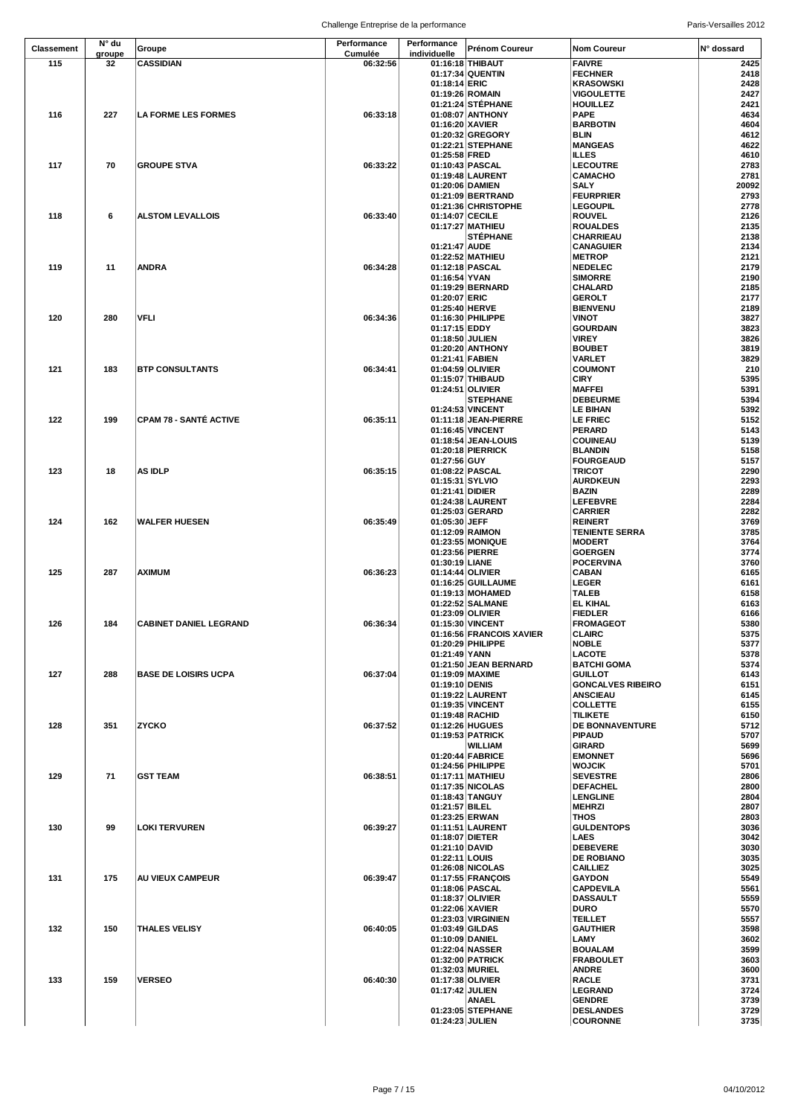| <b>Classement</b> | N° du  | Groupe                        | Performance | Performance     | <b>Prénom Coureur</b>                | <b>Nom Coureur</b>                 | N° dossard   |
|-------------------|--------|-------------------------------|-------------|-----------------|--------------------------------------|------------------------------------|--------------|
|                   | groupe |                               | Cumulée     | individuelle    |                                      |                                    |              |
| 115               | 32     | <b>CASSIDIAN</b>              | 06:32:56    |                 | 01:16:18 THIBAUT                     | <b>FAIVRE</b><br><b>FECHNER</b>    | 2425<br>2418 |
|                   |        |                               |             | 01:18:14 ERIC   | 01:17:34 QUENTIN                     | <b>KRASOWSKI</b>                   | 2428         |
|                   |        |                               |             |                 | 01:19:26 ROMAIN                      | <b>VIGOULETTE</b>                  | 2427         |
|                   |        |                               |             |                 | 01:21:24 STEPHANE                    | <b>HOUILLEZ</b>                    | 2421         |
| 116               | 227    | <b>LA FORME LES FORMES</b>    | 06:33:18    |                 | 01:08:07 ANTHONY                     | <b>PAPE</b>                        | 4634         |
|                   |        |                               |             | 01:16:20 XAVIER |                                      | <b>BARBOTIN</b>                    | 4604         |
|                   |        |                               |             |                 | 01:20:32 GREGORY                     | BLIN                               | 4612         |
|                   |        |                               |             |                 | 01:22:21 STEPHANE                    | <b>MANGEAS</b>                     | 4622         |
|                   |        |                               |             | 01:25:58 FRED   |                                      | <b>ILLES</b>                       | 4610         |
| 117               | 70     | <b>GROUPE STVA</b>            | 06:33:22    |                 | 01:10:43 PASCAL                      | <b>LECOUTRE</b>                    | 2783         |
|                   |        |                               |             |                 | 01:19:48 LAURENT                     | <b>CAMACHO</b>                     | 2781         |
|                   |        |                               |             |                 | 01:20:06 DAMIEN                      | <b>SALY</b>                        | 20092        |
|                   |        |                               |             |                 | 01:21:09 BERTRAND                    | <b>FEURPRIER</b>                   | 2793         |
| 118               | 6      | <b>ALSTOM LEVALLOIS</b>       | 06:33:40    | 01:14:07 CECILE | 01:21:36 CHRISTOPHE                  | <b>LEGOUPIL</b><br><b>ROUVEL</b>   | 2778<br>2126 |
|                   |        |                               |             |                 | 01:17:27 MATHIEU                     | <b>ROUALDES</b>                    | 2135         |
|                   |        |                               |             |                 | <b>STEPHANE</b>                      | <b>CHARRIEAU</b>                   | 2138         |
|                   |        |                               |             | 01:21:47 AUDE   |                                      | <b>CANAGUIER</b>                   | 2134         |
|                   |        |                               |             |                 | 01:22:52 MATHIEU                     | <b>METROP</b>                      | 2121         |
| 119               | 11     | <b>ANDRA</b>                  | 06:34:28    |                 | 01:12:18 PASCAL                      | <b>NEDELEC</b>                     | 2179         |
|                   |        |                               |             | 01:16:54 YVAN   |                                      | <b>SIMORRE</b>                     | 2190         |
|                   |        |                               |             |                 | 01:19:29 BERNARD                     | CHALARD                            | 2185         |
|                   |        |                               |             | 01:20:07 ERIC   |                                      | <b>GEROLT</b>                      | 2177         |
|                   |        |                               |             | 01:25:40 HERVE  |                                      | <b>BIENVENU</b>                    | 2189         |
| 120               | 280    | VFLI                          | 06:34:36    |                 | 01:16:30 PHILIPPE                    | <b>VINOT</b>                       | 3827         |
|                   |        |                               |             | 01:17:15 EDDY   |                                      | <b>GOURDAIN</b><br><b>VIREY</b>    | 3823<br>3826 |
|                   |        |                               |             | 01:18:50 JULIEN | 01:20:20 ANTHONY                     | <b>BOUBET</b>                      | 3819         |
|                   |        |                               |             | 01:21:41 FABIEN |                                      | VARLET                             | 3829         |
| 121               | 183    | <b>BTP CONSULTANTS</b>        | 06:34:41    |                 | 01:04:59 OLIVIER                     | <b>COUMONT</b>                     | 210          |
|                   |        |                               |             |                 | 01:15:07 THIBAUD                     | <b>CIRY</b>                        | 5395         |
|                   |        |                               |             |                 | 01:24:51 OLIVIER                     | <b>MAFFEI</b>                      | 5391         |
|                   |        |                               |             |                 | <b>STEPHANE</b>                      | <b>DEBEURME</b>                    | 5394         |
|                   |        |                               |             |                 | 01:24:53 VINCENT                     | <b>LE BIHAN</b>                    | 5392         |
| 122               | 199    | <b>CPAM 78 - SANTÉ ACTIVE</b> | 06:35:11    |                 | 01:11:18 JEAN-PIERRE                 | <b>LE FRIEC</b>                    | 5152         |
|                   |        |                               |             |                 | 01:16:45 VINCENT                     | <b>PERARD</b>                      | 5143         |
|                   |        |                               |             |                 | 01:18:54 JEAN-LOUIS                  | <b>COUINEAU</b>                    | 5139         |
|                   |        |                               |             |                 | 01:20:18 PIERRICK                    | <b>BLANDIN</b>                     | 5158         |
|                   |        |                               |             | 01:27:56 GUY    |                                      | <b>FOURGEAUD</b>                   | 5157         |
| 123               | 18     | <b>AS IDLP</b>                | 06:35:15    | 01:15:31 SYLVIO | 01:08:22 PASCAL                      | <b>TRICOT</b><br><b>AURDKEUN</b>   | 2290<br>2293 |
|                   |        |                               |             | 01:21:41 DIDIER |                                      | BAZIN                              | 2289         |
|                   |        |                               |             |                 | 01:24:38 LAURENT                     | <b>LEFEBVRE</b>                    | 2284         |
|                   |        |                               |             |                 | 01:25:03 GERARD                      | <b>CARRIER</b>                     | 2282         |
| 124               | 162    | <b>WALFER HUESEN</b>          | 06:35:49    | 01:05:30 JEFF   |                                      | <b>REINERT</b>                     | 3769         |
|                   |        |                               |             |                 | 01:12:09 RAIMON                      | <b>TENIENTE SERRA</b>              | 3785         |
|                   |        |                               |             |                 | 01:23:55 MONIQUE                     | <b>MODERT</b>                      | 3764         |
|                   |        |                               |             |                 | 01:23:56 PIERRE                      | <b>GOERGEN</b>                     | 3774         |
|                   |        |                               |             | 01:30:19 LIANE  |                                      | <b>POCERVINA</b>                   | 3760         |
| 125               | 287    | <b>AXIMUM</b>                 | 06:36:23    |                 | 01:14:44 OLIVIER                     | <b>CABAN</b>                       | 6165         |
|                   |        |                               |             |                 | 01:16:25 GUILLAUME                   | LEGER                              | 6161         |
|                   |        |                               |             |                 | 01:19:13 MOHAMED<br>01:22:52 SALMANE | <b>TALEB</b><br><b>EL KIHAL</b>    | 6158<br>6163 |
|                   |        |                               |             |                 | 01:23:09 OLIVIER                     | <b>FIEDLER</b>                     | 6166         |
| 126               | 184    | <b>CABINET DANIEL LEGRAND</b> | 06:36:34    |                 | 01:15:30 VINCENT                     | <b>FROMAGEOT</b>                   | 5380         |
|                   |        |                               |             |                 | 01:16:56 FRANCOIS XAVIER             | <b>CLAIRC</b>                      | 5375         |
|                   |        |                               |             |                 | 01:20:29 PHILIPPE                    | <b>NOBLE</b>                       | 5377         |
|                   |        |                               |             | 01:21:49 YANN   |                                      | <b>LACOTE</b>                      | 5378         |
|                   |        |                               |             |                 | 01:21:50 JEAN BERNARD                | <b>BATCHI GOMA</b>                 | 5374         |
| 127               | 288    | <b>BASE DE LOISIRS UCPA</b>   | 06:37:04    |                 | 01:19:09 MAXIME                      | <b>GUILLOT</b>                     | 6143         |
|                   |        |                               |             | 01:19:10 DENIS  |                                      | <b>GONCALVES RIBEIRO</b>           | 6151         |
|                   |        |                               |             |                 | 01:19:22 LAURENT                     | <b>ANSCIEAU</b>                    | 6145         |
|                   |        |                               |             |                 | 01:19:35 VINCENT                     | <b>COLLETTE</b>                    | 6155         |
| 128               | 351    | <b>ZYCKO</b>                  | 06:37:52    |                 | 01:19:48 RACHID<br>01:12:26 HUGUES   | <b>TILIKETE</b><br>DE BONNAVENTURE | 6150<br>5712 |
|                   |        |                               |             |                 | 01:19:53 PATRICK                     | <b>PIPAUD</b>                      | 5707         |
|                   |        |                               |             |                 | <b>WILLIAM</b>                       | <b>GIRARD</b>                      | 5699         |
|                   |        |                               |             |                 | 01:20:44 FABRICE                     | <b>EMONNET</b>                     | 5696         |
|                   |        |                               |             |                 | 01:24:56 PHILIPPE                    | <b>WOJCIK</b>                      | 5701         |
| 129               | 71     | <b>GST TEAM</b>               | 06:38:51    |                 | 01:17:11 MATHIEU                     | <b>SEVESTRE</b>                    | 2806         |
|                   |        |                               |             |                 | 01:17:35 NICOLAS                     | <b>DEFACHEL</b>                    | 2800         |
|                   |        |                               |             |                 | 01:18:43 TANGUY                      | <b>LENGLINE</b>                    | 2804         |
|                   |        |                               |             | 01:21:57 BILEL  |                                      | <b>MEHRZI</b>                      | 2807         |
| 130               | 99     | <b>LOKI TERVUREN</b>          | 06:39:27    | 01:23:25 ERWAN  | 01:11:51 LAURENT                     | THOS<br><b>GULDENTOPS</b>          | 2803<br>3036 |
|                   |        |                               |             | 01:18:07 DIETER |                                      | LAES                               | 3042         |
|                   |        |                               |             | 01:21:10 DAVID  |                                      | <b>DEBEVERE</b>                    | 3030         |
|                   |        |                               |             | 01:22:11 LOUIS  |                                      | <b>DE ROBIANO</b>                  | 3035         |
|                   |        |                               |             |                 | 01:26:08 NICOLAS                     | <b>CAILLIEZ</b>                    | 3025         |
| 131               | 175    | AU VIEUX CAMPEUR              | 06:39:47    |                 | 01:17:55 FRANÇOIS                    | <b>GAYDON</b>                      | 5549         |
|                   |        |                               |             |                 | 01:18:06 PASCAL                      | <b>CAPDEVILA</b>                   | 5561         |
|                   |        |                               |             |                 | 01:18:37 OLIVIER                     | <b>DASSAULT</b>                    | 5559         |
|                   |        |                               |             | 01:22:06 XAVIER |                                      | <b>DURO</b>                        | 5570         |
|                   |        |                               |             |                 | 01:23:03 VIRGINIEN                   | <b>TEILLET</b>                     | 5557         |
| 132               | 150    | THALES VELISY                 | 06:40:05    | 01:03:49 GILDAS |                                      | <b>GAUTHIER</b>                    | 3598         |
|                   |        |                               |             | 01:10:09 DANIEL | 01:22:04 NASSER                      | LAMY<br><b>BOUALAM</b>             | 3602<br>3599 |
|                   |        |                               |             |                 | 01:32:00 PATRICK                     | <b>FRABOULET</b>                   | 3603         |
|                   |        |                               |             |                 | 01:32:03 MURIEL                      | <b>ANDRE</b>                       | 3600         |
| 133               | 159    | <b>VERSEO</b>                 | 06:40:30    |                 | 01:17:38 OLIVIER                     | <b>RACLE</b>                       | 3731         |
|                   |        |                               |             | 01:17:42 JULIEN |                                      | LEGRAND                            | 3724         |
|                   |        |                               |             |                 | <b>ANAEL</b>                         | <b>GENDRE</b>                      | 3739         |
|                   |        |                               |             |                 | 01:23:05 STEPHANE                    | <b>DESLANDES</b>                   | 3729         |
|                   |        |                               |             | 01:24:23 JULIEN |                                      | <b>COURONNE</b>                    | 3735         |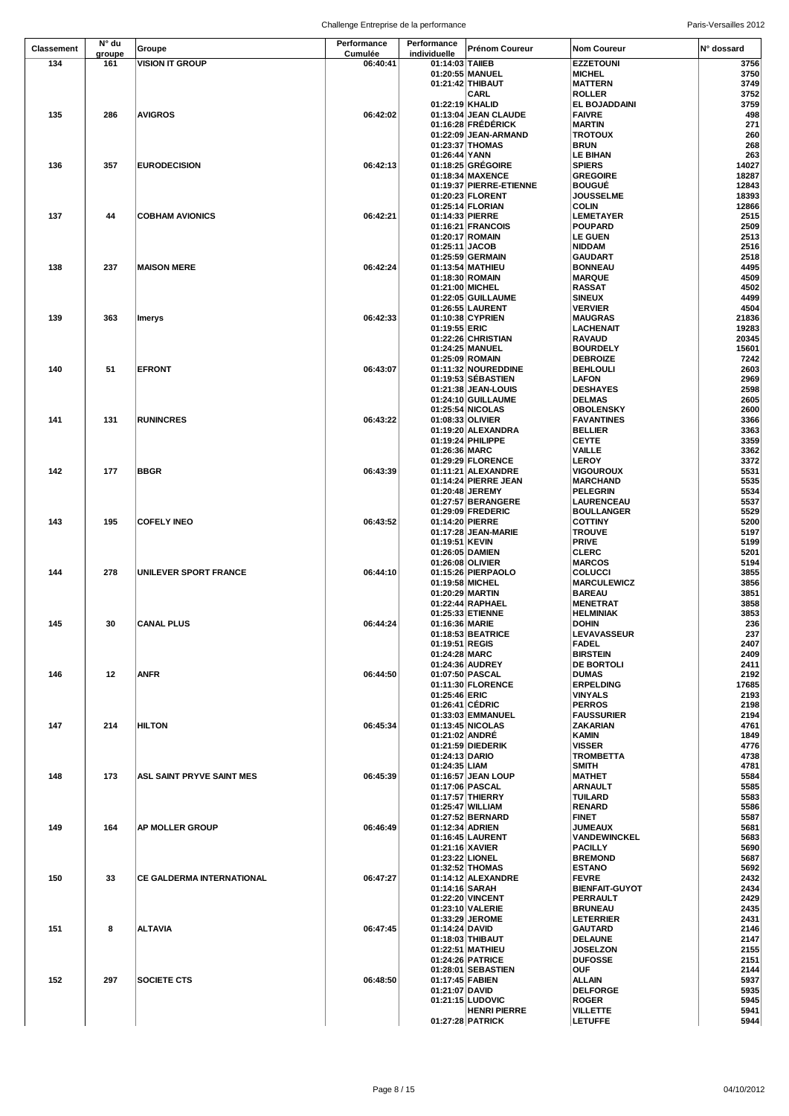Challenge Entreprise de la performance entre annumento and paris-Versailles 2012

| Classement | N° du  | Groupe                           | Performance | Performance     | Prénom Coureur                      | <b>Nom Coureur</b>                | N° dossard   |
|------------|--------|----------------------------------|-------------|-----------------|-------------------------------------|-----------------------------------|--------------|
|            | groupe |                                  | Cumulée     | individuelle    |                                     |                                   |              |
| 134        | 161    | <b>VISION IT GROUP</b>           | 06:40:41    | 01:14:03 TAIIEB | 01:20:55 MANUEL                     | <b>EZZETOUNI</b>                  | 3756         |
|            |        |                                  |             |                 | 01:21:42 THIBAUT                    | <b>MICHEL</b><br><b>MATTERN</b>   | 3750<br>3749 |
|            |        |                                  |             |                 | CARL                                | <b>ROLLER</b>                     | 3752         |
|            |        |                                  |             | 01:22:19 KHALID |                                     | <b>EL BOJADDAINI</b>              | 3759         |
| 135        | 286    | <b>AVIGROS</b>                   | 06:42:02    |                 | 01:13:04 JEAN CLAUDE                | <b>FAIVRE</b>                     | 498          |
|            |        |                                  |             |                 | 01:16:28 FRÉDÉRICK                  | <b>MARTIN</b>                     | 271          |
|            |        |                                  |             |                 | 01:22:09 JEAN-ARMAND                | <b>TROTOUX</b>                    | 260          |
|            |        |                                  |             |                 | 01:23:37 THOMAS                     | <b>BRUN</b>                       | 268          |
|            |        |                                  |             | 01:26:44 YANN   |                                     | <b>LE BIHAN</b>                   | 263          |
| 136        | 357    | <b>EURODECISION</b>              | 06:42:13    |                 | 01:18:25 GRÉGOIRE                   | <b>SPIERS</b>                     | 14027        |
|            |        |                                  |             |                 | 01:18:34 MAXENCE                    | <b>GREGOIRE</b>                   | 18287        |
|            |        |                                  |             |                 | 01:19:37 PIERRE-ETIENNE             | <b>BOUGUÉ</b>                     | 12843        |
|            |        |                                  |             |                 | 01:20:23 FLORENT                    | <b>JOUSSELME</b>                  | 18393        |
|            |        |                                  |             |                 | 01:25:14 FLORIAN                    | <b>COLIN</b>                      | 12866        |
| 137        | 44     | <b>COBHAM AVIONICS</b>           | 06:42:21    | 01:14:33 PIERRE |                                     | <b>LEMETAYER</b>                  | 2515         |
|            |        |                                  |             |                 | 01:16:21 FRANCOIS                   | <b>POUPARD</b>                    | 2509         |
|            |        |                                  |             |                 | 01:20:17 ROMAIN                     | <b>LE GUEN</b>                    | 2513         |
|            |        |                                  |             | 01:25:11 JACOB  |                                     | <b>NIDDAM</b>                     | 2516         |
|            |        |                                  |             |                 | 01:25:59 GERMAIN                    | <b>GAUDART</b>                    | 2518         |
| 138        | 237    | <b>MAISON MERE</b>               | 06:42:24    |                 | 01:13:54 MATHIEU                    | <b>BONNEAU</b>                    | 4495         |
|            |        |                                  |             |                 | 01:18:30 ROMAIN                     | <b>MARQUE</b>                     | 4509         |
|            |        |                                  |             |                 | 01:21:00 MICHEL                     | <b>RASSAT</b>                     | 4502         |
|            |        |                                  |             |                 | 01:22:05 GUILLAUME                  | <b>SINEUX</b>                     | 4499         |
|            |        |                                  |             |                 | 01:26:55 LAURENT                    | <b>VERVIER</b>                    | 4504         |
| 139        | 363    | <b>Imerys</b>                    | 06:42:33    |                 | 01:10:38 CYPRIEN                    | <b>MAUGRAS</b>                    | 21836        |
|            |        |                                  |             | 01:19:55 ERIC   |                                     | <b>LACHENAIT</b>                  | 19283        |
|            |        |                                  |             |                 | 01:22:26 CHRISTIAN                  | <b>RAVAUD</b>                     | 20345        |
|            |        |                                  |             |                 | 01:24:25 MANUEL                     | <b>BOURDELY</b>                   | 15601        |
|            |        |                                  |             |                 | 01:25:09 ROMAIN                     | <b>DEBROIZE</b>                   | 7242         |
| 140        | 51     | <b>EFRONT</b>                    | 06:43:07    |                 | 01:11:32 NOUREDDINE                 | <b>BEHLOULI</b>                   | 2603         |
|            |        |                                  |             |                 | 01:19:53 SEBASTIEN                  | LAFON                             | 2969         |
|            |        |                                  |             |                 | 01:21:38 JEAN-LOUIS                 | <b>DESHAYES</b>                   | 2598         |
|            |        |                                  |             |                 | 01:24:10 GUILLAUME                  | <b>DELMAS</b>                     | 2605         |
|            |        |                                  |             |                 | 01:25:54 NICOLAS                    | <b>OBOLENSKY</b>                  | 2600         |
| 141        | 131    | <b>RUNINCRES</b>                 | 06:43:22    |                 | 01:08:33 OLIVIER                    | <b>FAVANTINES</b>                 | 3366         |
|            |        |                                  |             |                 | 01:19:20 ALEXANDRA                  | <b>BELLIER</b>                    | 3363         |
|            |        |                                  |             |                 | 01:19:24 PHILIPPE                   | <b>CEYTE</b>                      | 3359         |
|            |        |                                  |             | 01:26:36 MARC   |                                     | <b>VAILLE</b>                     | 3362         |
|            |        |                                  |             |                 | 01:29:29 FLORENCE                   | <b>LEROY</b>                      | 3372         |
| 142        | 177    | <b>BBGR</b>                      | 06:43:39    |                 | 01:11:21 ALEXANDRE                  | <b>VIGOUROUX</b>                  | 5531         |
|            |        |                                  |             |                 | 01:14:24 PIERRE JEAN                | <b>MARCHAND</b>                   | 5535         |
|            |        |                                  |             |                 | 01:20:48 JEREMY                     | <b>PELEGRIN</b>                   | 5534         |
|            |        |                                  |             |                 | 01:27:57 BERANGERE                  | LAURENCEAU                        | 5537         |
|            |        |                                  |             |                 | 01:29:09 FREDERIC                   | <b>BOULLANGER</b>                 | 5529         |
| 143        | 195    | <b>COFELY INEO</b>               | 06:43:52    | 01:14:20 PIERRE |                                     | <b>COTTINY</b>                    | 5200         |
|            |        |                                  |             |                 | 01:17:28 JEAN-MARIE                 | <b>TROUVE</b>                     | 5197         |
|            |        |                                  |             | 01:19:51 KEVIN  |                                     | <b>PRIVE</b>                      | 5199         |
|            |        |                                  |             |                 | 01:26:05 DAMIEN                     | <b>CLERC</b>                      | 5201         |
|            |        |                                  |             |                 | 01:26:08 OLIVIER                    | <b>MARCOS</b>                     | 5194         |
| 144        | 278    | UNILEVER SPORT FRANCE            | 06:44:10    |                 | 01:15:26 PIERPAOLO                  | <b>COLUCCI</b>                    | 3855         |
|            |        |                                  |             | 01:19:58 MICHEL |                                     | <b>MARCULEWICZ</b>                | 3856<br>3851 |
|            |        |                                  |             |                 | 01:20:29 MARTIN<br>01:22:44 RAPHAEL | <b>BAREAU</b><br><b>MENETRAT</b>  | 3858         |
|            |        |                                  |             |                 | 01:25:33 ETIENNE                    | <b>HELMINIAK</b>                  | 3853         |
| 145        | 30     | <b>CANAL PLUS</b>                | 06:44:24    | 01:16:36 MARIE  |                                     | <b>DOHIN</b>                      | 236          |
|            |        |                                  |             |                 | 01:18:53 BEATRICE                   | LEVAVASSEUR                       | 237          |
|            |        |                                  |             | 01:19:51 REGIS  |                                     | <b>FADEL</b>                      | 2407         |
|            |        |                                  |             | 01:24:28 MARC   |                                     | <b>BIRSTEIN</b>                   | 2409         |
|            |        |                                  |             |                 | 01:24:36 AUDREY                     | <b>DE BORTOLI</b>                 | 2411         |
| 146        | 12     | <b>ANFR</b>                      | 06:44:50    |                 | 01:07:50 PASCAL                     | <b>DUMAS</b>                      | 2192         |
|            |        |                                  |             |                 | 01:11:30 FLORENCE                   | <b>ERPELDING</b>                  | 17685        |
|            |        |                                  |             | 01:25:46 ERIC   |                                     | <b>VINYALS</b>                    | 2193         |
|            |        |                                  |             |                 | 01:26:41 CEDRIC                     | <b>PERROS</b>                     | 2198         |
|            |        |                                  |             |                 | 01:33:03 EMMANUEL                   | <b>FAUSSURIER</b>                 | 2194         |
| 147        | 214    | <b>HILTON</b>                    | 06:45:34    |                 | 01:13:45 NICOLAS                    | ZAKARIAN                          | 4761         |
|            |        |                                  |             | 01:21:02 ANDRE  |                                     | KAMIN                             | 1849         |
|            |        |                                  |             |                 | 01:21:59 DIEDERIK                   | <b>VISSER</b>                     | 4776         |
|            |        |                                  |             | 01:24:13 DARIO  |                                     | <b>TROMBETTA</b>                  | 4738         |
|            |        |                                  |             | 01:24:35 LIAM   |                                     | <b>SMITH</b>                      | 4781         |
| 148        | 173    | ASL SAINT PRYVE SAINT MES        | 06:45:39    |                 | 01:16:57 JEAN LOUP                  | <b>MATHET</b>                     | 5584         |
|            |        |                                  |             |                 | 01:17:06 PASCAL                     | <b>ARNAULT</b>                    | 5585         |
|            |        |                                  |             |                 | 01:17:57 THIERRY                    | TUILARD                           | 5583         |
|            |        |                                  |             |                 | 01:25:47 WILLIAM                    | <b>RENARD</b>                     | 5586         |
|            |        |                                  |             |                 | 01:27:52 BERNARD                    | <b>FINET</b>                      | 5587         |
| 149        | 164    | <b>AP MOLLER GROUP</b>           | 06:46:49    | 01:12:34 ADRIEN |                                     | <b>JUMEAUX</b>                    | 5681         |
|            |        |                                  |             |                 | 01:16:45 LAURENT                    | VANDEWINCKEL                      | 5683         |
|            |        |                                  |             | 01:21:16 XAVIER |                                     | <b>PACILLY</b>                    | 5690         |
|            |        |                                  |             | 01:23:22 LIONEL |                                     | <b>BREMOND</b>                    | 5687         |
|            |        |                                  |             |                 | 01:32:52 THOMAS                     | <b>ESTANO</b>                     | 5692         |
| 150        | 33     | <b>CE GALDERMA INTERNATIONAL</b> | 06:47:27    |                 | 01:14:12 ALEXANDRE                  | <b>FEVRE</b>                      | 2432<br>2434 |
|            |        |                                  |             | 01:14:16 SARAH  | 01:22:20 VINCENT                    | <b>BIENFAIT-GUYOT</b><br>PERRAULT | 2429         |
|            |        |                                  |             |                 | 01:23:10 VALERIE                    | <b>BRUNEAU</b>                    | 2435         |
|            |        |                                  |             |                 | 01:33:29 JEROME                     | <b>LETERRIER</b>                  | 2431         |
| 151        | 8      | <b>ALTAVIA</b>                   | 06:47:45    | 01:14:24 DAVID  |                                     | <b>GAUTARD</b>                    | 2146         |
|            |        |                                  |             |                 | 01:18:03 THIBAUT                    | <b>DELAUNE</b>                    | 2147         |
|            |        |                                  |             |                 | 01:22:51 MATHIEU                    | <b>JOSELZON</b>                   | 2155         |
|            |        |                                  |             |                 | 01:24:26 PATRICE                    | <b>DUFOSSE</b>                    | 2151         |
|            |        |                                  |             |                 | 01:28:01 SEBASTIEN                  | <b>OUF</b>                        | 2144         |
| 152        | 297    | <b>SOCIETE CTS</b>               | 06:48:50    | 01:17:45 FABIEN |                                     | ALLAIN                            | 5937         |
|            |        |                                  |             | 01:21:07 DAVID  |                                     | <b>DELFORGE</b>                   | 5935         |
|            |        |                                  |             |                 | 01:21:15 LUDOVIC                    | <b>ROGER</b>                      | 5945         |
|            |        |                                  |             |                 | <b>HENRI PIERRE</b>                 | <b>VILLETTE</b>                   | 5941         |
|            |        |                                  |             |                 | 01:27:28 PATRICK                    | <b>LETUFFE</b>                    | 5944         |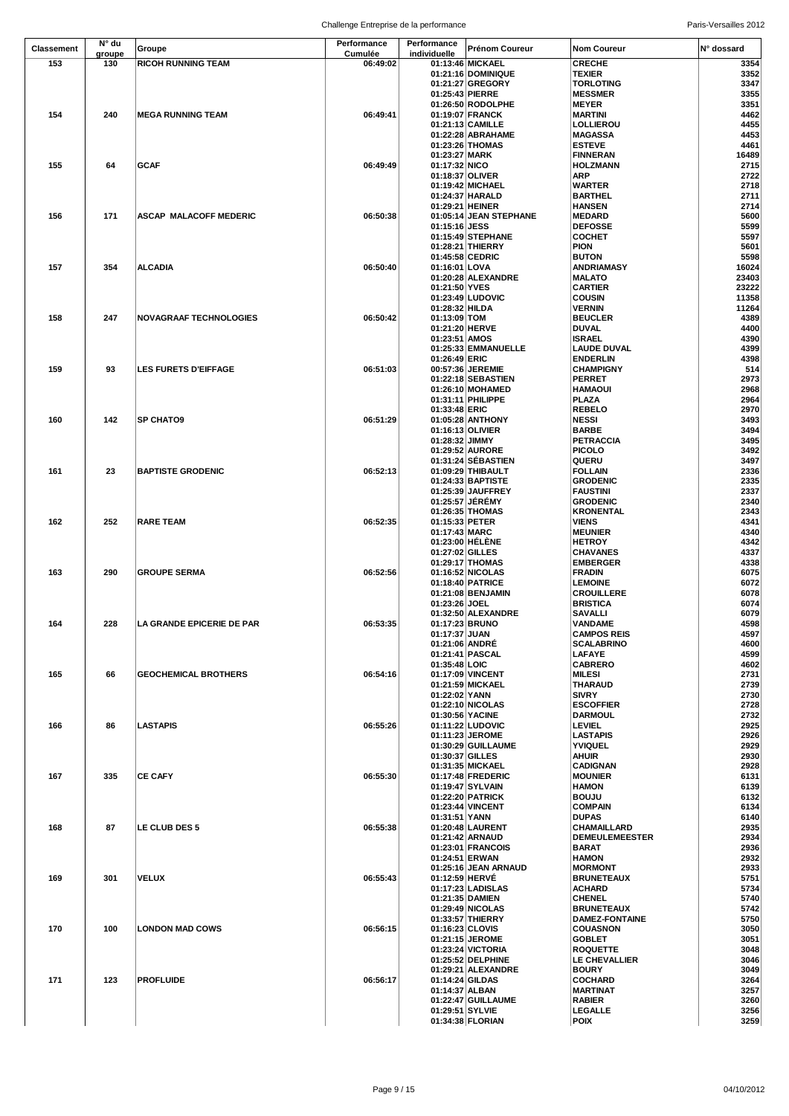Challenge Entreprise de la performance entre annumento and paris-Versailles 2012

| <b>Classement</b> | N° du  | Groupe                           | Performance | Performance     | Prénom Coureur                         | <b>Nom Coureur</b>                   | N° dossard   |
|-------------------|--------|----------------------------------|-------------|-----------------|----------------------------------------|--------------------------------------|--------------|
|                   | groupe |                                  | Cumulée     | individuelle    |                                        |                                      |              |
| 153               | 130    | <b>RICOH RUNNING TEAM</b>        | 06:49:02    |                 | 01:13:46 MICKAEL                       | <b>CRECHE</b>                        | 3354         |
|                   |        |                                  |             |                 | 01:21:16 DOMINIQUE<br>01:21:27 GREGORY | <b>TEXIER</b><br><b>TORLOTING</b>    | 3352<br>3347 |
|                   |        |                                  |             | 01:25:43 PIERRE |                                        | <b>MESSMER</b>                       | 3355         |
|                   |        |                                  |             |                 | 01:26:50 RODOLPHE                      | <b>MEYER</b>                         | 3351         |
| 154               | 240    | <b>MEGA RUNNING TEAM</b>         | 06:49:41    |                 | 01:19:07 FRANCK                        | <b>MARTINI</b>                       | 4462         |
|                   |        |                                  |             |                 | 01:21:13 CAMILLE                       | <b>LOLLIEROU</b>                     | 4455         |
|                   |        |                                  |             |                 | 01:22:28 ABRAHAME                      | <b>MAGASSA</b>                       | 4453         |
|                   |        |                                  |             |                 | 01:23:26 THOMAS                        | <b>ESTEVE</b>                        | 4461         |
|                   |        |                                  |             | 01:23:27 MARK   |                                        | <b>FINNERAN</b>                      | 16489        |
| 155               | 64     | <b>GCAF</b>                      | 06:49:49    | 01:17:32 NICO   |                                        | <b>HOLZMANN</b>                      | 2715         |
|                   |        |                                  |             | 01:18:37 OLIVER |                                        | ARP                                  | 2722         |
|                   |        |                                  |             |                 | 01:19:42 MICHAEL                       | <b>WARTER</b>                        | 2718         |
|                   |        |                                  |             |                 | 01:24:37 HARALD                        | <b>BARTHEL</b>                       | 2711         |
|                   |        |                                  |             | 01:29:21 HEINER |                                        | <b>HANSEN</b>                        | 2714         |
| 156               | 171    | ASCAP MALACOFF MEDERIC           | 06:50:38    |                 | 01:05:14 JEAN STEPHANE                 | <b>MEDARD</b>                        | 5600         |
|                   |        |                                  |             | 01:15:16 JESS   |                                        | <b>DEFOSSE</b>                       | 5599         |
|                   |        |                                  |             |                 | 01:15:49 STEPHANE                      | <b>COCHET</b>                        | 5597         |
|                   |        |                                  |             |                 | 01:28:21 THIERRY                       | <b>PION</b>                          | 5601         |
|                   |        |                                  |             |                 | 01:45:58 CEDRIC                        | <b>BUTON</b>                         | 5598         |
| 157               | 354    | <b>ALCADIA</b>                   | 06:50:40    | 01:16:01 LOVA   |                                        | <b>ANDRIAMASY</b>                    | 16024        |
|                   |        |                                  |             |                 | 01:20:28 ALEXANDRE                     | <b>MALATO</b>                        | 23403        |
|                   |        |                                  |             | 01:21:50 YVES   |                                        | <b>CARTIER</b>                       | 23222        |
|                   |        |                                  |             |                 | 01:23:49 LUDOVIC                       | <b>COUSIN</b>                        | 11358        |
|                   |        |                                  |             | 01:28:32 HILDA  |                                        | <b>VERNIN</b>                        | 11264        |
| 158               | 247    | <b>NOVAGRAAF TECHNOLOGIES</b>    | 06:50:42    | 01:13:09 TOM    |                                        | <b>BEUCLER</b>                       | 4389         |
|                   |        |                                  |             | 01:21:20 HERVE  |                                        | <b>DUVAL</b>                         | 4400         |
|                   |        |                                  |             | 01:23:51 AMOS   |                                        | <b>ISRAEL</b>                        | 4390         |
|                   |        |                                  |             |                 | 01:25:33 EMMANUELLE                    | <b>LAUDE DUVAL</b>                   | 4399         |
|                   |        |                                  |             | 01:26:49 ERIC   |                                        | <b>ENDERLIN</b>                      | 4398         |
| 159               | 93     | <b>LES FURETS D'EIFFAGE</b>      | 06:51:03    |                 | 00:57:36 JEREMIE                       | <b>CHAMPIGNY</b>                     | 514          |
|                   |        |                                  |             |                 | 01:22:18 SEBASTIEN                     | <b>PERRET</b>                        | 2973         |
|                   |        |                                  |             |                 | 01:26:10 MOHAMED                       | <b>HAMAOUI</b>                       | 2968         |
|                   |        |                                  |             |                 | 01:31:11 PHILIPPE                      | PLAZA                                | 2964         |
|                   |        |                                  |             | 01:33:48 ERIC   |                                        | <b>REBELO</b>                        | 2970         |
| 160               | 142    | <b>SP CHATO9</b>                 | 06:51:29    |                 | 01:05:28 ANTHONY                       | <b>NESSI</b>                         | 3493         |
|                   |        |                                  |             |                 | 01:16:13 OLIVIER                       | <b>BARBE</b>                         | 3494         |
|                   |        |                                  |             | 01:28:32 JIMMY  |                                        | PETRACCIA                            | 3495         |
|                   |        |                                  |             |                 | 01:29:52 AURORE                        | <b>PICOLO</b>                        | 3492         |
|                   |        |                                  |             |                 | 01:31:24 SEBASTIEN                     | QUERU                                | 3497         |
| 161               | 23     | <b>BAPTISTE GRODENIC</b>         | 06:52:13    |                 | 01:09:29 THIBAULT                      | <b>FOLLAIN</b>                       | 2336         |
|                   |        |                                  |             |                 | 01:24:33 BAPTISTE                      | <b>GRODENIC</b>                      | 2335         |
|                   |        |                                  |             |                 | 01:25:39 JAUFFREY                      | <b>FAUSTINI</b>                      | 2337         |
|                   |        |                                  |             |                 | 01:25:57 JEREMY                        | <b>GRODENIC</b>                      | 2340         |
|                   |        |                                  |             |                 | 01:26:35 THOMAS                        | <b>KRONENTAL</b>                     | 2343         |
| 162               | 252    | <b>RARE TEAM</b>                 | 06:52:35    | 01:15:33 PETER  |                                        | <b>VIENS</b>                         | 4341<br>4340 |
|                   |        |                                  |             | 01:17:43 MARC   |                                        | <b>MEUNIER</b>                       | 4342         |
|                   |        |                                  |             | 01:27:02 GILLES | 01:23:00 HELENE                        | <b>HETROY</b><br><b>CHAVANES</b>     | 4337         |
|                   |        |                                  |             |                 | 01:29:17 THOMAS                        | <b>EMBERGER</b>                      | 4338         |
| 163               | 290    | <b>GROUPE SERMA</b>              | 06:52:56    |                 | 01:16:52 NICOLAS                       | <b>FRADIN</b>                        | 6075         |
|                   |        |                                  |             |                 | 01:18:40 PATRICE                       | <b>LEMOINE</b>                       | 6072         |
|                   |        |                                  |             |                 | 01:21:08 BENJAMIN                      | <b>CROUILLERE</b>                    | 6078         |
|                   |        |                                  |             | 01:23:26 JOEL   |                                        | <b>BRISTICA</b>                      | 6074         |
|                   |        |                                  |             |                 | 01:32:50 ALEXANDRE                     | <b>SAVALLI</b>                       | 6079         |
| 164               | 228    | <b>LA GRANDE EPICERIE DE PAR</b> | 06:53:35    |                 | 01:17:23 BRUNO                         | <b>VANDAME</b>                       | 4598         |
|                   |        |                                  |             | 01:17:37 JUAN   |                                        | <b>CAMPOS REIS</b>                   | 4597         |
|                   |        |                                  |             | 01:21:06 ANDRÉ  |                                        | <b>SCALABRINO</b>                    | 4600         |
|                   |        |                                  |             |                 | 01:21:41 PASCAL                        | <b>LAFAYE</b>                        | 4599         |
|                   |        |                                  |             | 01:35:48 LOIC   |                                        | <b>CABRERO</b>                       | 4602         |
| 165               | 66     | <b>GEOCHEMICAL BROTHERS</b>      | 06:54:16    |                 | 01:17:09 VINCENT                       | <b>MILESI</b>                        | 2731         |
|                   |        |                                  |             |                 | 01:21:59 MICKAEL                       | THARAUD                              | 2739         |
|                   |        |                                  |             | 01:22:02 YANN   |                                        | <b>SIVRY</b>                         | 2730         |
|                   |        |                                  |             |                 | 01:22:10 NICOLAS                       | <b>ESCOFFIER</b>                     | 2728         |
|                   |        |                                  |             | 01:30:56 YACINE |                                        | <b>DARMOUL</b>                       | 2732         |
| 166               | 86     | <b>LASTAPIS</b>                  | 06:55:26    |                 | 01:11:22 LUDOVIC                       | <b>LEVIEL</b>                        | 2925         |
|                   |        |                                  |             |                 | 01:11:23 JEROME                        | <b>LASTAPIS</b>                      | 2926         |
|                   |        |                                  |             |                 | 01:30:29 GUILLAUME                     | YVIQUEL                              | 2929         |
|                   |        |                                  |             | 01:30:37 GILLES |                                        | <b>AHUIR</b>                         | 2930         |
|                   |        |                                  |             |                 | 01:31:35 MICKAEL                       | <b>CADIGNAN</b>                      | 2928         |
| 167               | 335    | <b>CE CAFY</b>                   | 06:55:30    |                 | 01:17:48 FREDERIC                      | <b>MOUNIER</b>                       | 6131         |
|                   |        |                                  |             |                 | 01:19:47 SYLVAIN                       | <b>HAMON</b>                         | 6139         |
|                   |        |                                  |             |                 | 01:22:20 PATRICK                       | <b>BOUJU</b>                         | 6132         |
|                   |        |                                  |             |                 | 01:23:44 VINCENT                       | <b>COMPAIN</b>                       | 6134         |
|                   |        |                                  |             | 01:31:51 YANN   |                                        | <b>DUPAS</b>                         | 6140         |
| 168               | 87     | <b>LE CLUB DES 5</b>             | 06:55:38    |                 | 01:20:48 LAURENT<br>01:21:42 ARNAUD    | CHAMAILLARD<br><b>DEMEULEMEESTER</b> | 2935<br>2934 |
|                   |        |                                  |             |                 | 01:23:01 FRANCOIS                      | <b>BARAT</b>                         | 2936         |
|                   |        |                                  |             | 01:24:51 ERWAN  |                                        | <b>HAMON</b>                         | 2932         |
|                   |        |                                  |             |                 | 01:25:16 JEAN ARNAUD                   | <b>MORMONT</b>                       | 2933         |
| 169               | 301    | <b>VELUX</b>                     | 06:55:43    | 01:12:59 HERVE  |                                        | <b>BRUNETEAUX</b>                    | 5751         |
|                   |        |                                  |             |                 | 01:17:23 LADISLAS                      | <b>ACHARD</b>                        | 5734         |
|                   |        |                                  |             |                 | 01:21:35 DAMIEN                        | <b>CHENEL</b>                        | 5740         |
|                   |        |                                  |             |                 | 01:29:49 NICOLAS                       | <b>BRUNETEAUX</b>                    | 5742         |
|                   |        |                                  |             |                 | 01:33:57 THIERRY                       | <b>DAMEZ-FONTAINE</b>                | 5750         |
| 170               | 100    | <b>LONDON MAD COWS</b>           | 06:56:15    | 01:16:23 CLOVIS |                                        | <b>COUASNON</b>                      | 3050         |
|                   |        |                                  |             |                 | 01:21:15 JEROME                        | <b>GOBLET</b>                        | 3051         |
|                   |        |                                  |             |                 | 01:23:24 VICTORIA                      | <b>ROQUETTE</b>                      | 3048         |
|                   |        |                                  |             |                 | 01:25:52 DELPHINE                      | LE CHEVALLIER                        | 3046         |
|                   |        |                                  |             |                 | 01:29:21 ALEXANDRE                     | <b>BOURY</b>                         | 3049         |
| 171               | 123    | <b>PROFLUIDE</b>                 | 06:56:17    | 01:14:24 GILDAS |                                        | <b>COCHARD</b>                       | 3264         |
|                   |        |                                  |             | 01:14:37 ALBAN  |                                        | <b>MARTINAT</b>                      | 3257         |
|                   |        |                                  |             |                 | 01:22:47 GUILLAUME                     | <b>RABIER</b>                        | 3260         |
|                   |        |                                  |             | 01:29:51 SYLVIE |                                        | <b>LEGALLE</b>                       | 3256         |
|                   |        |                                  |             |                 | 01:34:38 FLORIAN                       | <b>POIX</b>                          | 3259         |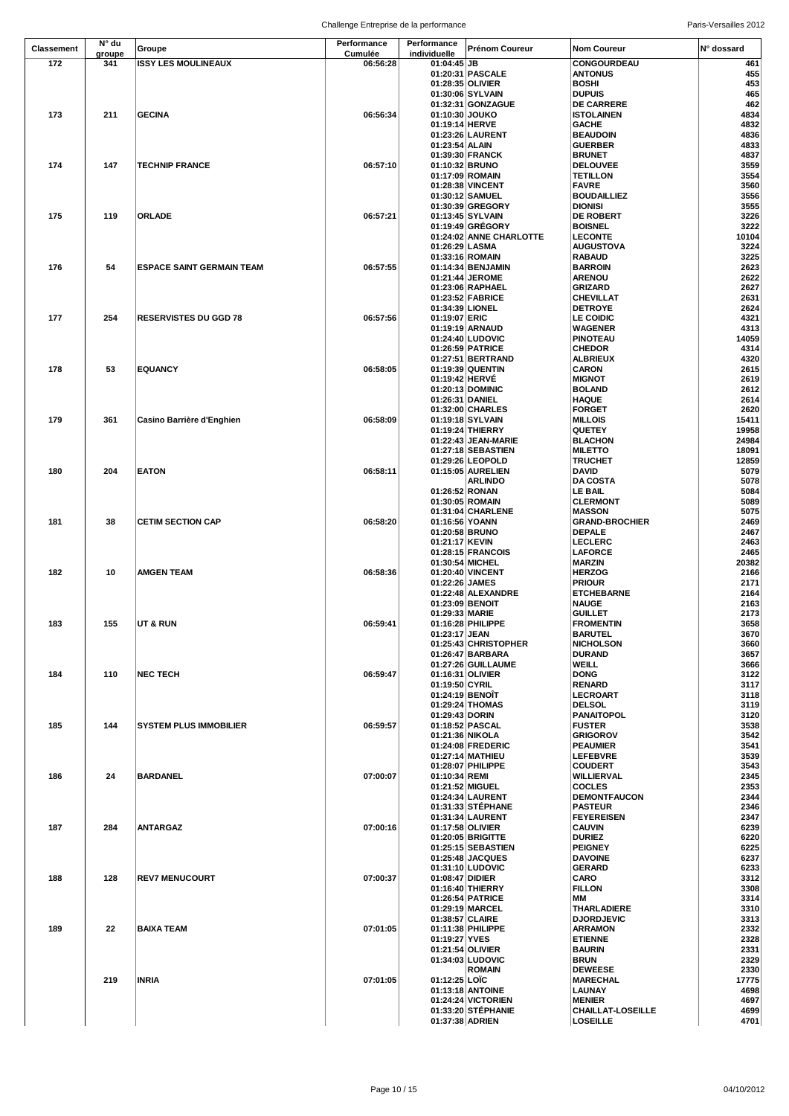| <b>Classement</b> | N° du         | Groupe                           | Performance         | Performance                      | Prénom Coureur                       | <b>Nom Coureur</b>                          | N° dossard    |
|-------------------|---------------|----------------------------------|---------------------|----------------------------------|--------------------------------------|---------------------------------------------|---------------|
| 172               | groupe<br>341 | <b>ISSY LES MOULINEAUX</b>       | Cumulée<br>06:56:28 | individuelle<br>01:04:45 JB      |                                      | CONGOURDEAU                                 | 461           |
|                   |               |                                  |                     |                                  | 01:20:31 PASCALE                     | <b>ANTONUS</b>                              | 455           |
|                   |               |                                  |                     | 01:28:35 OLIVIER                 |                                      | <b>BOSHI</b>                                | 453           |
|                   |               |                                  |                     |                                  | 01:30:06 SYLVAIN                     | <b>DUPUIS</b>                               | 465           |
|                   |               |                                  |                     |                                  | 01:32:31 GONZAGUE                    | <b>DE CARRERE</b>                           | 462           |
| 173               | 211           | <b>GECINA</b>                    | 06:56:34            | 01:10:30 JOUKO<br>01:19:14 HERVE |                                      | <b>ISTOLAINEN</b><br><b>GACHE</b>           | 4834<br>4832  |
|                   |               |                                  |                     |                                  | 01:23:26 LAURENT                     | <b>BEAUDOIN</b>                             | 4836          |
|                   |               |                                  |                     | 01:23:54 ALAIN                   |                                      | <b>GUERBER</b>                              | 4833          |
|                   |               |                                  |                     |                                  | 01:39:30 FRANCK                      | <b>BRUNET</b>                               | 4837          |
| 174               | 147           | <b>TECHNIP FRANCE</b>            | 06:57:10            | 01:10:32 BRUNO                   |                                      | <b>DELOUVEE</b>                             | 3559          |
|                   |               |                                  |                     | 01:17:09 ROMAIN                  |                                      | <b>TETILLON</b>                             | 3554          |
|                   |               |                                  |                     |                                  | 01:28:38 VINCENT<br>01:30:12 SAMUEL  | <b>FAVRE</b><br><b>BOUDAILLIEZ</b>          | 3560<br>3556  |
|                   |               |                                  |                     |                                  | 01:30:39 GREGORY                     | <b>DIONISI</b>                              | 3555          |
| 175               | 119           | <b>ORLADE</b>                    | 06:57:21            |                                  | 01:13:45 SYLVAIN                     | <b>DE ROBERT</b>                            | 3226          |
|                   |               |                                  |                     |                                  | 01:19:49 GRÉGORY                     | <b>BOISNEL</b>                              | 3222          |
|                   |               |                                  |                     |                                  | 01:24:02 ANNE CHARLOTTE              | <b>LECONTE</b>                              | 10104         |
|                   |               |                                  |                     | 01:26:29 LASMA                   | 01:33:16 ROMAIN                      | <b>AUGUSTOVA</b><br><b>RABAUD</b>           | 3224<br>3225  |
| 176               | 54            | <b>ESPACE SAINT GERMAIN TEAM</b> | 06:57:55            |                                  | 01:14:34 BENJAMIN                    | <b>BARROIN</b>                              | 2623          |
|                   |               |                                  |                     |                                  | 01:21:44 JEROME                      | <b>ARENOU</b>                               | 2622          |
|                   |               |                                  |                     |                                  | 01:23:06 RAPHAEL                     | <b>GRIZARD</b>                              | 2627          |
|                   |               |                                  |                     |                                  | 01:23:52 FABRICE                     | <b>CHEVILLAT</b>                            | 2631          |
|                   |               |                                  |                     | 01:34:39 LIONEL                  |                                      | <b>DETROYE</b>                              | 2624          |
| 177               | 254           | <b>RESERVISTES DU GGD 78</b>     | 06:57:56            | 01:19:07 ERIC                    |                                      | <b>LE COIDIC</b>                            | 4321          |
|                   |               |                                  |                     |                                  | 01:19:19 ARNAUD<br>01:24:40 LUDOVIC  | <b>WAGENER</b><br><b>PINOTEAU</b>           | 4313<br>14059 |
|                   |               |                                  |                     |                                  | 01:26:59 PATRICE                     | <b>CHEDOR</b>                               | 4314          |
|                   |               |                                  |                     |                                  | 01:27:51 BERTRAND                    | <b>ALBRIEUX</b>                             | 4320          |
| 178               | 53            | <b>EQUANCY</b>                   | 06:58:05            |                                  | 01:19:39 QUENTIN                     | <b>CARON</b>                                | 2615          |
|                   |               |                                  |                     | 01:19:42 HERVÉ                   |                                      | <b>MIGNOT</b>                               | 2619          |
|                   |               |                                  |                     |                                  | 01:20:13 DOMINIC                     | <b>BOLAND</b>                               | 2612          |
|                   |               |                                  |                     | 01:26:31 DANIEL                  |                                      | <b>HAQUE</b>                                | 2614          |
| 179               | 361           | Casino Barrière d'Enghien        | 06:58:09            |                                  | 01:32:00 CHARLES<br>01:19:18 SYLVAIN | <b>FORGET</b><br><b>MILLOIS</b>             | 2620<br>15411 |
|                   |               |                                  |                     |                                  | 01:19:24 THIERRY                     | <b>QUETEY</b>                               | 19958         |
|                   |               |                                  |                     |                                  | 01:22:43 JEAN-MARIE                  | <b>BLACHON</b>                              | 24984         |
|                   |               |                                  |                     |                                  | 01:27:18 SEBASTIEN                   | <b>MILETTO</b>                              | 18091         |
|                   |               |                                  |                     |                                  | 01:29:26 LEOPOLD                     | <b>TRUCHET</b>                              | 12859         |
| 180               | 204           | <b>EATON</b>                     | 06:58:11            |                                  | 01:15:05 AURELIEN                    | <b>DAVID</b>                                | 5079          |
|                   |               |                                  |                     | 01:26:52 RONAN                   | <b>ARLINDO</b>                       | <b>DA COSTA</b><br>LE BAIL                  | 5078<br>5084  |
|                   |               |                                  |                     | 01:30:05 ROMAIN                  |                                      | <b>CLERMONT</b>                             | 5089          |
|                   |               |                                  |                     |                                  | 01:31:04 CHARLENE                    | <b>MASSON</b>                               | 5075          |
| 181               | 38            | <b>CETIM SECTION CAP</b>         | 06:58:20            | 01:16:56 YOANN                   |                                      | <b>GRAND-BROCHIER</b>                       | 2469          |
|                   |               |                                  |                     | 01:20:58 BRUNO                   |                                      | <b>DEPALE</b>                               | 2467          |
|                   |               |                                  |                     | 01:21:17 KEVIN                   |                                      | <b>LECLERC</b>                              | 2463          |
|                   |               |                                  |                     |                                  | 01:28:15 FRANCOIS                    | LAFORCE                                     | 2465          |
| 182               | 10            | AMGEN TEAM                       | 06:58:36            | 01:30:54 MICHEL                  | 01:20:40 VINCENT                     | <b>MARZIN</b><br><b>HERZOG</b>              | 20382<br>2166 |
|                   |               |                                  |                     | 01:22:26 JAMES                   |                                      | <b>PRIOUR</b>                               | 2171          |
|                   |               |                                  |                     |                                  | 01:22:48 ALEXANDRE                   | <b>ETCHEBARNE</b>                           | 2164          |
|                   |               |                                  |                     | 01:23:09 BENOIT                  |                                      | <b>NAUGE</b>                                | 2163          |
|                   |               |                                  |                     | 01:29:33 MARIE                   |                                      | <b>GUILLET</b>                              | 2173          |
| 183               | 155           | UT & RUN                         | 06:59:41            |                                  | 01:16:28 PHILIPPE                    | <b>FROMENTIN</b>                            | 3658          |
|                   |               |                                  |                     | 01:23:17 JEAN                    | 01:25:43 CHRISTOPHER                 | <b>BARUTEL</b><br><b>NICHOLSON</b>          | 3670<br>3660  |
|                   |               |                                  |                     |                                  | 01:26:47 BARBARA                     | <b>DURAND</b>                               | 3657          |
|                   |               |                                  |                     |                                  | 01:27:26 GUILLAUME                   | WEILL                                       | 3666          |
| 184               | 110           | <b>NEC TECH</b>                  | 06:59:47            |                                  | 01:16:31 OLIVIER                     | <b>DONG</b>                                 | 3122          |
|                   |               |                                  |                     | 01:19:50 CYRIL                   |                                      | <b>RENARD</b>                               | 3117          |
|                   |               |                                  |                     | 01:24:19 BENOIT                  |                                      | LECROART                                    | 3118          |
|                   |               |                                  |                     | 01:29:43 DORIN                   | 01:29:24 THOMAS                      | <b>DELSOL</b><br><b>PANAITOPOL</b>          | 3119<br>3120  |
| 185               | 144           | <b>SYSTEM PLUS IMMOBILIER</b>    | 06:59:57            |                                  | 01:18:52 PASCAL                      | <b>FUSTER</b>                               | 3538          |
|                   |               |                                  |                     | 01:21:36 NIKOLA                  |                                      | <b>GRIGOROV</b>                             | 3542          |
|                   |               |                                  |                     |                                  | 01:24:08 FREDERIC                    | <b>PEAUMIER</b>                             | 3541          |
|                   |               |                                  |                     |                                  | 01:27:14 MATHIEU                     | <b>LEFEBVRE</b>                             | 3539          |
|                   |               |                                  |                     |                                  | 01:28:07 PHILIPPE                    | <b>COUDERT</b>                              | 3543          |
| 186               | 24            | <b>BARDANEL</b>                  | 07:00:07            | 01:10:34 REMI<br>01:21:52 MIGUEL |                                      | WILLIERVAL<br><b>COCLES</b>                 | 2345<br>2353  |
|                   |               |                                  |                     |                                  | 01:24:34 LAURENT                     | <b>DEMONTFAUCON</b>                         | 2344          |
|                   |               |                                  |                     |                                  | 01:31:33 STÉPHANE                    | <b>PASTEUR</b>                              | 2346          |
|                   |               |                                  |                     |                                  | 01:31:34 LAURENT                     | <b>FEYEREISEN</b>                           | 2347          |
| 187               | 284           | <b>ANTARGAZ</b>                  | 07:00:16            |                                  | 01:17:58 OLIVIER                     | <b>CAUVIN</b>                               | 6239          |
|                   |               |                                  |                     |                                  | 01:20:05 BRIGITTE                    | <b>DURIEZ</b>                               | 6220          |
|                   |               |                                  |                     |                                  | 01:25:15 SEBASTIEN                   | <b>PEIGNEY</b>                              | 6225          |
|                   |               |                                  |                     |                                  | 01:25:48 JACQUES<br>01:31:10 LUDOVIC | <b>DAVOINE</b><br><b>GERARD</b>             | 6237<br>6233  |
| 188               | 128           | <b>REV7 MENUCOURT</b>            | 07:00:37            | 01:08:47 DIDIER                  |                                      | CARO                                        | 3312          |
|                   |               |                                  |                     |                                  | 01:16:40 THIERRY                     | <b>FILLON</b>                               | 3308          |
|                   |               |                                  |                     |                                  | 01:26:54 PATRICE                     | ΜМ                                          | 3314          |
|                   |               |                                  |                     |                                  | 01:29:19 MARCEL                      | THARLADIERE                                 | 3310          |
|                   |               |                                  |                     | 01:38:57 CLAIRE                  |                                      | <b>DJORDJEVIC</b>                           | 3313          |
| 189               | 22            | <b>BAIXA TEAM</b>                | 07:01:05            | 01:19:27 YVES                    | 01:11:38 PHILIPPE                    | <b>ARRAMON</b><br><b>ETIENNE</b>            | 2332<br>2328  |
|                   |               |                                  |                     |                                  | 01:21:54 OLIVIER                     | <b>BAURIN</b>                               | 2331          |
|                   |               |                                  |                     |                                  | 01:34:03 LUDOVIC                     | <b>BRUN</b>                                 | 2329          |
|                   |               |                                  |                     |                                  | <b>ROMAIN</b>                        | <b>DEWEESE</b>                              | 2330          |
|                   | 219           | <b>INRIA</b>                     | 07:01:05            | 01:12:25 LOIC                    |                                      | <b>MARECHAL</b>                             | 17775         |
|                   |               |                                  |                     |                                  | 01:13:18 ANTOINE                     | <b>LAUNAY</b>                               | 4698          |
|                   |               |                                  |                     |                                  | 01:24:24 VICTORIEN                   | <b>MENIER</b>                               | 4697          |
|                   |               |                                  |                     | 01:37:38 ADRIEN                  | 01:33:20 STÉPHANIE                   | <b>CHAILLAT-LOSEILLE</b><br><b>LOSEILLE</b> | 4699<br>4701  |
|                   |               |                                  |                     |                                  |                                      |                                             |               |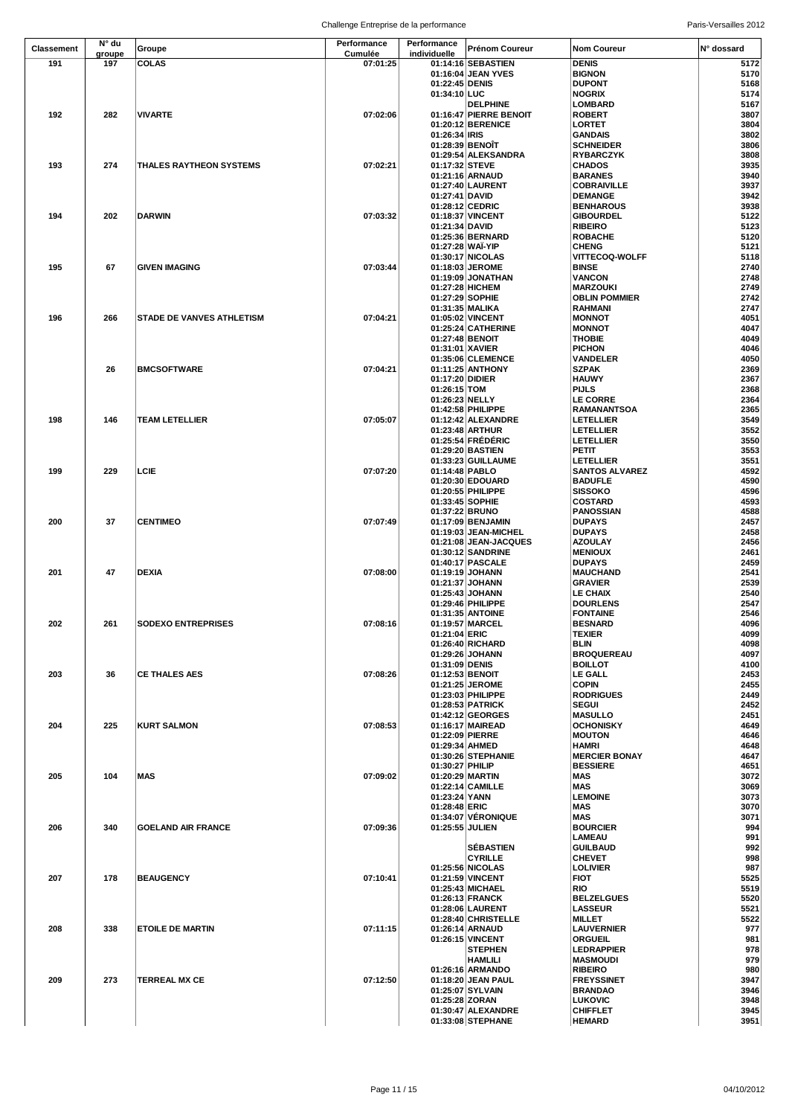|            |               |                                  | Chanchgo Entrophoe de la performance |                                    |                                             |                                       |              |
|------------|---------------|----------------------------------|--------------------------------------|------------------------------------|---------------------------------------------|---------------------------------------|--------------|
| Classement | N° du         | Groupe                           | Performance                          | Performance                        | <b>Prénom Coureur</b>                       | <b>Nom Coureur</b>                    | N° dossard   |
| 191        | groupe<br>197 | <b>COLAS</b>                     | Cumulée<br>07:01:25                  | individuelle                       | 01:14:16 SEBASTIEN                          | <b>DENIS</b>                          | 5172         |
|            |               |                                  |                                      |                                    | 01:16:04 JEAN YVES                          | <b>BIGNON</b>                         | 5170         |
|            |               |                                  |                                      | 01:22:45 DENIS                     |                                             | <b>DUPONT</b>                         | 5168         |
|            |               |                                  |                                      | 01:34:10 LUC                       |                                             | <b>NOGRIX</b>                         | 5174         |
|            |               |                                  |                                      |                                    | <b>DELPHINE</b>                             | LOMBARD                               | 5167         |
| 192        | 282           | <b>VIVARTE</b>                   | 07:02:06                             |                                    | 01:16:47 PIERRE BENOIT<br>01:20:12 BERENICE | <b>ROBERT</b><br><b>LORTET</b>        | 3807<br>3804 |
|            |               |                                  |                                      | 01:26:34 RIS                       |                                             | <b>GANDAIS</b>                        | 3802         |
|            |               |                                  |                                      |                                    | 01:28:39 BENOIT                             | <b>SCHNEIDER</b>                      | 3806         |
|            |               |                                  |                                      |                                    | 01:29:54 ALEKSANDRA                         | <b>RYBARCZYK</b>                      | 3808         |
| 193        | 274           | <b>THALES RAYTHEON SYSTEMS</b>   | 07:02:21                             | 01:17:32 STEVE                     |                                             | <b>CHADOS</b>                         | 3935         |
|            |               |                                  |                                      |                                    | 01:21:16 ARNAUD                             | <b>BARANES</b>                        | 3940         |
|            |               |                                  |                                      | 01:27:41 DAVID                     | 01:27:40 LAURENT                            | <b>COBRAIVILLE</b><br><b>DEMANGE</b>  | 3937<br>3942 |
|            |               |                                  |                                      |                                    | 01:28:12 CEDRIC                             | <b>BENHAROUS</b>                      | 3938         |
| 194        | 202           | <b>DARWIN</b>                    | 07:03:32                             |                                    | 01:18:37 VINCENT                            | <b>GIBOURDEL</b>                      | 5122         |
|            |               |                                  |                                      | 01:21:34 DAVID                     |                                             | <b>RIBEIRO</b>                        | 5123         |
|            |               |                                  |                                      |                                    | 01:25:36 BERNARD                            | <b>ROBACHE</b>                        | 5120         |
|            |               |                                  |                                      |                                    | 01:27:28 WAI-YIP                            | <b>CHENG</b>                          | 5121         |
| 195        | 67            | <b>GIVEN IMAGING</b>             | 07:03:44                             |                                    | 01:30:17 NICOLAS<br>01:18:03 JEROME         | <b>VITTECOQ-WOLFF</b><br><b>BINSE</b> | 5118<br>2740 |
|            |               |                                  |                                      |                                    | 01:19:09 JONATHAN                           | <b>VANCON</b>                         | 2748         |
|            |               |                                  |                                      |                                    | 01:27:28 HICHEM                             | <b>MARZOUKI</b>                       | 2749         |
|            |               |                                  |                                      |                                    | 01:27:29 SOPHIE                             | <b>OBLIN POMMIER</b>                  | 2742         |
|            |               |                                  |                                      |                                    | 01:31:35 MALIKA                             | <b>RAHMANI</b>                        | 2747         |
| 196        | 266           | <b>STADE DE VANVES ATHLETISM</b> | 07:04:21                             |                                    | 01:05:02 VINCENT                            | <b>MONNOT</b>                         | 4051         |
|            |               |                                  |                                      |                                    | 01:25:24 CATHERINE                          | <b>MONNOT</b>                         | 4047<br>4049 |
|            |               |                                  |                                      | 01:27:48 BENOIT<br>01:31:01 XAVIER |                                             | <b>THOBIE</b><br><b>PICHON</b>        | 4046         |
|            |               |                                  |                                      |                                    | 01:35:06 CLEMENCE                           | <b>VANDELER</b>                       | 4050         |
|            | 26            | <b>BMCSOFTWARE</b>               | 07:04:21                             |                                    | 01:11:25 ANTHONY                            | <b>SZPAK</b>                          | 2369         |
|            |               |                                  |                                      | 01:17:20 DIDIER                    |                                             | <b>HAUWY</b>                          | 2367         |
|            |               |                                  |                                      | 01:26:15 TOM                       |                                             | <b>PIJLS</b>                          | 2368         |
|            |               |                                  |                                      | 01:26:23 NELLY                     |                                             | <b>LE CORRE</b>                       | 2364         |
| 198        | 146           | <b>TEAM LETELLIER</b>            | 07:05:07                             |                                    | 01:42:58 PHILIPPE<br>01:12:42 ALEXANDRE     | RAMANANTSOA<br><b>LETELLIER</b>       | 2365<br>3549 |
|            |               |                                  |                                      |                                    | 01:23:48 ARTHUR                             | <b>LETELLIER</b>                      | 3552         |
|            |               |                                  |                                      |                                    | 01:25:54 FRÉDÉRIC                           | <b>LETELLIER</b>                      | 3550         |
|            |               |                                  |                                      |                                    | 01:29:20 BASTIEN                            | PETIT                                 | 3553         |
|            |               |                                  |                                      |                                    | 01:33:23 GUILLAUME                          | <b>LETELLIER</b>                      | 3551         |
| 199        | 229           | LCIE                             | 07:07:20                             | 01:14:48 PABLO                     |                                             | <b>SANTOS ALVAREZ</b>                 | 4592         |
|            |               |                                  |                                      |                                    | 01:20:30 EDOUARD                            | <b>BADUFLE</b>                        | 4590         |
|            |               |                                  |                                      |                                    | 01:20:55 PHILIPPE<br>01:33:45 SOPHIE        | <b>SISSOKO</b><br><b>COSTARD</b>      | 4596<br>4593 |
|            |               |                                  |                                      | 01:37:22 BRUNO                     |                                             | <b>PANOSSIAN</b>                      | 4588         |
| 200        | 37            | <b>CENTIMEO</b>                  | 07:07:49                             |                                    | 01:17:09 BENJAMIN                           | <b>DUPAYS</b>                         | 2457         |
|            |               |                                  |                                      |                                    | 01:19:03 JEAN-MICHEL                        | <b>DUPAYS</b>                         | 2458         |
|            |               |                                  |                                      |                                    | 01:21:08 JEAN-JACQUES                       | <b>AZOULAY</b>                        | 2456         |
|            |               |                                  |                                      |                                    | 01:30:12 SANDRINE                           | <b>MENIOUX</b>                        | 2461         |
| 201        | 47            | <b>DEXIA</b>                     | 07:08:00                             |                                    | 01:40:17 PASCALE                            | <b>DUPAYS</b>                         | 2459<br>2541 |
|            |               |                                  |                                      |                                    | 01:19:19 JOHANN<br>01:21:37 JOHANN          | <b>MAUCHAND</b><br><b>GRAVIER</b>     | 2539         |
|            |               |                                  |                                      |                                    | 01:25:43 JOHANN                             | LE CHAIX                              | 2540         |
|            |               |                                  |                                      |                                    | 01:29:46 PHILIPPE                           | <b>DOURLENS</b>                       | 2547         |
|            |               |                                  |                                      |                                    | 01:31:35 ANTOINE                            | <b>FONTAINE</b>                       | 2546         |
| 202        | 261           | <b>SODEXO ENTREPRISES</b>        | 07:08:16                             |                                    | 01:19:57   MARCEL                           | <b>BESNARD</b>                        | 4096         |
|            |               |                                  |                                      | 01:21:04 ERIC                      |                                             | <b>TEXIER</b>                         | 4099<br>4098 |
|            |               |                                  |                                      |                                    | 01:26:40 RICHARD<br>01:29:26 JOHANN         | BLIN<br><b>BROQUEREAU</b>             | 4097         |
|            |               |                                  |                                      | 01:31:09 DENIS                     |                                             | <b>BOILLOT</b>                        | 4100         |
| 203        | 36            | <b>CE THALES AES</b>             | 07:08:26                             |                                    | 01:12:53 BENOIT                             | <b>LE GALL</b>                        | 2453         |
|            |               |                                  |                                      |                                    | 01:21:25 JEROME                             | <b>COPIN</b>                          | 2455         |
|            |               |                                  |                                      |                                    | 01:23:03 PHILIPPE                           | <b>RODRIGUES</b>                      | 2449         |
|            |               |                                  |                                      |                                    | 01:28:53 PATRICK<br>01:42:12 GEORGES        | <b>SEGUI</b><br><b>MASULLO</b>        | 2452<br>2451 |
| 204        | 225           | <b>KURT SALMON</b>               | 07:08:53                             |                                    | 01:16:17 MAIREAD                            | <b>OCHONISKY</b>                      | 4649         |
|            |               |                                  |                                      |                                    | 01:22:09 PIERRE                             | <b>MOUTON</b>                         | 4646         |
|            |               |                                  |                                      | 01:29:34 AHMED                     |                                             | <b>HAMRI</b>                          | 4648         |
|            |               |                                  |                                      |                                    | 01:30:26 STEPHANIE                          | <b>MERCIER BONAY</b>                  | 4647         |
|            |               |                                  |                                      | 01:30:27 PHILIP                    |                                             | <b>BESSIERE</b>                       | 4651         |
| 205        | 104           | <b>MAS</b>                       | 07:09:02                             |                                    | 01:20:29 MARTIN                             | MAS                                   | 3072         |
|            |               |                                  |                                      | 01:23:24 YANN                      | 01:22:14 CAMILLE                            | MAS<br><b>LEMOINE</b>                 | 3069<br>3073 |
|            |               |                                  |                                      | 01:28:48 ERIC                      |                                             | MAS                                   | 3070         |
|            |               |                                  |                                      |                                    | 01:34:07 VÉRONIQUE                          | <b>MAS</b>                            | 3071         |
| 206        | 340           | <b>GOELAND AIR FRANCE</b>        | 07:09:36                             | 01:25:55 JULIEN                    |                                             | <b>BOURCIER</b>                       | 994          |
|            |               |                                  |                                      |                                    |                                             | <b>LAMEAU</b>                         | 991          |
|            |               |                                  |                                      |                                    | <b>SÉBASTIEN</b>                            | <b>GUILBAUD</b>                       | 992          |
|            |               |                                  |                                      |                                    | <b>CYRILLE</b>                              | <b>CHEVET</b>                         | 998          |
| 207        | 178           | <b>BEAUGENCY</b>                 | 07:10:41                             |                                    | 01:25:56 NICOLAS<br>01:21:59 VINCENT        | <b>LOLIVIER</b><br><b>FIOT</b>        | 987<br>5525  |
|            |               |                                  |                                      |                                    | 01:25:43 MICHAEL                            | <b>RIO</b>                            | 5519         |
|            |               |                                  |                                      |                                    | 01:26:13 FRANCK                             | <b>BELZELGUES</b>                     | 5520         |
|            |               |                                  |                                      |                                    | 01:28:06 LAURENT                            | <b>LASSEUR</b>                        | 5521         |
|            |               |                                  |                                      |                                    | 01:28:40 CHRISTELLE                         | <b>MILLET</b>                         | 5522         |
| 208        | 338           | <b>ETOILE DE MARTIN</b>          | 07:11:15                             |                                    | 01:26:14 ARNAUD                             | <b>LAUVERNIER</b>                     | 977          |
|            |               |                                  |                                      |                                    | 01:26:15 VINCENT<br><b>STEPHEN</b>          | <b>ORGUEIL</b><br><b>LEDRAPPIER</b>   | 981<br>978   |
|            |               |                                  |                                      |                                    | <b>HAMLILI</b>                              | <b>MASMOUDI</b>                       | 979          |
|            |               |                                  |                                      |                                    | 01:26:16 ARMANDO                            | <b>RIBEIRO</b>                        | 980          |
| 209        | 273           | <b>TERREAL MX CE</b>             | 07:12:50                             |                                    | 01:18:20 JEAN PAUL                          | <b>FREYSSINET</b>                     | 3947         |
|            |               |                                  |                                      |                                    | 01:25:07 SYLVAIN                            | <b>BRANDAO</b>                        | 3946         |
|            |               |                                  |                                      | 01:25:28 ZORAN                     |                                             | <b>LUKOVIC</b>                        | 3948         |
|            |               |                                  |                                      |                                    | 01:30:47 ALEXANDRE<br>01:33:08 STEPHANE     | <b>CHIFFLET</b>                       | 3945<br>3951 |
|            |               |                                  |                                      |                                    |                                             | <b>HEMARD</b>                         |              |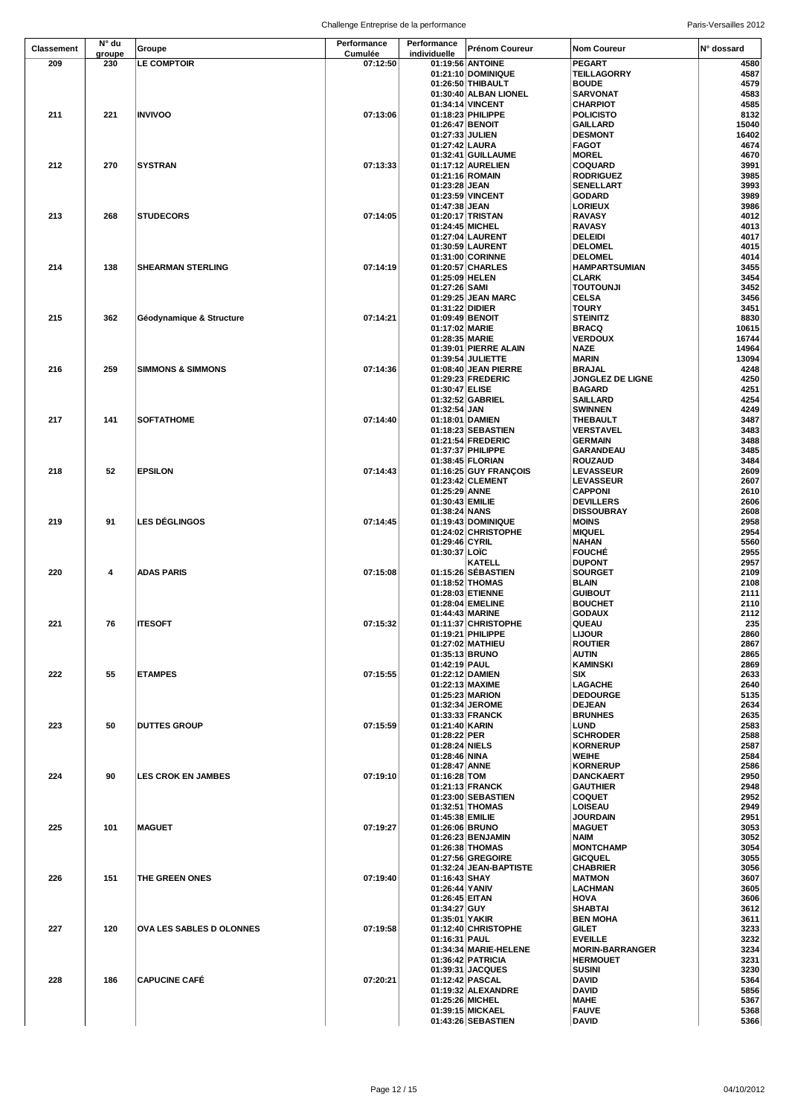| <b>Classement</b> | N° du  |                                 | Performance | Performance     | <b>Prénom Coureur</b>  | <b>Nom Coureur</b>     | N° dossard |
|-------------------|--------|---------------------------------|-------------|-----------------|------------------------|------------------------|------------|
|                   | groupe | Groupe                          | Cumulée     | individuelle    |                        |                        |            |
| 209               | 230    | LE COMPTOIR                     | 07:12:50    |                 | 01:19:56 ANTOINE       | <b>PEGART</b>          | 4580       |
|                   |        |                                 |             |                 | 01:21:10 DOMINIQUE     | <b>TEILLAGORRY</b>     | 4587       |
|                   |        |                                 |             |                 | 01:26:50 THIBAULT      | <b>BOUDE</b>           | 4579       |
|                   |        |                                 |             |                 | 01:30:40 ALBAN LIONEL  | <b>SARVONAT</b>        | 4583       |
|                   |        |                                 |             |                 |                        | <b>CHARPIOT</b>        | 4585       |
|                   |        |                                 |             |                 | 01:34:14 VINCENT       |                        |            |
| 211               | 221    | <b>INVIVOO</b>                  | 07:13:06    |                 | 01:18:23 PHILIPPE      | <b>POLICISTO</b>       | 8132       |
|                   |        |                                 |             |                 | 01:26:47 BENOIT        | <b>GAILLARD</b>        | 15040      |
|                   |        |                                 |             | 01:27:33 JULIEN |                        | <b>DESMONT</b>         | 16402      |
|                   |        |                                 |             | 01:27:42 LAURA  |                        | <b>FAGOT</b>           | 4674       |
|                   |        |                                 |             |                 | 01:32:41 GUILLAUME     | <b>MOREL</b>           | 4670       |
| 212               | 270    | <b>SYSTRAN</b>                  | 07:13:33    |                 | 01:17:12 AURELIEN      | <b>COQUARD</b>         | 3991       |
|                   |        |                                 |             |                 | 01:21:16 ROMAIN        | <b>RODRIGUEZ</b>       | 3985       |
|                   |        |                                 |             | 01:23:28 JEAN   |                        | <b>SENELLART</b>       | 3993       |
|                   |        |                                 |             |                 | 01:23:59 VINCENT       | <b>GODARD</b>          | 3989       |
|                   |        |                                 |             | 01:47:38 JEAN   |                        | <b>LORIEUX</b>         | 3986       |
| 213               | 268    | <b>STUDECORS</b>                | 07:14:05    |                 |                        |                        | 4012       |
|                   |        |                                 |             |                 | 01:20:17 TRISTAN       | <b>RAVASY</b>          |            |
|                   |        |                                 |             |                 | 01:24:45 MICHEL        | <b>RAVASY</b>          | 4013       |
|                   |        |                                 |             |                 | 01:27:04 LAURENT       | DELEIDI                | 4017       |
|                   |        |                                 |             |                 | 01:30:59 LAURENT       | <b>DELOMEL</b>         | 4015       |
|                   |        |                                 |             |                 | 01:31:00 CORINNE       | <b>DELOMEL</b>         | 4014       |
| 214               | 138    | <b>SHEARMAN STERLING</b>        | 07:14:19    |                 | 01:20:57 CHARLES       | <b>HAMPARTSUMIAN</b>   | 3455       |
|                   |        |                                 |             | 01:25:09 HELEN  |                        | <b>CLARK</b>           | 3454       |
|                   |        |                                 |             | 01:27:26 SAMI   |                        | <b>TOUTOUNJI</b>       | 3452       |
|                   |        |                                 |             |                 | 01:29:25 JEAN MARC     | <b>CELSA</b>           | 3456       |
|                   |        |                                 |             | 01:31:22 DIDIER |                        | <b>TOURY</b>           | 3451       |
| 215               | 362    | Géodynamique & Structure        | 07:14:21    | 01:09:49 BENOIT |                        | <b>STEINITZ</b>        | 8830       |
|                   |        |                                 |             | 01:17:02 MARIE  |                        | <b>BRACQ</b>           | 10615      |
|                   |        |                                 |             | 01:28:35 MARIE  |                        | <b>VERDOUX</b>         | 16744      |
|                   |        |                                 |             |                 |                        |                        |            |
|                   |        |                                 |             |                 | 01:39:01 PIERRE ALAIN  | <b>NAZE</b>            | 14964      |
|                   |        |                                 |             |                 | 01:39:54 JULIETTE      | <b>MARIN</b>           | 13094      |
| 216               | 259    | <b>SIMMONS &amp; SIMMONS</b>    | 07:14:36    |                 | 01:08:40 JEAN PIERRE   | <b>BRAJAL</b>          | 4248       |
|                   |        |                                 |             |                 | 01:29:23 FREDERIC      | JONGLEZ DE LIGNE       | 4250       |
|                   |        |                                 |             | 01:30:47 ELISE  |                        | <b>BAGARD</b>          | 4251       |
|                   |        |                                 |             |                 | 01:32:52 GABRIEL       | <b>SAILLARD</b>        | 4254       |
|                   |        |                                 |             | 01:32:54 JAN    |                        | <b>SWINNEN</b>         | 4249       |
| 217               | 141    | <b>SOFTATHOME</b>               | 07:14:40    |                 | 01:18:01   DAMIEN      | <b>THEBAULT</b>        | 3487       |
|                   |        |                                 |             |                 | 01:18:23 SEBASTIEN     | VERSTAVEL              | 3483       |
|                   |        |                                 |             |                 |                        | <b>GERMAIN</b>         | 3488       |
|                   |        |                                 |             |                 | 01:21:54 FREDERIC      |                        |            |
|                   |        |                                 |             |                 | 01:37:37 PHILIPPE      | GARANDEAU              | 3485       |
|                   |        |                                 |             |                 | 01:38:45 FLORIAN       | <b>ROUZAUD</b>         | 3484       |
| 218               | 52     | <b>EPSILON</b>                  | 07:14:43    |                 | 01:16:25 GUY FRANÇOIS  | LEVASSEUR              | 2609       |
|                   |        |                                 |             |                 | 01:23:42 CLEMENT       | LEVASSEUR              | 2607       |
|                   |        |                                 |             | 01:25:29 ANNE   |                        | <b>CAPPONI</b>         | 2610       |
|                   |        |                                 |             | 01:30:43 EMILIE |                        | <b>DEVILLERS</b>       | 2606       |
|                   |        |                                 |             | 01:38:24 NANS   |                        | <b>DISSOUBRAY</b>      | 2608       |
| 219               | 91     | <b>LES DÉGLINGOS</b>            | 07:14:45    |                 | 01:19:43 DOMINIQUE     | <b>MOINS</b>           | 2958       |
|                   |        |                                 |             |                 | 01:24:02 CHRISTOPHE    | <b>MIQUEL</b>          | 2954       |
|                   |        |                                 |             |                 |                        |                        |            |
|                   |        |                                 |             | 01:29:46 CYRIL  |                        | <b>NAHAN</b>           | 5560       |
|                   |        |                                 |             | 01:30:37 LOIC   |                        | <b>FOUCHÉ</b>          | 2955       |
|                   |        |                                 |             |                 | <b>KATELL</b>          | <b>DUPONT</b>          | 2957       |
| 220               | 4      | <b>ADAS PARIS</b>               | 07:15:08    |                 | 01:15:26 SÉBASTIEN     | <b>SOURGET</b>         | 2109       |
|                   |        |                                 |             |                 | 01:18:52 THOMAS        | <b>BLAIN</b>           | 2108       |
|                   |        |                                 |             |                 | 01:28:03 ETIENNE       | <b>GUIBOUT</b>         | 2111       |
|                   |        |                                 |             |                 | 01:28:04 EMELINE       | <b>BOUCHET</b>         | 2110       |
|                   |        |                                 |             |                 | 01:44:43 MARINE        | <b>GODAUX</b>          | 2112       |
| 221               | 76     | <b>ITESOFT</b>                  | 07:15:32    |                 | 01:11:37 CHRISTOPHE    | QUEAU                  | 235        |
|                   |        |                                 |             |                 | 01:19:21 PHILIPPE      | <b>LIJOUR</b>          | 2860       |
|                   |        |                                 |             |                 | 01:27:02 MATHIEU       | <b>ROUTIER</b>         | 2867       |
|                   |        |                                 |             |                 |                        |                        |            |
|                   |        |                                 |             | 01:35:13 BRUNO  |                        | <b>AUTIN</b>           | 2865       |
|                   |        |                                 |             | 01:42:19 PAUL   |                        | <b>KAMINSKI</b>        | 2869       |
| 222               | 55     | <b>ETAMPES</b>                  | 07:15:55    |                 | 01:22:12 DAMIEN        | SIX                    | 2633       |
|                   |        |                                 |             |                 | 01:22:13 MAXIME        | <b>LAGACHE</b>         | 2640       |
|                   |        |                                 |             |                 | 01:25:23 MARION        | <b>DEDOURGE</b>        | 5135       |
|                   |        |                                 |             |                 | 01:32:34 JEROME        | <b>DEJEAN</b>          | 2634       |
|                   |        |                                 |             |                 | 01:33:33 FRANCK        | <b>BRUNHES</b>         | 2635       |
| 223               | 50     | <b>DUTTES GROUP</b>             | 07:15:59    | 01:21:40 KARIN  |                        | LUND                   | 2583       |
|                   |        |                                 |             | 01:28:22 PER    |                        | <b>SCHRODER</b>        | 2588       |
|                   |        |                                 |             | 01:28:24 NIELS  |                        | <b>KORNERUP</b>        | 2587       |
|                   |        |                                 |             | 01:28:46 NINA   |                        | <b>WEIHE</b>           | 2584       |
|                   |        |                                 |             | 01:28:47 ANNE   |                        | <b>KORNERUP</b>        | 2586       |
| 224               | 90     | <b>LES CROK EN JAMBES</b>       | 07:19:10    | 01:16:28 TOM    |                        | DANCKAERT              | 2950       |
|                   |        |                                 |             |                 | 01:21:13 FRANCK        | <b>GAUTHIER</b>        | 2948       |
|                   |        |                                 |             |                 | 01:23:00 SEBASTIEN     | <b>COQUET</b>          | 2952       |
|                   |        |                                 |             |                 | 01:32:51 THOMAS        | LOISEAU                | 2949       |
|                   |        |                                 |             |                 |                        |                        |            |
|                   |        |                                 |             | 01:45:38 EMILIE |                        | <b>JOURDAIN</b>        | 2951       |
| 225               | 101    | <b>MAGUET</b>                   | 07:19:27    | 01:26:06 BRUNO  |                        | <b>MAGUET</b>          | 3053       |
|                   |        |                                 |             |                 | 01:26:23 BENJAMIN      | NAIM                   | 3052       |
|                   |        |                                 |             |                 | 01:26:38 THOMAS        | <b>MONTCHAMP</b>       | 3054       |
|                   |        |                                 |             |                 | 01:27:56 GREGOIRE      | <b>GICQUEL</b>         | 3055       |
|                   |        |                                 |             |                 | 01:32:24 JEAN-BAPTISTE | <b>CHABRIER</b>        | 3056       |
| 226               | 151    | THE GREEN ONES                  | 07:19:40    | 01:16:43 SHAY   |                        | <b>MATMON</b>          | 3607       |
|                   |        |                                 |             | 01:26:44 YANIV  |                        | <b>LACHMAN</b>         | 3605       |
|                   |        |                                 |             | 01:26:45 EITAN  |                        | <b>HOVA</b>            | 3606       |
|                   |        |                                 |             | 01:34:27 GUY    |                        | <b>SHABTAI</b>         | 3612       |
|                   |        |                                 |             | 01:35:01 YAKIR  |                        | <b>BEN MOHA</b>        | 3611       |
| 227               | 120    |                                 | 07:19:58    |                 |                        |                        | 3233       |
|                   |        | <b>OVA LES SABLES D OLONNES</b> |             |                 | 01:12:40 CHRISTOPHE    | GILET                  |            |
|                   |        |                                 |             | 01:16:31 PAUL   |                        | <b>EVEILLE</b>         | 3232       |
|                   |        |                                 |             |                 | 01:34:34 MARIE-HELENE  | <b>MORIN-BARRANGER</b> | 3234       |
|                   |        |                                 |             |                 | 01:36:42 PATRICIA      | <b>HERMOUET</b>        | 3231       |
|                   |        |                                 |             |                 | 01:39:31 JACQUES       | <b>SUSINI</b>          | 3230       |
| 228               | 186    | <b>CAPUCINE CAFÉ</b>            | 07:20:21    |                 | 01:12:42 PASCAL        | <b>DAVID</b>           | 5364       |
|                   |        |                                 |             |                 | 01:19:32 ALEXANDRE     | <b>DAVID</b>           | 5856       |
|                   |        |                                 |             |                 | 01:25:26 MICHEL        | <b>MAHE</b>            | 5367       |
|                   |        |                                 |             |                 | 01:39:15 MICKAEL       | <b>FAUVE</b>           | 5368       |
|                   |        |                                 |             |                 | 01:43:26 SEBASTIEN     | <b>DAVID</b>           | 5366       |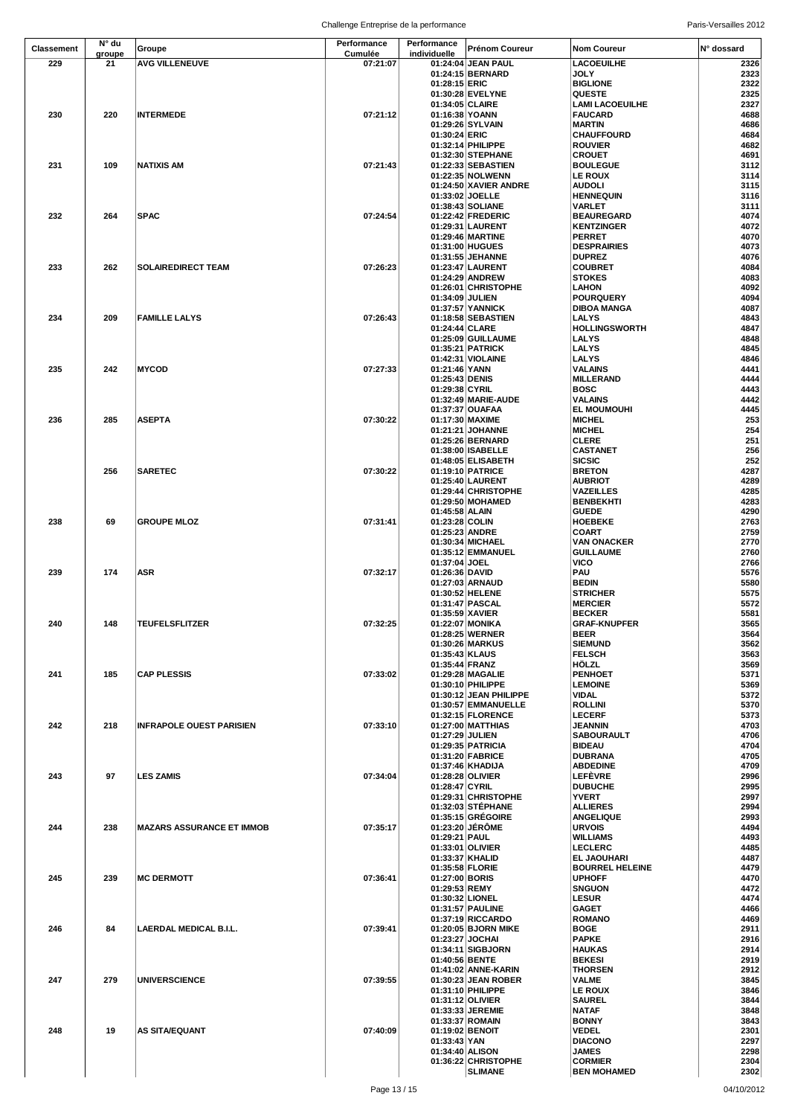Challenge Entreprise de la performance entre annument and the Paris-Versailles 2012

| <b>Classement</b> | N° du        | Groupe                           | Performance         | Performance     | <b>Prénom Coureur</b>                 | <b>Nom Coureur</b>                   | N° dossard   |
|-------------------|--------------|----------------------------------|---------------------|-----------------|---------------------------------------|--------------------------------------|--------------|
| 229               | groupe<br>21 | <b>AVG VILLENEUVE</b>            | Cumulée<br>07:21:07 | individuelle    | 01:24:04 JEAN PAUL                    | LACOEUILHE                           | 2326         |
|                   |              |                                  |                     |                 | 01:24:15 BERNARD                      | <b>JOLY</b>                          | 2323         |
|                   |              |                                  |                     | 01:28:15 ERIC   |                                       | <b>BIGLIONE</b>                      | 2322         |
|                   |              |                                  |                     |                 | 01:30:28 EVELYNE                      | <b>QUESTE</b>                        | 2325         |
|                   |              |                                  |                     | 01:34:05 CLAIRE |                                       | <b>LAMI LACOEUILHE</b>               | 2327         |
| 230               | 220          | <b>INTERMEDE</b>                 | 07:21:12            | 01:16:38 YOANN  |                                       | <b>FAUCARD</b>                       | 4688         |
|                   |              |                                  |                     |                 | 01:29:26 SYLVAIN                      | MARTIN                               | 4686         |
|                   |              |                                  |                     | 01:30:24 ERIC   |                                       | <b>CHAUFFOURD</b>                    | 4684         |
|                   |              |                                  |                     |                 | 01:32:14 PHILIPPE                     | <b>ROUVIER</b>                       | 4682         |
|                   |              |                                  |                     |                 | 01:32:30 STEPHANE                     | <b>CROUET</b>                        | 4691         |
| 231               | 109          | <b>NATIXIS AM</b>                | 07:21:43            |                 | 01:22:33 SEBASTIEN                    | <b>BOULEGUE</b>                      | 3112         |
|                   |              |                                  |                     |                 | 01:22:35 NOLWENN                      | <b>LE ROUX</b>                       | 3114         |
|                   |              |                                  |                     |                 | 01:24:50 XAVIER ANDRE                 | <b>AUDOLI</b>                        | 3115         |
|                   |              |                                  |                     |                 | 01:33:02 JOELLE                       | <b>HENNEQUIN</b>                     | 3116         |
|                   |              |                                  |                     |                 | 01:38:43 SOLIANE                      | <b>VARLET</b>                        | 3111         |
| 232               | 264          | <b>SPAC</b>                      | 07:24:54            |                 | 01:22:42 FREDERIC                     | <b>BEAUREGARD</b>                    | 4074         |
|                   |              |                                  |                     |                 | 01:29:31 LAURENT                      | <b>KENTZINGER</b>                    | 4072         |
|                   |              |                                  |                     |                 | 01:29:46 MARTINE                      | <b>PERRET</b>                        | 4070<br>4073 |
|                   |              |                                  |                     |                 | 01:31:00 HUGUES<br>01:31:55 JEHANNE   | <b>DESPRAIRIES</b><br><b>DUPREZ</b>  | 4076         |
| 233               | 262          | <b>SOLAIREDIRECT TEAM</b>        | 07:26:23            |                 | 01:23:47 LAURENT                      | <b>COUBRET</b>                       | 4084         |
|                   |              |                                  |                     |                 | 01:24:29 ANDREW                       | <b>STOKES</b>                        | 4083         |
|                   |              |                                  |                     |                 | 01:26:01 CHRISTOPHE                   | <b>LAHON</b>                         | 4092         |
|                   |              |                                  |                     | 01:34:09 JULIEN |                                       | <b>POURQUERY</b>                     | 4094         |
|                   |              |                                  |                     |                 | 01:37:57 YANNICK                      | <b>DIBOA MANGA</b>                   | 4087         |
| 234               | 209          | <b>FAMILLE LALYS</b>             | 07:26:43            |                 | 01:18:58 SEBASTIEN                    | <b>LALYS</b>                         | 4843         |
|                   |              |                                  |                     | 01:24:44 CLARE  |                                       | <b>HOLLINGSWORTH</b>                 | 4847         |
|                   |              |                                  |                     |                 | 01:25:09 GUILLAUME                    | LALYS                                | 4848         |
|                   |              |                                  |                     |                 | 01:35:21 PATRICK                      | LALYS                                | 4845         |
|                   |              |                                  |                     |                 | 01:42:31 VIOLAINE                     | <b>LALYS</b>                         | 4846         |
| 235               | 242          | <b>MYCOD</b>                     | 07:27:33            | 01:21:46 YANN   |                                       | <b>VALAINS</b>                       | 4441         |
|                   |              |                                  |                     | 01:25:43 DENIS  |                                       | <b>MILLERAND</b>                     | 4444         |
|                   |              |                                  |                     | 01:29:38 CYRIL  |                                       | <b>BOSC</b>                          | 4443         |
|                   |              |                                  |                     |                 | 01:32:49 MARIE-AUDE                   | VALAINS                              | 4442         |
|                   |              |                                  |                     |                 | 01:37:37 OUAFAA                       | <b>EL MOUMOUHI</b>                   | 4445         |
| 236               | 285          | <b>ASEPTA</b>                    | 07:30:22            |                 | 01:17:30 MAXIME                       | <b>MICHEL</b>                        | 253<br>254   |
|                   |              |                                  |                     |                 | 01:21:21 JOHANNE<br>01:25:26 BERNARD  | <b>MICHEL</b><br><b>CLERE</b>        | 251          |
|                   |              |                                  |                     |                 | 01:38:00   ISABELLE                   | CASTANET                             | 256          |
|                   |              |                                  |                     |                 | 01:48:05 ELISABETH                    | <b>SICSIC</b>                        | 252          |
|                   | 256          | <b>SARETEC</b>                   | 07:30:22            |                 | 01:19:10 PATRICE                      | <b>BRETON</b>                        | 4287         |
|                   |              |                                  |                     |                 | 01:25:40 LAURENT                      | <b>AUBRIOT</b>                       | 4289         |
|                   |              |                                  |                     |                 | 01:29:44 CHRISTOPHE                   | <b>VAZEILLES</b>                     | 4285         |
|                   |              |                                  |                     |                 | 01:29:50 MOHAMED                      | <b>BENBEKHTI</b>                     | 4283         |
|                   |              |                                  |                     | 01:45:58 ALAIN  |                                       | <b>GUEDE</b>                         | 4290         |
| 238               | 69           | <b>GROUPE MLOZ</b>               | 07:31:41            | 01:23:28 COLIN  |                                       | <b>HOEBEKE</b>                       | 2763         |
|                   |              |                                  |                     | 01:25:23 ANDRE  |                                       | <b>COART</b>                         | 2759         |
|                   |              |                                  |                     |                 | 01:30:34 MICHAEL                      | <b>VAN ONACKER</b>                   | 2770         |
|                   |              |                                  |                     |                 | 01:35:12 EMMANUEL                     | <b>GUILLAUME</b>                     | 2760         |
|                   |              |                                  |                     | 01:37:04 JOEL   |                                       | VICO                                 | 2766         |
| 239               | 174          | ASR                              | 07:32:17            | 01:26:36 DAVID  |                                       | PAU                                  | 5576         |
|                   |              |                                  |                     |                 | 01:27:03 ARNAUD                       | <b>BEDIN</b>                         | 5580         |
|                   |              |                                  |                     |                 | 01:30:52 HELENE                       | <b>STRICHER</b>                      | 5575         |
|                   |              |                                  |                     |                 | 01:31:47 PASCAL                       | <b>MERCIER</b>                       | 5572<br>5581 |
| 240               | 148          | <b>TEUFELSFLITZER</b>            | 07:32:25            | 01:35:59 XAVIER | 01:22:07 MONIKA                       | <b>BECKER</b><br><b>GRAF-KNUPFER</b> | 3565         |
|                   |              |                                  |                     |                 | 01:28:25 WERNER                       | <b>BEER</b>                          | 3564         |
|                   |              |                                  |                     |                 | 01:30:26 MARKUS                       | <b>SIEMUND</b>                       | 3562         |
|                   |              |                                  |                     | 01:35:43 KLAUS  |                                       | <b>FELSCH</b>                        | 3563         |
|                   |              |                                  |                     | 01:35:44 FRANZ  |                                       | HÖLZL                                | 3569         |
| 241               | 185          | <b>CAP PLESSIS</b>               | 07:33:02            |                 | 01:29:28 MAGALIE                      | <b>PENHOET</b>                       | 5371         |
|                   |              |                                  |                     |                 | 01:30:10 PHILIPPE                     | <b>LEMOINE</b>                       | 5369         |
|                   |              |                                  |                     |                 | 01:30:12 JEAN PHILIPPE                | VIDAL                                | 5372         |
|                   |              |                                  |                     |                 | 01:30:57 EMMANUELLE                   | <b>ROLLINI</b>                       | 5370         |
|                   |              |                                  |                     |                 | 01:32:15 FLORENCE                     | <b>LECERF</b>                        | 5373         |
| 242               | 218          | <b>INFRAPOLE OUEST PARISIEN</b>  | 07:33:10            |                 | 01:27:00 MATTHIAS                     | <b>JEANNIN</b>                       | 4703         |
|                   |              |                                  |                     | 01:27:29 JULIEN |                                       | <b>SABOURAULT</b>                    | 4706         |
|                   |              |                                  |                     |                 | 01:29:35 PATRICIA                     | <b>BIDEAU</b>                        | 4704         |
|                   |              |                                  |                     |                 | 01:31:20 FABRICE                      | <b>DUBRANA</b>                       | 4705         |
| 243               | 97           | <b>LES ZAMIS</b>                 | 07:34:04            |                 | 01:37:46 KHADIJA<br>01:28:28 OLIVIER  | <b>ABDEDINE</b><br><b>LEFÉVRE</b>    | 4709<br>2996 |
|                   |              |                                  |                     | 01:28:47 CYRIL  |                                       | <b>DUBUCHE</b>                       | 2995         |
|                   |              |                                  |                     |                 | 01:29:31 CHRISTOPHE                   | <b>YVERT</b>                         | 2997         |
|                   |              |                                  |                     |                 | 01:32:03 STÉPHANE                     | <b>ALLIERES</b>                      | 2994         |
|                   |              |                                  |                     |                 | 01:35:15 GRÉGOIRE                     | <b>ANGELIQUE</b>                     | 2993         |
| 244               | 238          | <b>MAZARS ASSURANCE ET IMMOB</b> | 07:35:17            |                 | 01:23:20 JERÖME                       | <b>URVOIS</b>                        | 4494         |
|                   |              |                                  |                     | 01:29:21 PAUL   |                                       | <b>WILLIAMS</b>                      | 4493         |
|                   |              |                                  |                     |                 | 01:33:01 OLIVIER                      | LECLERC                              | 4485         |
|                   |              |                                  |                     | 01:33:37 KHALID |                                       | <b>EL JAOUHARI</b>                   | 4487         |
|                   |              |                                  |                     | 01:35:58 FLORIE |                                       | <b>BOURREL HELEINE</b>               | 4479         |
| 245               | 239          | <b>MC DERMOTT</b>                | 07:36:41            | 01:27:00 BORIS  |                                       | <b>UPHOFF</b>                        | 4470         |
|                   |              |                                  |                     | 01:29:53 REMY   |                                       | <b>SNGUON</b>                        | 4472         |
|                   |              |                                  |                     | 01:30:32 LIONEL |                                       | <b>LESUR</b>                         | 4474         |
|                   |              |                                  |                     |                 | 01:31:57 PAULINE<br>01:37:19 RICCARDO | <b>GAGET</b><br><b>ROMANO</b>        | 4466<br>4469 |
| 246               | 84           | LAERDAL MEDICAL B.I.L.           | 07:39:41            |                 | 01:20:05 BJORN MIKE                   | <b>BOGE</b>                          | 2911         |
|                   |              |                                  |                     | 01:23:27 JOCHAI |                                       | <b>PAPKE</b>                         | 2916         |
|                   |              |                                  |                     |                 | 01:34:11 SIGBJORN                     | <b>HAUKAS</b>                        | 2914         |
|                   |              |                                  |                     | 01:40:56 BENTE  |                                       | <b>BEKESI</b>                        | 2919         |
|                   |              |                                  |                     |                 | 01:41:02 ANNE-KARIN                   | <b>THORSEN</b>                       | 2912         |
| 247               | 279          | <b>UNIVERSCIENCE</b>             | 07:39:55            |                 | 01:30:23 JEAN ROBER                   | <b>VALME</b>                         | 3845         |
|                   |              |                                  |                     |                 | 01:31:10 PHILIPPE                     | <b>LE ROUX</b>                       | 3846         |
|                   |              |                                  |                     |                 | 01:31:12 OLIVIER                      | <b>SAUREL</b>                        | 3844         |
|                   |              |                                  |                     |                 | 01:33:33 JEREMIE                      | <b>NATAF</b>                         | 3848         |
|                   |              |                                  |                     |                 | 01:33:37 ROMAIN                       | <b>BONNY</b>                         | 3843         |
| 248               | 19           | <b>AS SITA/EQUANT</b>            | 07:40:09            | 01:19:02 BENOIT |                                       | <b>VEDEL</b>                         | 2301         |
|                   |              |                                  |                     | 01:33:43 YAN    |                                       | <b>DIACONO</b>                       | 2297         |
|                   |              |                                  |                     | 01:34:40 ALISON |                                       | <b>JAMES</b>                         | 2298         |
|                   |              |                                  |                     |                 | 01:36:22 CHRISTOPHE                   | <b>CORMIER</b>                       | 2304         |
|                   |              |                                  |                     |                 | <b>SLIMANE</b>                        | <b>BEN MOHAMED</b>                   | 2302         |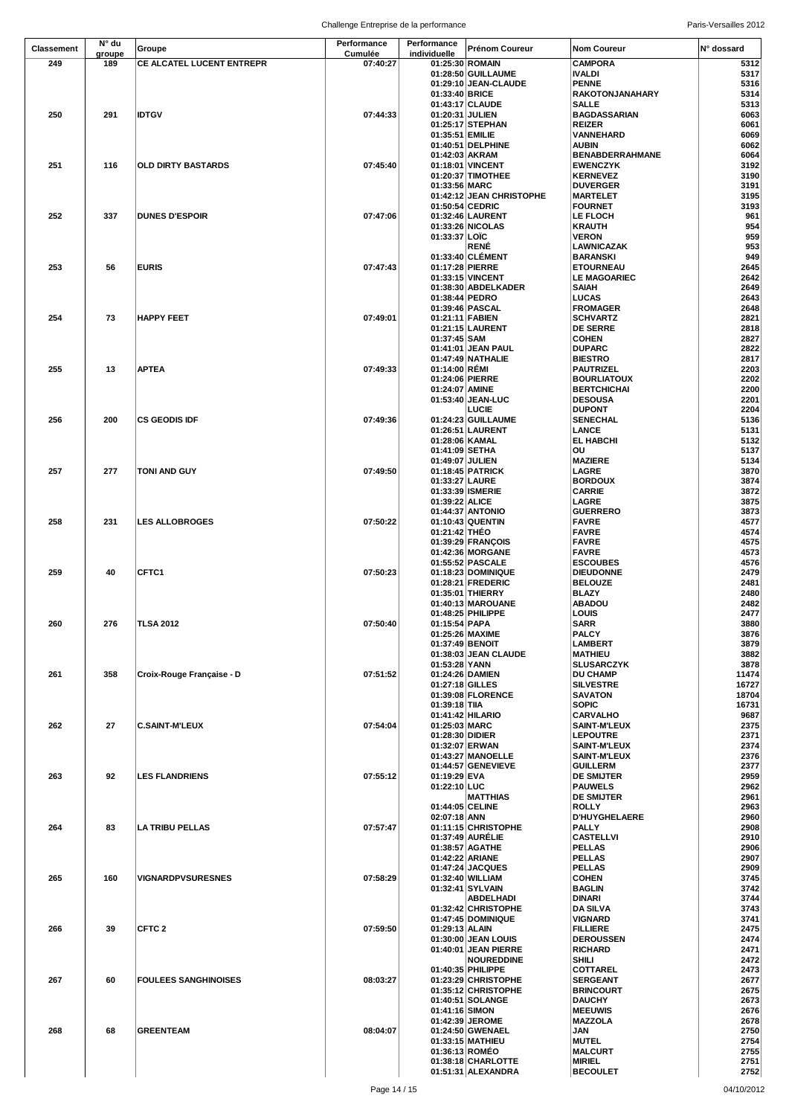| <b>Classement</b> | N° du  | Groupe                      | Performance | Performance      | <b>Prénom Coureur</b>                      | <b>Nom Coureur</b>                 | N° dossard    |
|-------------------|--------|-----------------------------|-------------|------------------|--------------------------------------------|------------------------------------|---------------|
| 249               | groupe |                             | Cumulée     | individuelle     |                                            |                                    |               |
|                   | 189    | CE ALCATEL LUCENT ENTREPR   | 07:40:27    |                  | 01:25:30 ROMAIN                            | <b>CAMPORA</b>                     | 5312          |
|                   |        |                             |             |                  | 01:28:50 GUILLAUME<br>01:29:10 JEAN-CLAUDE | <b>IVALDI</b><br><b>PENNE</b>      | 5317<br>5316  |
|                   |        |                             |             | 01:33:40 BRICE   |                                            | <b>RAKOTONJANAHARY</b>             | 5314          |
|                   |        |                             |             |                  | 01:43:17 CLAUDE                            | <b>SALLE</b>                       | 5313          |
| 250               | 291    | <b>IDTGV</b>                | 07:44:33    | 01:20:31 JULIEN  |                                            | <b>BAGDASSARIAN</b>                | 6063          |
|                   |        |                             |             |                  | 01:25:17 STEPHAN                           | <b>REIZER</b>                      | 6061          |
|                   |        |                             |             | 01:35:51 EMILIE  |                                            | VANNEHARD                          | 6069          |
|                   |        |                             |             |                  | 01:40:51 DELPHINE                          | <b>AUBIN</b>                       | 6062          |
|                   |        |                             |             | 01:42:03 AKRAM   |                                            | <b>BENABDERRAHMANE</b>             | 6064          |
| 251               | 116    | <b>OLD DIRTY BASTARDS</b>   | 07:45:40    |                  | 01:18:01 VINCENT                           | <b>EWENCZYK</b>                    | 3192          |
|                   |        |                             |             |                  | 01:20:37 TIMOTHEE                          | <b>KERNEVEZ</b>                    | 3190          |
|                   |        |                             |             | 01:33:56 MARC    |                                            | <b>DUVERGER</b>                    | 3191          |
|                   |        |                             |             |                  | 01:42:12 JEAN CHRISTOPHE                   | <b>MARTELET</b>                    | 3195          |
| 252               | 337    | <b>DUNES D'ESPOIR</b>       | 07:47:06    |                  | 01:50:54 CEDRIC<br>01:32:46 LAURENT        | <b>FOURNET</b><br>LE FLOCH         | 3193<br>961   |
|                   |        |                             |             |                  | 01:33:26 NICOLAS                           | <b>KRAUTH</b>                      | 954           |
|                   |        |                             |             | 01:33:37 LOIC    |                                            | <b>VERON</b>                       | 959           |
|                   |        |                             |             |                  | <b>RENÉ</b>                                | LAWNICAZAK                         | 953           |
|                   |        |                             |             |                  | 01:33:40 CLEMENT                           | <b>BARANSKI</b>                    | 949           |
| 253               | 56     | <b>EURIS</b>                | 07:47:43    |                  | 01:17:28 PIERRE                            | <b>ETOURNEAU</b>                   | 2645          |
|                   |        |                             |             |                  | 01:33:15 VINCENT                           | <b>LE MAGOARIEC</b>                | 2642          |
|                   |        |                             |             |                  | 01:38:30 ABDELKADER                        | <b>SAIAH</b>                       | 2649          |
|                   |        |                             |             | 01:38:44 PEDRO   |                                            | <b>LUCAS</b>                       | 2643          |
| 254               | 73     | <b>HAPPY FEET</b>           | 07:49:01    | 01:21:11 FABIEN  | 01:39:46 PASCAL                            | <b>FROMAGER</b><br><b>SCHVARTZ</b> | 2648<br>2821  |
|                   |        |                             |             |                  | 01:21:15 LAURENT                           | <b>DE SERRE</b>                    | 2818          |
|                   |        |                             |             | 01:37:45 SAM     |                                            | <b>COHEN</b>                       | 2827          |
|                   |        |                             |             |                  | 01:41:01 JEAN PAUL                         | <b>DUPARC</b>                      | 2822          |
|                   |        |                             |             |                  | 01:47:49 NATHALIE                          | <b>BIESTRO</b>                     | 2817          |
| 255               | 13     | <b>APTEA</b>                | 07:49:33    | 01:14:00 RÉMI    |                                            | PAUTRIZEL                          | 2203          |
|                   |        |                             |             |                  | 01:24:06 PIERRE                            | <b>BOURLIATOUX</b>                 | 2202          |
|                   |        |                             |             | 01:24:07 AMINE   |                                            | <b>BERTCHICHAI</b>                 | 2200          |
|                   |        |                             |             |                  | 01:53:40 JEAN-LUC                          | <b>DESOUSA</b>                     | 2201          |
|                   |        |                             |             |                  | LUCIE                                      | <b>DUPONT</b>                      | 2204          |
| 256               | 200    | <b>CS GEODIS IDF</b>        | 07:49:36    |                  | 01:24:23 GUILLAUME                         | <b>SENECHAL</b><br><b>LANCE</b>    | 5136<br>5131  |
|                   |        |                             |             | 01:28:06   KAMAL | 01:26:51 LAURENT                           | <b>EL HABCHI</b>                   | 5132          |
|                   |        |                             |             | 01:41:09 SETHA   |                                            | ΟU                                 | 5137          |
|                   |        |                             |             | 01:49:07 JULIEN  |                                            | <b>MAZIERE</b>                     | 5134          |
| 257               | 277    | TONI AND GUY                | 07:49:50    |                  | 01:18:45 PATRICK                           | LAGRE                              | 3870          |
|                   |        |                             |             | 01:33:27 LAURE   |                                            | <b>BORDOUX</b>                     | 3874          |
|                   |        |                             |             |                  | 01:33:39 ISMERIE                           | <b>CARRIE</b>                      | 3872          |
|                   |        |                             |             | 01:39:22 ALICE   |                                            | LAGRE                              | 3875          |
|                   |        |                             |             |                  | 01:44:37 ANTONIO                           | <b>GUERRERO</b>                    | 3873          |
| 258               | 231    | <b>LES ALLOBROGES</b>       | 07:50:22    |                  | 01:10:43 QUENTIN                           | <b>FAVRE</b>                       | 4577          |
|                   |        |                             |             | 01:21:42 THEO    |                                            | <b>FAVRE</b>                       | 4574          |
|                   |        |                             |             |                  | 01:39:29 FRANÇOIS<br>01:42:36 MORGANE      | <b>FAVRE</b><br><b>FAVRE</b>       | 4575<br>4573  |
|                   |        |                             |             |                  | 01:55:52 PASCALE                           | <b>ESCOUBES</b>                    | 4576          |
| 259               | 40     | CFTC1                       | 07:50:23    |                  | 01:18:23 DOMINIQUE                         | <b>DIEUDONNE</b>                   | 2479          |
|                   |        |                             |             |                  | 01:28:21 FREDERIC                          | <b>BELOUZE</b>                     | 2481          |
|                   |        |                             |             |                  | 01:35:01 THIERRY                           | <b>BLAZY</b>                       | 2480          |
|                   |        |                             |             |                  | 01:40:13 MAROUANE                          | <b>ABADOU</b>                      | 2482          |
|                   |        |                             |             |                  | 01:48:25 PHILIPPE                          | LOUIS                              | 2477          |
| 260               | 276    | <b>TLSA 2012</b>            | 07:50:40    | 01:15:54 PAPA    | 01:25:26 MAXIME                            | <b>SARR</b><br><b>PALCY</b>        | 3880<br>3876  |
|                   |        |                             |             |                  | 01:37:49 BENOIT                            | LAMBERT                            | 3879          |
|                   |        |                             |             |                  | 01:38:03 JEAN CLAUDE                       | <b>MATHIEU</b>                     | 3882          |
|                   |        |                             |             | 01:53:28 YANN    |                                            | <b>SLUSARCZYK</b>                  | 3878          |
| 261               | 358    | Croix-Rouge Française - D   | 07:51:52    |                  | 01:24:26 DAMIEN                            | <b>DU CHAMP</b>                    | 11474         |
|                   |        |                             |             | 01:27:18 GILLES  |                                            | <b>SILVESTRE</b>                   | 16727         |
|                   |        |                             |             |                  | 01:39:08 FLORENCE                          | <b>SAVATON</b>                     | 18704         |
|                   |        |                             |             | 01:39:18 TIIA    | 01:41:42 HILARIO                           | <b>SOPIC</b><br>CARVALHO           | 16731<br>9687 |
| 262               | 27     | <b>C.SAINT-M'LEUX</b>       | 07:54:04    | 01:25:03 MARC    |                                            | <b>SAINT-M'LEUX</b>                | 2375          |
|                   |        |                             |             | 01:28:30 DIDIER  |                                            | <b>LEPOUTRE</b>                    | 2371          |
|                   |        |                             |             | 01:32:07 ERWAN   |                                            | <b>SAINT-M'LEUX</b>                | 2374          |
|                   |        |                             |             |                  | 01:43:27 MANOELLE                          | <b>SAINT-M'LEUX</b>                | 2376          |
|                   |        |                             |             |                  | 01:44:57 GENEVIEVE                         | <b>GUILLERM</b>                    | 2377          |
| 263               | 92     | <b>LES FLANDRIENS</b>       | 07:55:12    | 01:19:29 EVA     |                                            | <b>DE SMIJTER</b>                  | 2959          |
|                   |        |                             |             | 01:22:10 LUC     |                                            | <b>PAUWELS</b>                     | 2962          |
|                   |        |                             |             |                  | <b>MATTHIAS</b><br>01:44:05 CELINE         | <b>DE SMIJTER</b><br><b>ROLLY</b>  | 2961<br>2963  |
|                   |        |                             |             | 02:07:18 ANN     |                                            | <b>D'HUYGHELAERE</b>               | 2960          |
| 264               | 83     | <b>LA TRIBU PELLAS</b>      | 07:57:47    |                  | 01:11:15 CHRISTOPHE                        | <b>PALLY</b>                       | 2908          |
|                   |        |                             |             |                  | 01:37:49 AURÉLIE                           | <b>CASTELLVI</b>                   | 2910          |
|                   |        |                             |             |                  | 01:38:57 AGATHE                            | <b>PELLAS</b>                      | 2906          |
|                   |        |                             |             |                  | 01:42:22 ARIANE                            | <b>PELLAS</b>                      | 2907          |
|                   |        |                             |             |                  | 01:47:24 JACQUES                           | <b>PELLAS</b>                      | 2909          |
| 265               | 160    | <b>VIGNARDPVSURESNES</b>    | 07:58:29    |                  | 01:32:40 WILLIAM                           | <b>COHEN</b>                       | 3745          |
|                   |        |                             |             |                  | 01:32:41 SYLVAIN<br>ABDELHADI              | <b>BAGLIN</b><br><b>DINARI</b>     | 3742<br>3744  |
|                   |        |                             |             |                  | 01:32:42 CHRISTOPHE                        | <b>DA SILVA</b>                    | 3743          |
|                   |        |                             |             |                  | 01:47:45 DOMINIQUE                         | VIGNARD                            | 3741          |
| 266               | 39     | CFTC 2                      | 07:59:50    | 01:29:13 ALAIN   |                                            | <b>FILLIERE</b>                    | 2475          |
|                   |        |                             |             |                  | 01:30:00 JEAN LOUIS                        | <b>DEROUSSEN</b>                   | 2474          |
|                   |        |                             |             |                  | 01:40:01 JEAN PIERRE                       | <b>RICHARD</b>                     | 2471          |
|                   |        |                             |             |                  | <b>NOUREDDINE</b>                          | <b>SHILI</b>                       | 2472          |
|                   |        |                             |             |                  | 01:40:35 PHILIPPE                          | COTTAREL                           | 2473          |
| 267               | 60     | <b>FOULEES SANGHINOISES</b> | 08:03:27    |                  | 01:23:29 CHRISTOPHE                        | <b>SERGEANT</b>                    | 2677          |
|                   |        |                             |             |                  | 01:35:12 CHRISTOPHE                        | <b>BRINCOURT</b>                   | 2675          |
|                   |        |                             |             | 01:41:16 SIMON   | 01:40:51 SOLANGE                           | <b>DAUCHY</b><br><b>MEEUWIS</b>    | 2673<br>2676  |
|                   |        |                             |             |                  | 01:42:39 JEROME                            | <b>MAZZOLA</b>                     | 2678          |
| 268               | 68     | <b>GREENTEAM</b>            | 08:04:07    |                  | 01:24:50 GWENAEL                           | JAN                                | 2750          |
|                   |        |                             |             |                  | 01:33:15 MATHIEU                           | <b>MUTEL</b>                       | 2754          |
|                   |        |                             |             |                  | 01:36:13 ROMÉO                             | <b>MALCURT</b>                     | 2755          |
|                   |        |                             |             |                  | 01:38:18 CHARLOTTE                         | <b>MIRIEL</b>                      | 2751          |
|                   |        |                             |             |                  | 01:51:31 ALEXANDRA                         | <b>BECOULET</b>                    | 2752          |